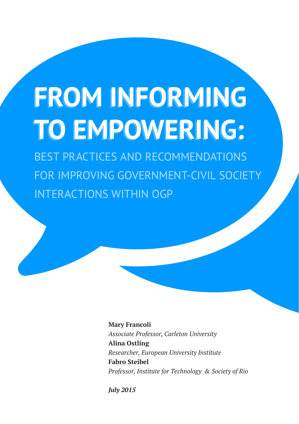# **FROM INFORMING FROM INFORMING TO EMPOWERING: TO EMPOWERING:**

BEST PRACTICES AND RECOMMENDATIONS FOR IMPROVING GOVERNMENT-CIVIL SOCIETY INTERACTIONS WITHIN OGP

> **Mary Francoli** *Associate Professor, Carleton University* **Alina Ostling** *Researcher, European University Institute* **Fabro Steibel** *Professor, Institute for Technology & Society of Rio*

*July 2015*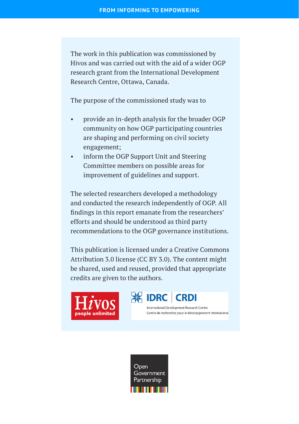The work in this publication was commissioned by Hivos and was carried out with the aid of a wider OGP research grant from the International Development Research Centre, Ottawa, Canada.

The purpose of the commissioned study was to

- provide an in-depth analysis for the broader OGP community on how OGP participating countries are shaping and performing on civil society engagement;
- inform the OGP Support Unit and Steering Committee members on possible areas for improvement of guidelines and support.

The selected researchers developed a methodology and conducted the research independently of OGP. All findings in this report emanate from the researchers' efforts and should be understood as third party recommendations to the OGP governance institutions.

This publication is licensed under a Creative Commons Attribution 3.0 license (CC BY 3.0). The content might be shared, used and reused, provided that appropriate credits are given to the authors.





International Development Research Centre Centre de recherches pour le développement international

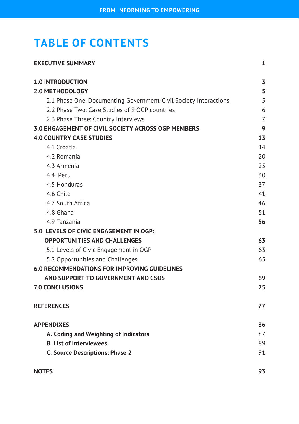# **TABLE OF CONTENTS**

| <b>EXECUTIVE SUMMARY</b>                                         | 1              |
|------------------------------------------------------------------|----------------|
| <b>1.0 INTRODUCTION</b>                                          | 3              |
| <b>2.0 METHODOLOGY</b>                                           | 5              |
| 2.1 Phase One: Documenting Government-Civil Society Interactions | 5              |
| 2.2 Phase Two: Case Studies of 9 OGP countries                   | 6              |
| 2.3 Phase Three: Country Interviews                              | $\overline{7}$ |
| 3.0 ENGAGEMENT OF CIVIL SOCIETY ACROSS OGP MEMBERS               | 9              |
| <b>4.0 COUNTRY CASE STUDIES</b>                                  | 13             |
| 4.1 Croatia                                                      | 14             |
| 4.2 Romania                                                      | 20             |
| 4.3 Armenia                                                      | 25             |
| 4.4 Peru                                                         | 30             |
| 4.5 Honduras                                                     | 37             |
| 4.6 Chile                                                        | 41             |
| 4.7 South Africa                                                 | 46             |
| 4.8 Ghana                                                        | 51             |
| 4.9 Tanzania                                                     | 56             |
| 5.0 LEVELS OF CIVIC ENGAGEMENT IN OGP:                           |                |
| <b>OPPORTUNITIES AND CHALLENGES</b>                              | 63             |
| 5.1 Levels of Civic Engagement in OGP                            | 63             |
| 5.2 Opportunities and Challenges                                 | 65             |
| <b>6.0 RECOMMENDATIONS FOR IMPROVING GUIDELINES</b>              |                |
| AND SUPPORT TO GOVERNMENT AND CSOS                               | 69             |
| 7.0 CONCLUSIONS                                                  | 75             |
| <b>REFERENCES</b>                                                | 77             |
| <b>APPENDIXES</b>                                                | 86             |
| A. Coding and Weighting of Indicators                            | 87             |
| <b>B. List of Interviewees</b>                                   | 89             |
| <b>C. Source Descriptions: Phase 2</b>                           | 91             |
| <b>NOTES</b>                                                     | 93             |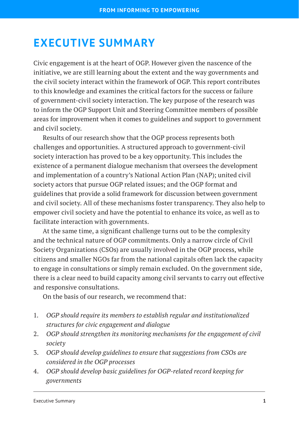# <span id="page-3-0"></span>**EXECUTIVE SUMMARY**

Civic engagement is at the heart of OGP. However given the nascence of the initiative, we are still learning about the extent and the way governments and the civil society interact within the framework of OGP. This report contributes to this knowledge and examines the critical factors for the success or failure of government-civil society interaction. The key purpose of the research was to inform the OGP Support Unit and Steering Committee members of possible areas for improvement when it comes to guidelines and support to government and civil society.

Results of our research show that the OGP process represents both challenges and opportunities. A structured approach to government-civil society interaction has proved to be a key opportunity. This includes the existence of a permanent dialogue mechanism that oversees the development and implementation of a country's National Action Plan (NAP); united civil society actors that pursue OGP related issues; and the OGP format and guidelines that provide a solid framework for discussion between government and civil society. All of these mechanisms foster transparency. They also help to empower civil society and have the potential to enhance its voice, as well as to facilitate interaction with governments.

At the same time, a significant challenge turns out to be the complexity and the technical nature of OGP commitments. Only a narrow circle of Civil Society Organizations (CSOs) are usually involved in the OGP process, while citizens and smaller NGOs far from the national capitals often lack the capacity to engage in consultations or simply remain excluded. On the government side, there is a clear need to build capacity among civil servants to carry out effective and responsive consultations.

On the basis of our research, we recommend that:

- 1. *OGP should require its members to establish regular and institutionalized structures for civic engagement and dialogue*
- 2. *OGP should strengthen its monitoring mechanisms for the engagement of civil society*
- 3. *OGP should develop guidelines to ensure that suggestions from CSOs are considered in the OGP processes*
- 4. *OGP should develop basic guidelines for OGP-related record keeping for governments*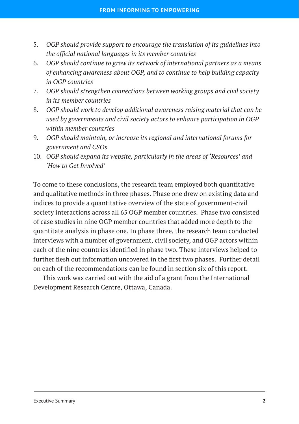- 5. *OGP should provide support to encourage the translation of its guidelines into the official national languages in its member countries*
- 6. *OGP should continue to grow its network of international partners as a means of enhancing awareness about OGP, and to continue to help building capacity in OGP countries*
- 7. *OGP should strengthen connections between working groups and civil society in its member countries*
- 8. *OGP should work to develop additional awareness raising material that can be used by governments and civil society actors to enhance participation in OGP within member countries*
- 9. *OGP should maintain, or increase its regional and international forums for government and CSOs*
- 10. *OGP should expand its website, particularly in the areas of 'Resources' and 'How to Get Involved'*

To come to these conclusions, the research team employed both quantitative and qualitative methods in three phases. Phase one drew on existing data and indices to provide a quantitative overview of the state of government-civil society interactions across all 65 OGP member countries. Phase two consisted of case studies in nine OGP member countries that added more depth to the quantitate analysis in phase one. In phase three, the research team conducted interviews with a number of government, civil society, and OGP actors within each of the nine countries identified in phase two. These interviews helped to further flesh out information uncovered in the first two phases. Further detail on each of the recommendations can be found in section six of this report.

This work was carried out with the aid of a grant from the International Development Research Centre, Ottawa, Canada.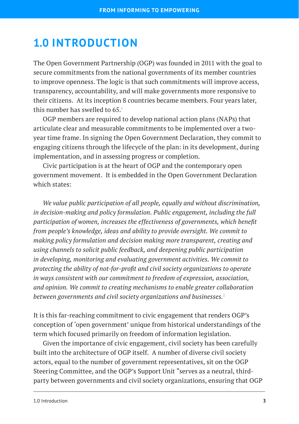# <span id="page-5-0"></span>**1.0 INTRODUCTION**

The Open Government Partnership (OGP) was founded in 2011 with the goal to secure commitments from the national governments of its member countries to improve openness. The logic is that such commitments will improve access, transparency, accountability, and will make governments more responsive to their citizens. At its inception 8 countries became members. Four years later, this number has swelled to  $65<sup>1</sup>$ 

OGP members are required to develop national action plans (NAPs) that articulate clear and measurable commitments to be implemented over a twoyear time frame. In signing the Open Government Declaration, they commit to engaging citizens through the lifecycle of the plan: in its development, during implementation, and in assessing progress or completion.

Civic participation is at the heart of OGP and the contemporary open government movement. It is embedded in the Open Government Declaration which states:

*We value public participation of all people, equally and without discrimination, in decision-making and policy formulation. Public engagement, including the full participation of women, increases the effectiveness of governments, which benefit from people's knowledge, ideas and ability to provide oversight. We commit to making policy formulation and decision making more transparent, creating and using channels to solicit public feedback, and deepening public participation in developing, monitoring and evaluating government activities. We commit to protecting the ability of not-for-profit and civil society organizations to operate in ways consistent with our commitment to freedom of expression, association, and opinion. We commit to creating mechanisms to enable greater collaboration between governments and civil society organizations and businesses.*<sup>2</sup>

It is this far-reaching commitment to civic engagement that renders OGP's conception of 'open government' unique from historical understandings of the term which focused primarily on freedom of information legislation.

Given the importance of civic engagement, civil society has been carefully built into the architecture of OGP itself. A number of diverse civil society actors, equal to the number of government representatives, sit on the OGP Steering Committee, and the OGP's Support Unit "serves as a neutral, thirdparty between governments and civil society organizations, ensuring that OGP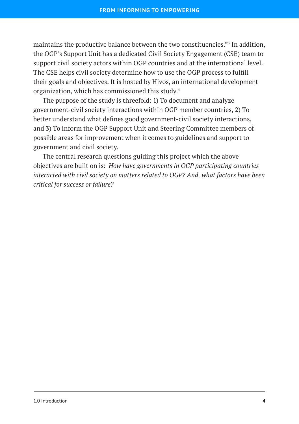maintains the productive balance between the two constituencies."3 In addition, the OGP's Support Unit has a dedicated Civil Society Engagement (CSE) team to support civil society actors within OGP countries and at the international level. The CSE helps civil society determine how to use the OGP process to fulfill their goals and objectives. It is hosted by Hivos, an international development organization, which has commissioned this study.4

The purpose of the study is threefold: 1) To document and analyze government-civil society interactions within OGP member countries, 2) To better understand what defines good government-civil society interactions, and 3) To inform the OGP Support Unit and Steering Committee members of possible areas for improvement when it comes to guidelines and support to government and civil society.

The central research questions guiding this project which the above objectives are built on is: *How have governments in OGP participating countries interacted with civil society on matters related to OGP? And, what factors have been critical for success or failure?*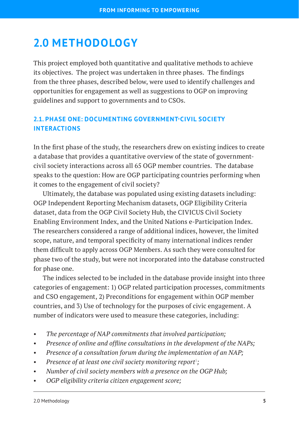# <span id="page-7-0"></span>**2.0 METHODOLOGY**

This project employed both quantitative and qualitative methods to achieve its objectives. The project was undertaken in three phases. The findings from the three phases, described below, were used to identify challenges and opportunities for engagement as well as suggestions to OGP on improving guidelines and support to governments and to CSOs.

# <span id="page-7-1"></span>**2.1. PHASE ONE: DOCUMENTING GOVERNMENT-CIVIL SOCIETY INTERACTIONS**

In the first phase of the study, the researchers drew on existing indices to create a database that provides a quantitative overview of the state of governmentcivil society interactions across all 65 OGP member countries. The database speaks to the question: How are OGP participating countries performing when it comes to the engagement of civil society?

Ultimately, the database was populated using existing datasets including: OGP Independent Reporting Mechanism datasets, OGP Eligibility Criteria dataset, data from the OGP Civil Society Hub, the CIVICUS Civil Society Enabling Environment Index, and the United Nations e-Participation Index. The researchers considered a range of additional indices, however, the limited scope, nature, and temporal specificity of many international indices render them difficult to apply across OGP Members. As such they were consulted for phase two of the study, but were not incorporated into the database constructed for phase one.

The indices selected to be included in the database provide insight into three categories of engagement: 1) OGP related participation processes, commitments and CSO engagement, 2) Preconditions for engagement within OGP member countries, and 3) Use of technology for the purposes of civic engagement. A number of indicators were used to measure these categories, including:

- *The percentage of NAP commitments that involved participation;*
- *Presence of online and offline consultations in the development of the NAPs;*
- *Presence of a consultation forum during the implementation of an NAP;*
- Presence of at least one civil society monitoring report<sup>5</sup>;
- *Number of civil society members with a presence on the OGP Hub;*
- *OGP eligibility criteria citizen engagement score;*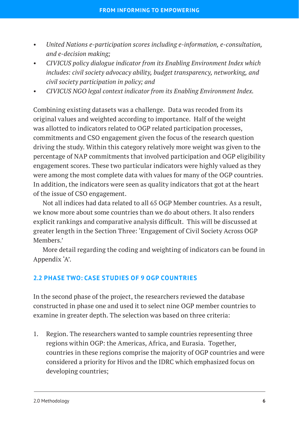- *United Nations e-participation scores including e-information, e-consultation, and e-decision making;*
- *CIVICUS policy dialogue indicator from its Enabling Environment Index which includes: civil society advocacy ability, budget transparency, networking, and civil society participation in policy; and*
- *CIVICUS NGO legal context indicator from its Enabling Environment Index.*

Combining existing datasets was a challenge. Data was recoded from its original values and weighted according to importance. Half of the weight was allotted to indicators related to OGP related participation processes, commitments and CSO engagement given the focus of the research question driving the study. Within this category relatively more weight was given to the percentage of NAP commitments that involved participation and OGP eligibility engagement scores. These two particular indicators were highly valued as they were among the most complete data with values for many of the OGP countries. In addition, the indicators were seen as quality indicators that got at the heart of the issue of CSO engagement.

Not all indices had data related to all 65 OGP Member countries. As a result, we know more about some countries than we do about others. It also renders explicit rankings and comparative analysis difficult. This will be discussed at greater length in the Section Three: 'Engagement of Civil Society Across OGP Members.'

More detail regarding the coding and weighting of indicators can be found in Appendix 'A'.

#### <span id="page-8-0"></span>**2.2 PHASE TWO: CASE STUDIES OF 9 OGP COUNTRIES**

In the second phase of the project, the researchers reviewed the database constructed in phase one and used it to select nine OGP member countries to examine in greater depth. The selection was based on three criteria:

1. Region. The researchers wanted to sample countries representing three regions within OGP: the Americas, Africa, and Eurasia. Together, countries in these regions comprise the majority of OGP countries and were considered a priority for Hivos and the IDRC which emphasized focus on developing countries;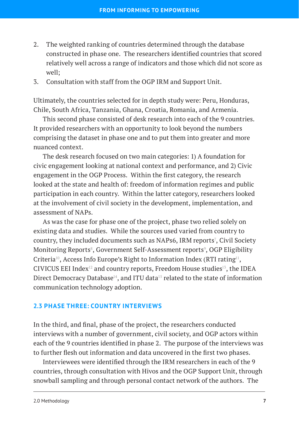- 2. The weighted ranking of countries determined through the database constructed in phase one. The researchers identified countries that scored relatively well across a range of indicators and those which did not score as well;
- 3. Consultation with staff from the OGP IRM and Support Unit.

Ultimately, the countries selected for in depth study were: Peru, Honduras, Chile, South Africa, Tanzania, Ghana, Croatia, Romania, and Armenia.

This second phase consisted of desk research into each of the 9 countries. It provided researchers with an opportunity to look beyond the numbers comprising the dataset in phase one and to put them into greater and more nuanced context.

The desk research focused on two main categories: 1) A foundation for civic engagement looking at national context and performance, and 2) Civic engagement in the OGP Process. Within the first category, the research looked at the state and health of: freedom of information regimes and public participation in each country. Within the latter category, researchers looked at the involvement of civil society in the development, implementation, and assessment of NAPs.

As was the case for phase one of the project, phase two relied solely on existing data and studies. While the sources used varied from country to country, they included documents such as NAPs6, IRM reports', Civil Society Monitoring Reports $^{\circ}$ , Government Self-Assessment reports $^{\circ}$ , OGP Eligibility Criteria<sup>10</sup>, Access Info Europe's Right to Information Index (RTI rating<sup>11</sup>, CIVICUS EEI Index<sup>12</sup> and country reports, Freedom House studies<sup>13</sup>, the IDEA Direct Democracy Database<sup>14</sup>, and ITU data<sup>15</sup> related to the state of information communication technology adoption.

#### <span id="page-9-0"></span>**2.3 PHASE THREE: COUNTRY INTERVIEWS**

In the third, and final, phase of the project, the researchers conducted interviews with a number of government, civil society, and OGP actors within each of the 9 countries identified in phase 2. The purpose of the interviews was to further flesh out information and data uncovered in the first two phases.

Interviewees were identified through the IRM researchers in each of the 9 countries, through consultation with Hivos and the OGP Support Unit, through snowball sampling and through personal contact network of the authors. The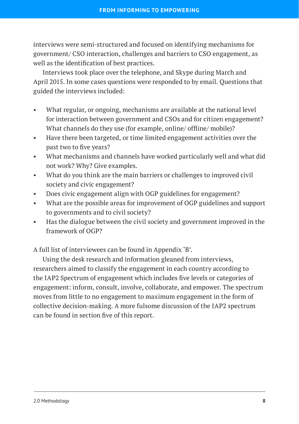interviews were semi-structured and focused on identifying mechanisms for government/ CSO interaction, challenges and barriers to CSO engagement, as well as the identification of best practices.

Interviews took place over the telephone, and Skype during March and April 2015. In some cases questions were responded to by email. Questions that guided the interviews included:

- What regular, or ongoing, mechanisms are available at the national level for interaction between government and CSOs and for citizen engagement? What channels do they use (for example, online/ offline/ mobile)?
- Have there been targeted, or time limited engagement activities over the past two to five years?
- What mechanisms and channels have worked particularly well and what did not work? Why? Give examples.
- What do you think are the main barriers or challenges to improved civil society and civic engagement?
- Does civic engagement align with OGP guidelines for engagement?
- What are the possible areas for improvement of OGP guidelines and support to governments and to civil society?
- Has the dialogue between the civil society and government improved in the framework of OGP?

A full list of interviewees can be found in Appendix 'B'.

Using the desk research and information gleaned from interviews, researchers aimed to classify the engagement in each country according to the IAP2 Spectrum of engagement which includes five levels or categories of engagement: inform, consult, involve, collaborate, and empower. The spectrum moves from little to no engagement to maximum engagement in the form of collective decision-making. A more fulsome discussion of the IAP2 spectrum can be found in section five of this report.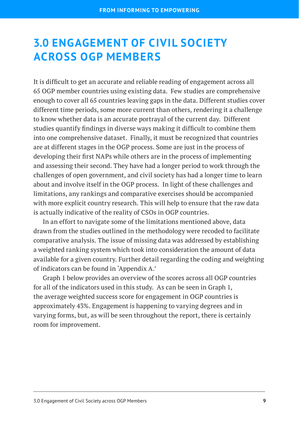# <span id="page-11-0"></span>**3.0 ENGAGEMENT OF CIVIL SOCIETY ACROSS OGP MEMBERS**

It is difficult to get an accurate and reliable reading of engagement across all 65 OGP member countries using existing data. Few studies are comprehensive enough to cover all 65 countries leaving gaps in the data. Different studies cover different time periods, some more current than others, rendering it a challenge to know whether data is an accurate portrayal of the current day. Different studies quantify findings in diverse ways making it difficult to combine them into one comprehensive dataset. Finally, it must be recognized that countries are at different stages in the OGP process. Some are just in the process of developing their first NAPs while others are in the process of implementing and assessing their second. They have had a longer period to work through the challenges of open government, and civil society has had a longer time to learn about and involve itself in the OGP process. In light of these challenges and limitations, any rankings and comparative exercises should be accompanied with more explicit country research. This will help to ensure that the raw data is actually indicative of the reality of CSOs in OGP countries.

In an effort to navigate some of the limitations mentioned above, data drawn from the studies outlined in the methodology were recoded to facilitate comparative analysis. The issue of missing data was addressed by establishing a weighted ranking system which took into consideration the amount of data available for a given country. Further detail regarding the coding and weighting of indicators can be found in 'Appendix A.'

Graph 1 below provides an overview of the scores across all OGP countries for all of the indicators used in this study. As can be seen in Graph 1, the average weighted success score for engagement in OGP countries is approximately 43%. Engagement is happening to varying degrees and in varying forms, but, as will be seen throughout the report, there is certainly room for improvement.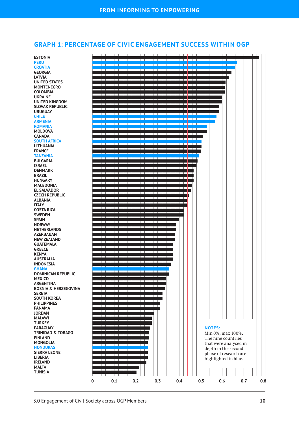#### **GRAPH 1: PERCENTAGE OF CIVIC ENGAGEMENT SUCCESS WITHIN OGP**

**ESTONIA PERU CROATIA GEORGIA LATVIA UNITED STATES MONTENEGRO COLOMBIA UKRAINE UNITED KINGDOM SLOVAK REPUBLIC URUGUAY CHILE ARMENIA ROMANIA MOLDOVA CANADA SOUTH AFRICA LITHUANIA FRANCE TANZANIA BULGARIA ISRAEL DENMARK BRAZIL HUNGARY MACEDONIA EL SALVADOR CZECH REPUBLIC ALBANIA ITALY COSTA RICA SWEDEN SPAIN NORWAY NETHERLANDS AZERBAIJAN NEW ZEALAND GUATEMALA GREECE KENYA AUSTRALIA INDONESIA GHANA DOMINICAN REPUBLIC MEXICO ARGENTINA BOSNIA & HERZEGOVINA SERBIA SOUTH KOREA PHILIPPINES PANAMA JORDAN MALAWI TURKEY PARAGUAY TRINIDAD & TOBAGO FINLAND MONGOLIA HONDURAS SIERRA LEONE LIBERIA IRELAND MALTA TUNISIA**

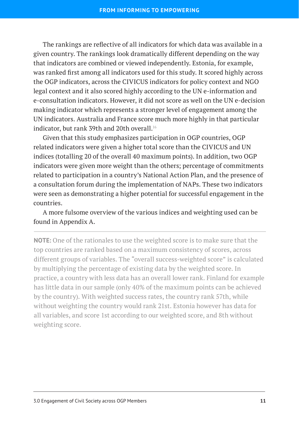The rankings are reflective of all indicators for which data was available in a given country. The rankings look dramatically different depending on the way that indicators are combined or viewed independently. Estonia, for example, was ranked first among all indicators used for this study. It scored highly across the OGP indicators, across the CIVICUS indicators for policy context and NGO legal context and it also scored highly according to the UN e-information and e-consultation indicators. However, it did not score as well on the UN e-decision making indicator which represents a stronger level of engagement among the UN indicators. Australia and France score much more highly in that particular indicator, but rank 39th and 20th overall.<sup>16</sup>

Given that this study emphasizes participation in OGP countries, OGP related indicators were given a higher total score than the CIVICUS and UN indices (totalling 20 of the overall 40 maximum points). In addition, two OGP indicators were given more weight than the others; percentage of commitments related to participation in a country's National Action Plan, and the presence of a consultation forum during the implementation of NAPs. These two indicators were seen as demonstrating a higher potential for successful engagement in the countries.

A more fulsome overview of the various indices and weighting used can be found in Appendix A.

**NOTE:** One of the rationales to use the weighted score is to make sure that the top countries are ranked based on a maximum consistency of scores, across different groups of variables. The "overall success-weighted score" is calculated by multiplying the percentage of existing data by the weighted score. In practice, a country with less data has an overall lower rank. Finland for example has little data in our sample (only 40% of the maximum points can be achieved by the country). With weighted success rates, the country rank 57th, while without weighting the country would rank 21st. Estonia however has data for all variables, and score 1st according to our weighted score, and 8th without weighting score.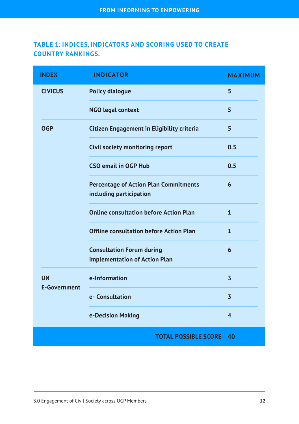# **TABLE 1: INDICES, INDICATORS AND SCORING USED TO CREATE COUNTRY RANKINGS.**

| <b>INDEX</b>                     | <b>INDICATOR</b>                                                        | <b>MAXIMUM</b> |
|----------------------------------|-------------------------------------------------------------------------|----------------|
| <b>CIVICUS</b>                   | <b>Policy dialogue</b>                                                  | 5              |
|                                  | <b>NGO legal context</b>                                                | 5              |
| <b>OGP</b>                       | Citizen Engagement in Eligibility criteria                              | 5              |
|                                  | Civil society monitoring report                                         | 0.5            |
|                                  | <b>CSO email in OGP Hub</b>                                             | 0.5            |
|                                  | <b>Percentage of Action Plan Commitments</b><br>including participation | 6              |
|                                  | <b>Online consultation before Action Plan</b>                           | 1              |
|                                  | <b>Offline consultation before Action Plan</b>                          | $\mathbf{1}$   |
|                                  | <b>Consultation Forum during</b><br>implementation of Action Plan       | 6              |
| <b>UN</b><br><b>E-Government</b> | e-Information                                                           | $\overline{3}$ |
|                                  | e- Consultation                                                         | $\overline{3}$ |
|                                  | e-Decision Making                                                       | $\overline{4}$ |
|                                  | <b>TOTAL POSSIBLE SCORE</b>                                             | 40             |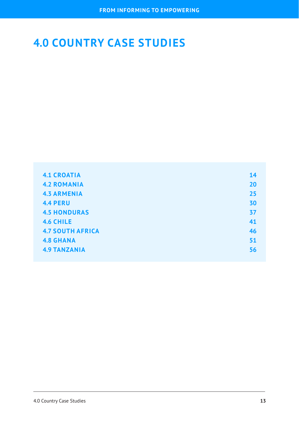# <span id="page-15-0"></span>**4.0 COUNTRY CASE STUDIES**

| <b>4.1 CROATIA</b>      | 14 |
|-------------------------|----|
| <b>4.2 ROMANIA</b>      | 20 |
| <b>4.3 ARMENIA</b>      | 25 |
| <b>4.4 PERU</b>         | 30 |
| <b>4.5 HONDURAS</b>     | 37 |
| <b>4.6 CHILE</b>        | 41 |
| <b>4.7 SOUTH AFRICA</b> | 46 |
| <b>4.8 GHANA</b>        | 51 |
| <b>4.9 TANZANIA</b>     | 56 |
|                         |    |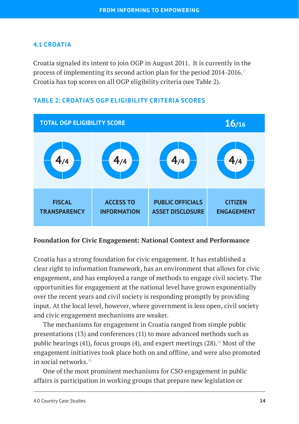# <span id="page-16-0"></span>**4.1 CROATIA**

Croatia signaled its intent to join OGP in August 2011. It is currently in the process of implementing its second action plan for the period 2014-2016.<sup>17</sup> Croatia has top scores on all OGP eligibility criteria (see Table 2).



## **TABLE 2: CROATIA'S OGP ELIGIBILITY CRITERIA SCORES**

#### **Foundation for Civic Engagement: National Context and Performance**

Croatia has a strong foundation for civic engagement. It has established a clear right to information framework, has an environment that allows for civic engagement, and has employed a range of methods to engage civil society. The opportunities for engagement at the national level have grown exponentially over the recent years and civil society is responding promptly by providing input. At the local level, however, where government is less open, civil society and civic engagement mechanisms are weaker.

The mechanisms for engagement in Croatia ranged from simple public presentations (13) and conferences (11) to more advanced methods such as public hearings (41), focus groups (4), and expert meetings (28).<sup>18</sup> Most of the engagement initiatives took place both on and offline, and were also promoted in social networks. $19$ 

One of the most prominent mechanisms for CSO engagement in public affairs is participation in working groups that prepare new legislation or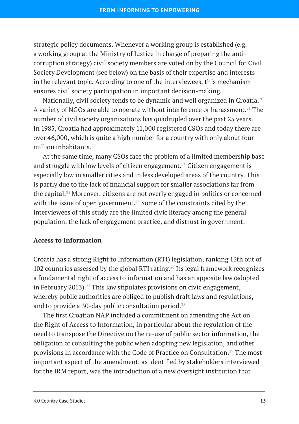strategic policy documents. Whenever a working group is established (e.g. a working group at the Ministry of Justice in charge of preparing the anticorruption strategy) civil society members are voted on by the Council for Civil Society Development (see below) on the basis of their expertise and interests in the relevant topic. According to one of the interviewees, this mechanism ensures civil society participation in important decision-making.

Nationally, civil society tends to be dynamic and well organized in Croatia.<sup>20</sup> A variety of NGOs are able to operate without interference or harassment.<sup>21</sup> The number of civil society organizations has quadrupled over the past 25 years. In 1985, Croatia had approximately 11,000 registered CSOs and today there are over 46,000, which is quite a high number for a country with only about four million inhabitants.<sup>22</sup>

At the same time, many CSOs face the problem of a limited membership base and struggle with low levels of citizen engagement.<sup>23</sup> Citizen engagement is especially low in smaller cities and in less developed areas of the country. This is partly due to the lack of financial support for smaller associations far from the capital.24 Moreover, citizens are not overly engaged in politics or concerned with the issue of open government.<sup>25</sup> Some of the constraints cited by the interviewees of this study are the limited civic literacy among the general population, the lack of engagement practice, and distrust in government.

#### **Access to Information**

Croatia has a strong Right to Information (RTI) legislation, ranking 13th out of 102 countries assessed by the global RTI rating.<sup>26</sup> Its legal framework recognizes a fundamental right of access to information and has an apposite law (adopted in February 2013).<sup>27</sup> This law stipulates provisions on civic engagement, whereby public authorities are obliged to publish draft laws and regulations, and to provide a 30-day public consultation period.28

The first Croatian NAP included a commitment on amending the Act on the Right of Access to Information, in particular about the regulation of the need to transpose the Directive on the re-use of public sector information, the obligation of consulting the public when adopting new legislation, and other provisions in accordance with the Code of Practice on Consultation.29 The most important aspect of the amendment, as identified by stakeholders interviewed for the IRM report, was the introduction of a new oversight institution that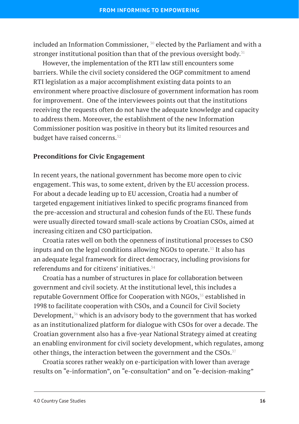included an Information Commissioner,  $30$  elected by the Parliament and with a stronger institutional position than that of the previous oversight body.<sup>31</sup>

However, the implementation of the RTI law still encounters some barriers. While the civil society considered the OGP commitment to amend RTI legislation as a major accomplishment existing data points to an environment where proactive disclosure of government information has room for improvement. One of the interviewees points out that the institutions receiving the requests often do not have the adequate knowledge and capacity to address them. Moreover, the establishment of the new Information Commissioner position was positive in theory but its limited resources and budget have raised concerns.<sup>32</sup>

#### **Preconditions for Civic Engagement**

In recent years, the national government has become more open to civic engagement. This was, to some extent, driven by the EU accession process. For about a decade leading up to EU accession, Croatia had a number of targeted engagement initiatives linked to specific programs financed from the pre-accession and structural and cohesion funds of the EU. These funds were usually directed toward small-scale actions by Croatian CSOs, aimed at increasing citizen and CSO participation.

Croatia rates well on both the openness of institutional processes to CSO inputs and on the legal conditions allowing NGOs to operate.<sup>33</sup> It also has an adequate legal framework for direct democracy, including provisions for referendums and for citizens' initiatives.<sup>34</sup>

Croatia has a number of structures in place for collaboration between government and civil society. At the institutional level, this includes a reputable Government Office for Cooperation with NGOs,<sup>35</sup> established in 1998 to facilitate cooperation with CSOs, and a Council for Civil Society Development, $36$  which is an advisory body to the government that has worked as an institutionalized platform for dialogue with CSOs for over a decade. The Croatian government also has a five-year National Strategy aimed at creating an enabling environment for civil society development, which regulates, among other things, the interaction between the government and the CSOs. $37$ 

Croatia scores rather weakly on e-participation with lower than average results on "e-information", on "e-consultation" and on "e-decision-making"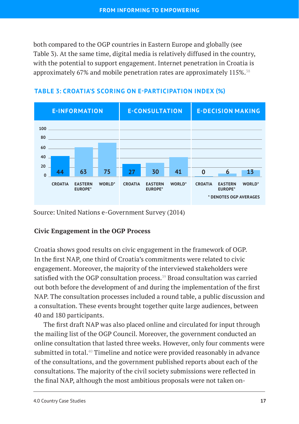both compared to the OGP countries in Eastern Europe and globally (see Table 3). At the same time, digital media is relatively diffused in the country, with the potential to support engagement. Internet penetration in Croatia is approximately 67% and mobile penetration rates are approximately 115%.<sup>38</sup>



#### **TABLE 3: CROATIA'S SCORING ON E-PARTICIPATION INDEX (%)**

Source: United Nations e-Government Survey (2014)

#### **Civic Engagement in the OGP Process**

Croatia shows good results on civic engagement in the framework of OGP. In the first NAP, one third of Croatia's commitments were related to civic engagement. Moreover, the majority of the interviewed stakeholders were satisfied with the OGP consultation process.<sup>39</sup> Broad consultation was carried out both before the development of and during the implementation of the first NAP. The consultation processes included a round table, a public discussion and a consultation. These events brought together quite large audiences, between 40 and 180 participants.

The first draft NAP was also placed online and circulated for input through the mailing list of the OGP Council. Moreover, the government conducted an online consultation that lasted three weeks. However, only four comments were submitted in total.<sup>40</sup> Timeline and notice were provided reasonably in advance of the consultations, and the government published reports about each of the consultations. The majority of the civil society submissions were reflected in the final NAP, although the most ambitious proposals were not taken on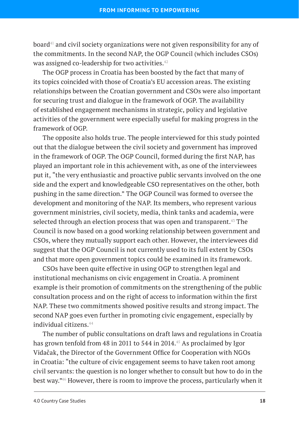board<sup>41</sup> and civil society organizations were not given responsibility for any of the commitments. In the second NAP, the OGP Council (which includes CSOs) was assigned co-leadership for two activities. $42$ 

The OGP process in Croatia has been boosted by the fact that many of its topics coincided with those of Croatia's EU accession areas. The existing relationships between the Croatian government and CSOs were also important for securing trust and dialogue in the framework of OGP. The availability of established engagement mechanisms in strategic, policy and legislative activities of the government were especially useful for making progress in the framework of OGP.

The opposite also holds true. The people interviewed for this study pointed out that the dialogue between the civil society and government has improved in the framework of OGP. The OGP Council, formed during the first NAP, has played an important role in this achievement with, as one of the interviewees put it, "the very enthusiastic and proactive public servants involved on the one side and the expert and knowledgeable CSO representatives on the other, both pushing in the same direction." The OGP Council was formed to oversee the development and monitoring of the NAP. Its members, who represent various government ministries, civil society, media, think tanks and academia, were selected through an election process that was open and transparent.<sup>43</sup> The Council is now based on a good working relationship between government and CSOs, where they mutually support each other. However, the interviewees did suggest that the OGP Council is not currently used to its full extent by CSOs and that more open government topics could be examined in its framework.

CSOs have been quite effective in using OGP to strengthen legal and institutional mechanisms on civic engagement in Croatia. A prominent example is their promotion of commitments on the strengthening of the public consultation process and on the right of access to information within the first NAP. These two commitments showed positive results and strong impact. The second NAP goes even further in promoting civic engagement, especially by individual citizens.<sup>44</sup>

The number of public consultations on draft laws and regulations in Croatia has grown tenfold from 48 in 2011 to 544 in 2014.<sup>45</sup> As proclaimed by Igor Vidačak, the Director of the Government Office for Cooperation with NGOs in Croatia: "the culture of civic engagement seems to have taken root among civil servants: the question is no longer whether to consult but how to do in the best way."46 However, there is room to improve the process, particularly when it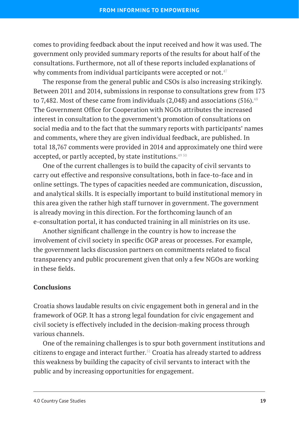comes to providing feedback about the input received and how it was used. The government only provided summary reports of the results for about half of the consultations. Furthermore, not all of these reports included explanations of why comments from individual participants were accepted or not. $47$ 

The response from the general public and CSOs is also increasing strikingly. Between 2011 and 2014, submissions in response to consultations grew from 173 to 7.482. Most of these came from individuals  $(2,048)$  and associations  $(516).$ <sup>48</sup> The Government Office for Cooperation with NGOs attributes the increased interest in consultation to the government's promotion of consultations on social media and to the fact that the summary reports with participants' names and comments, where they are given individual feedback, are published. In total 18,767 comments were provided in 2014 and approximately one third were accepted, or partly accepted, by state institutions.<sup>4950</sup>

One of the current challenges is to build the capacity of civil servants to carry out effective and responsive consultations, both in face-to-face and in online settings. The types of capacities needed are communication, discussion, and analytical skills. It is especially important to build institutional memory in this area given the rather high staff turnover in government. The government is already moving in this direction. For the forthcoming launch of an e-consultation portal, it has conducted training in all ministries on its use.

Another significant challenge in the country is how to increase the involvement of civil society in specific OGP areas or processes. For example, the government lacks discussion partners on commitments related to fiscal transparency and public procurement given that only a few NGOs are working in these fields.

## **Conclusions**

Croatia shows laudable results on civic engagement both in general and in the framework of OGP. It has a strong legal foundation for civic engagement and civil society is effectively included in the decision-making process through various channels.

One of the remaining challenges is to spur both government institutions and citizens to engage and interact further.<sup>51</sup> Croatia has already started to address this weakness by building the capacity of civil servants to interact with the public and by increasing opportunities for engagement.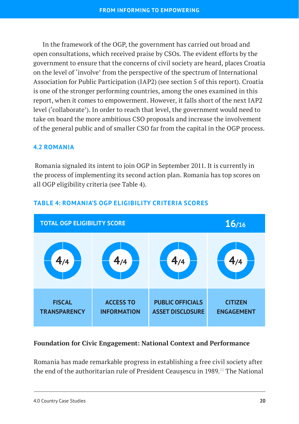In the framework of the OGP, the government has carried out broad and open consultations, which received praise by CSOs. The evident efforts by the government to ensure that the concerns of civil society are heard, places Croatia on the level of 'involve' from the perspective of the spectrum of International Association for Public Participation (IAP2) (see section 5 of this report). Croatia is one of the stronger performing countries, among the ones examined in this report, when it comes to empowerment. However, it falls short of the next IAP2 level ('collaborate'). In order to reach that level, the government would need to take on board the more ambitious CSO proposals and increase the involvement of the general public and of smaller CSO far from the capital in the OGP process.

#### <span id="page-22-0"></span>**4.2 ROMANIA**

 Romania signaled its intent to join OGP in September 2011. It is currently in the process of implementing its second action plan. Romania has top scores on all OGP eligibility criteria (see Table 4).



## **TABLE 4: ROMANIA'S OGP ELIGIBILITY CRITERIA SCORES**

#### **Foundation for Civic Engagement: National Context and Performance**

Romania has made remarkable progress in establishing a free civil society after the end of the authoritarian rule of President Ceausescu in 1989.<sup>52</sup> The National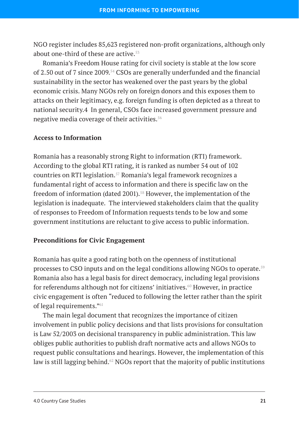NGO register includes 85,623 registered non-profit organizations, although only about one-third of these are active.<sup>53</sup>

Romania's Freedom House rating for civil society is stable at the low score of 2.50 out of 7 since 2009.<sup>54</sup> CSOs are generally underfunded and the financial sustainability in the sector has weakened over the past years by the global economic crisis. Many NGOs rely on foreign donors and this exposes them to attacks on their legitimacy, e.g. foreign funding is often depicted as a threat to national security.4 In general, CSOs face increased government pressure and negative media coverage of their activities.56

#### **Access to Information**

Romania has a reasonably strong Right to information (RTI) framework. According to the global RTI rating, it is ranked as number 54 out of 102 countries on RTI legislation.57 Romania's legal framework recognizes a fundamental right of access to information and there is specific law on the freedom of information (dated 2001).<sup>58</sup> However, the implementation of the legislation is inadequate. The interviewed stakeholders claim that the quality of responses to Freedom of Information requests tends to be low and some government institutions are reluctant to give access to public information.

#### **Preconditions for Civic Engagement**

Romania has quite a good rating both on the openness of institutional processes to CSO inputs and on the legal conditions allowing NGOs to operate.<sup>59</sup> Romania also has a legal basis for direct democracy, including legal provisions for referendums although not for citizens' initiatives. $60$  However, in practice civic engagement is often "reduced to following the letter rather than the spirit of legal requirements."61

The main legal document that recognizes the importance of citizen involvement in public policy decisions and that lists provisions for consultation is Law 52/2003 on decisional transparency in public administration. This law obliges public authorities to publish draft normative acts and allows NGOs to request public consultations and hearings. However, the implementation of this law is still lagging behind.<sup>62</sup> NGOs report that the majority of public institutions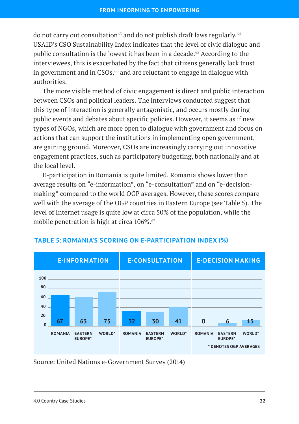do not carry out consultation<sup>63</sup> and do not publish draft laws regularly.<sup>64</sup> USAID's CSO Sustainability Index indicates that the level of civic dialogue and public consultation is the lowest it has been in a decade.<sup>65</sup> According to the interviewees, this is exacerbated by the fact that citizens generally lack trust in government and in CSOs, $66$  and are reluctant to engage in dialogue with authorities.

The more visible method of civic engagement is direct and public interaction between CSOs and political leaders. The interviews conducted suggest that this type of interaction is generally antagonistic, and occurs mostly during public events and debates about specific policies. However, it seems as if new types of NGOs, which are more open to dialogue with government and focus on actions that can support the institutions in implementing open government, are gaining ground. Moreover, CSOs are increasingly carrying out innovative engagement practices, such as participatory budgeting, both nationally and at the local level.

E-participation in Romania is quite limited. Romania shows lower than average results on "e-information", on "e-consultation" and on "e-decisionmaking" compared to the world OGP averages. However, these scores compare well with the average of the OGP countries in Eastern Europe (see Table 5). The level of Internet usage is quite low at circa 50% of the population, while the mobile penetration is high at circa 106%.<sup>67</sup>



## **TABLE 5: ROMANIA'S SCORING ON E-PARTICIPATION INDEX (%)**

Source: United Nations e-Government Survey (2014)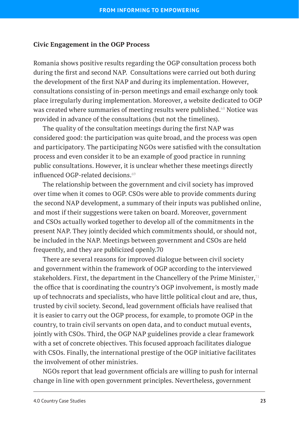#### **Civic Engagement in the OGP Process**

Romania shows positive results regarding the OGP consultation process both during the first and second NAP. Consultations were carried out both during the development of the first NAP and during its implementation. However, consultations consisting of in-person meetings and email exchange only took place irregularly during implementation. Moreover, a website dedicated to OGP was created where summaries of meeting results were published.<sup>68</sup> Notice was provided in advance of the consultations (but not the timelines).

The quality of the consultation meetings during the first NAP was considered good: the participation was quite broad, and the process was open and participatory. The participating NGOs were satisfied with the consultation process and even consider it to be an example of good practice in running public consultations. However, it is unclear whether these meetings directly influenced OGP-related decisions.<sup>69</sup>

The relationship between the government and civil society has improved over time when it comes to OGP. CSOs were able to provide comments during the second NAP development, a summary of their inputs was published online, and most if their suggestions were taken on board. Moreover, government and CSOs actually worked together to develop all of the commitments in the present NAP. They jointly decided which commitments should, or should not, be included in the NAP. Meetings between government and CSOs are held frequently, and they are publicized openly.70

There are several reasons for improved dialogue between civil society and government within the framework of OGP according to the interviewed stakeholders. First, the department in the Chancellery of the Prime Minister, $71$ the office that is coordinating the country's OGP involvement, is mostly made up of technocrats and specialists, who have little political clout and are, thus, trusted by civil society. Second, lead government officials have realised that it is easier to carry out the OGP process, for example, to promote OGP in the country, to train civil servants on open data, and to conduct mutual events, jointly with CSOs. Third, the OGP NAP guidelines provide a clear framework with a set of concrete objectives. This focused approach facilitates dialogue with CSOs. Finally, the international prestige of the OGP initiative facilitates the involvement of other ministries.

NGOs report that lead government officials are willing to push for internal change in line with open government principles. Nevertheless, government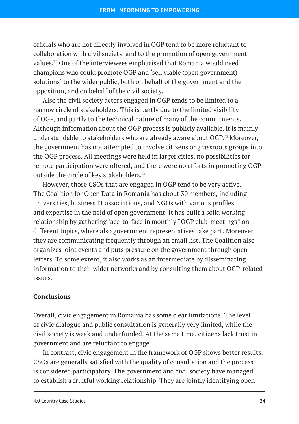officials who are not directly involved in OGP tend to be more reluctant to collaboration with civil society, and to the promotion of open government values.72 One of the interviewees emphasised that Romania would need champions who could promote OGP and 'sell viable (open government) solutions' to the wider public, both on behalf of the government and the opposition, and on behalf of the civil society.

Also the civil society actors engaged in OGP tends to be limited to a narrow circle of stakeholders. This is partly due to the limited visibility of OGP, and partly to the technical nature of many of the commitments. Although information about the OGP process is publicly available, it is mainly understandable to stakeholders who are already aware about OGP.<sup>73</sup> Moreover, the government has not attempted to involve citizens or grassroots groups into the OGP process. All meetings were held in larger cities, no possibilities for remote participation were offered, and there were no efforts in promoting OGP outside the circle of key stakeholders.<sup>74</sup>

However, those CSOs that are engaged in OGP tend to be very active. The Coalition for Open Data in Romania has about 30 members, including universities, business IT associations, and NGOs with various profiles and expertise in the field of open government. It has built a solid working relationship by gathering face-to-face in monthly "OGP club-meetings" on different topics, where also government representatives take part. Moreover, they are communicating frequently through an email list. The Coalition also organizes joint events and puts pressure on the government through open letters. To some extent, it also works as an intermediate by disseminating information to their wider networks and by consulting them about OGP-related issues.

## **Conclusions**

Overall, civic engagement in Romania has some clear limitations. The level of civic dialogue and public consultation is generally very limited, while the civil society is weak and underfunded. At the same time, citizens lack trust in government and are reluctant to engage.

In contrast, civic engagement in the framework of OGP shows better results. CSOs are generally satisfied with the quality of consultation and the process is considered participatory. The government and civil society have managed to establish a fruitful working relationship. They are jointly identifying open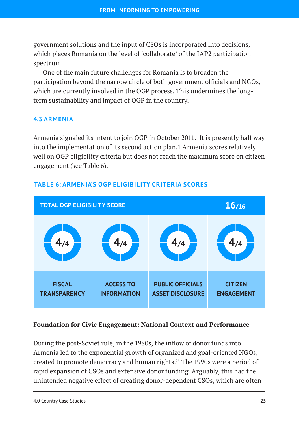government solutions and the input of CSOs is incorporated into decisions, which places Romania on the level of 'collaborate' of the IAP2 participation spectrum.

One of the main future challenges for Romania is to broaden the participation beyond the narrow circle of both government officials and NGOs, which are currently involved in the OGP process. This undermines the longterm sustainability and impact of OGP in the country.

#### <span id="page-27-0"></span>**4.3 ARMENIA**

Armenia signaled its intent to join OGP in October 2011. It is presently half way into the implementation of its second action plan.1 Armenia scores relatively well on OGP eligibility criteria but does not reach the maximum score on citizen engagement (see Table 6).



## **TABLE 6: ARMENIA'S OGP ELIGIBILITY CRITERIA SCORES**

#### **Foundation for Civic Engagement: National Context and Performance**

During the post-Soviet rule, in the 1980s, the inflow of donor funds into Armenia led to the exponential growth of organized and goal-oriented NGOs, created to promote democracy and human rights.76 The 1990s were a period of rapid expansion of CSOs and extensive donor funding. Arguably, this had the unintended negative effect of creating donor-dependent CSOs, which are often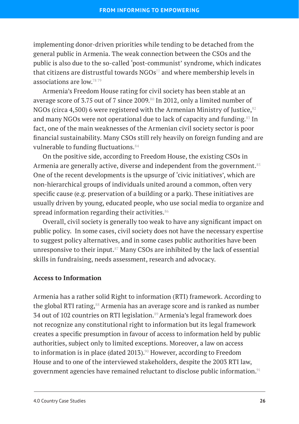implementing donor-driven priorities while tending to be detached from the general public in Armenia. The weak connection between the CSOs and the public is also due to the so-called 'post-communist' syndrome, which indicates that citizens are distrustful towards  $NGOs<sup>77</sup>$  and where membership levels in associations are low.78 79

Armenia's Freedom House rating for civil society has been stable at an average score of 3.75 out of 7 since 2009.<sup>80</sup> In 2012, only a limited number of NGOs (circa 4,500) 6 were registered with the Armenian Ministry of Justice,  $82$ and many NGOs were not operational due to lack of capacity and funding.<sup>83</sup> In fact, one of the main weaknesses of the Armenian civil society sector is poor financial sustainability. Many CSOs still rely heavily on foreign funding and are vulnerable to funding fluctuations.<sup>84</sup>

On the positive side, according to Freedom House, the existing CSOs in Armenia are generally active, diverse and independent from the government.<sup>85</sup> One of the recent developments is the upsurge of 'civic initiatives', which are non-hierarchical groups of individuals united around a common, often very specific cause (e.g. preservation of a building or a park). These initiatives are usually driven by young, educated people, who use social media to organize and spread information regarding their activities. $86$ 

Overall, civil society is generally too weak to have any significant impact on public policy. In some cases, civil society does not have the necessary expertise to suggest policy alternatives, and in some cases public authorities have been unresponsive to their input.<sup>87</sup> Many CSOs are inhibited by the lack of essential skills in fundraising, needs assessment, research and advocacy.

#### **Access to Information**

Armenia has a rather solid Right to information (RTI) framework. According to the global RTI rating,<sup>88</sup> Armenia has an average score and is ranked as number 34 out of 102 countries on RTI legislation.<sup>89</sup> Armenia's legal framework does not recognize any constitutional right to information but its legal framework creates a specific presumption in favour of access to information held by public authorities, subject only to limited exceptions. Moreover, a law on access to information is in place (dated 2013).<sup>90</sup> However, according to Freedom House and to one of the interviewed stakeholders, despite the 2003 RTI law, government agencies have remained reluctant to disclose public information.91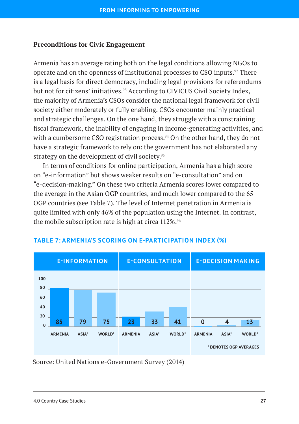#### **Preconditions for Civic Engagement**

Armenia has an average rating both on the legal conditions allowing NGOs to operate and on the openness of institutional processes to CSO inputs.92 There is a legal basis for direct democracy, including legal provisions for referendums but not for citizens' initiatives.<sup>93</sup> According to CIVICUS Civil Society Index, the majority of Armenia's CSOs consider the national legal framework for civil society either moderately or fully enabling. CSOs encounter mainly practical and strategic challenges. On the one hand, they struggle with a constraining fiscal framework, the inability of engaging in income-generating activities, and with a cumbersome CSO registration process.<sup>94</sup> On the other hand, they do not have a strategic framework to rely on: the government has not elaborated any strategy on the development of civil society.<sup>95</sup>

In terms of conditions for online participation, Armenia has a high score on "e-information" but shows weaker results on "e-consultation" and on "e-decision-making." On these two criteria Armenia scores lower compared to the average in the Asian OGP countries, and much lower compared to the 65 OGP countries (see Table 7). The level of Internet penetration in Armenia is quite limited with only 46% of the population using the Internet. In contrast, the mobile subscription rate is high at circa 112%.<sup>96</sup>



#### **TABLE 7: ARMENIA'S SCORING ON E-PARTICIPATION INDEX (%)**

Source: United Nations e-Government Survey (2014)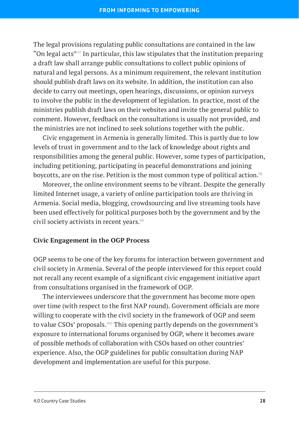The legal provisions regulating public consultations are contained in the law "On legal acts". In particular, this law stipulates that the institution preparing a draft law shall arrange public consultations to collect public opinions of natural and legal persons. As a minimum requirement, the relevant institution should publish draft laws on its website. In addition, the institution can also decide to carry out meetings, open hearings, discussions, or opinion surveys to involve the public in the development of legislation. In practice, most of the ministries publish draft laws on their websites and invite the general public to comment. However, feedback on the consultations is usually not provided, and the ministries are not inclined to seek solutions together with the public.

Civic engagement in Armenia is generally limited. This is partly due to low levels of trust in government and to the lack of knowledge about rights and responsibilities among the general public. However, some types of participation, including petitioning, participating in peaceful demonstrations and joining boycotts, are on the rise. Petition is the most common type of political action.<sup>98</sup>

Moreover, the online environment seems to be vibrant. Despite the generally limited Internet usage, a variety of online participation tools are thriving in Armenia. Social media, blogging, crowdsourcing and live streaming tools have been used effectively for political purposes both by the government and by the civil society activists in recent years.<sup>99</sup>

#### **Civic Engagement in the OGP Process**

OGP seems to be one of the key forums for interaction between government and civil society in Armenia. Several of the people interviewed for this report could not recall any recent example of a significant civic engagement initiative apart from consultations organised in the framework of OGP.

The interviewees underscore that the government has become more open over time (with respect to the first NAP round). Government officials are more willing to cooperate with the civil society in the framework of OGP and seem to value CSOs' proposals.<sup>100</sup> This opening partly depends on the government's exposure to international forums organised by OGP, where it becomes aware of possible methods of collaboration with CSOs based on other countries' experience. Also, the OGP guidelines for public consultation during NAP development and implementation are useful for this purpose.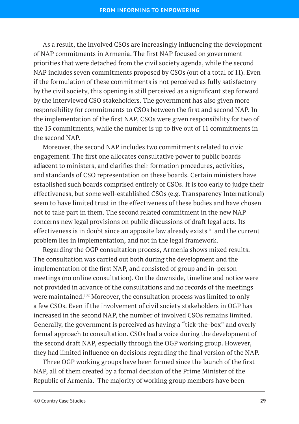As a result, the involved CSOs are increasingly influencing the development of NAP commitments in Armenia. The first NAP focused on government priorities that were detached from the civil society agenda, while the second NAP includes seven commitments proposed by CSOs (out of a total of 11). Even if the formulation of these commitments is not perceived as fully satisfactory by the civil society, this opening is still perceived as a significant step forward by the interviewed CSO stakeholders. The government has also given more responsibility for commitments to CSOs between the first and second NAP. In the implementation of the first NAP, CSOs were given responsibility for two of the 15 commitments, while the number is up to five out of 11 commitments in the second NAP.

Moreover, the second NAP includes two commitments related to civic engagement. The first one allocates consultative power to public boards adjacent to ministers, and clarifies their formation procedures, activities, and standards of CSO representation on these boards. Certain ministers have established such boards comprised entirely of CSOs. It is too early to judge their effectiveness, but some well-established CSOs (e.g. Transparency International) seem to have limited trust in the effectiveness of these bodies and have chosen not to take part in them. The second related commitment in the new NAP concerns new legal provisions on public discussions of draft legal acts. Its effectiveness is in doubt since an apposite law already exists<sup>101</sup> and the current problem lies in implementation, and not in the legal framework.

Regarding the OGP consultation process, Armenia shows mixed results. The consultation was carried out both during the development and the implementation of the first NAP, and consisted of group and in-person meetings (no online consultation). On the downside, timeline and notice were not provided in advance of the consultations and no records of the meetings were maintained.102 Moreover, the consultation process was limited to only a few CSOs. Even if the involvement of civil society stakeholders in OGP has increased in the second NAP, the number of involved CSOs remains limited. Generally, the government is perceived as having a "tick-the-box" and overly formal approach to consultation. CSOs had a voice during the development of the second draft NAP, especially through the OGP working group. However, they had limited influence on decisions regarding the final version of the NAP.

Three OGP working groups have been formed since the launch of the first NAP, all of them created by a formal decision of the Prime Minister of the Republic of Armenia. The majority of working group members have been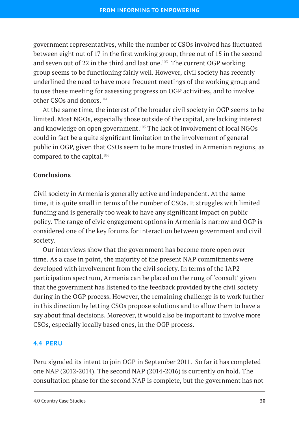government representatives, while the number of CSOs involved has fluctuated between eight out of 17 in the first working group, three out of 15 in the second and seven out of 22 in the third and last one.<sup>103</sup> The current OGP working group seems to be functioning fairly well. However, civil society has recently underlined the need to have more frequent meetings of the working group and to use these meeting for assessing progress on OGP activities, and to involve other CSOs and donors.104

At the same time, the interest of the broader civil society in OGP seems to be limited. Most NGOs, especially those outside of the capital, are lacking interest and knowledge on open government.<sup>105</sup> The lack of involvement of local NGOs could in fact be a quite significant limitation to the involvement of general public in OGP, given that CSOs seem to be more trusted in Armenian regions, as compared to the capital.<sup>106</sup>

## **Conclusions**

Civil society in Armenia is generally active and independent. At the same time, it is quite small in terms of the number of CSOs. It struggles with limited funding and is generally too weak to have any significant impact on public policy. The range of civic engagement options in Armenia is narrow and OGP is considered one of the key forums for interaction between government and civil society.

Our interviews show that the government has become more open over time. As a case in point, the majority of the present NAP commitments were developed with involvement from the civil society. In terms of the IAP2 participation spectrum, Armenia can be placed on the rung of 'consult' given that the government has listened to the feedback provided by the civil society during in the OGP process. However, the remaining challenge is to work further in this direction by letting CSOs propose solutions and to allow them to have a say about final decisions. Moreover, it would also be important to involve more CSOs, especially locally based ones, in the OGP process.

#### <span id="page-32-0"></span>**4.4 PERU**

Peru signaled its intent to join OGP in September 2011. So far it has completed one NAP (2012-2014). The second NAP (2014-2016) is currently on hold. The consultation phase for the second NAP is complete, but the government has not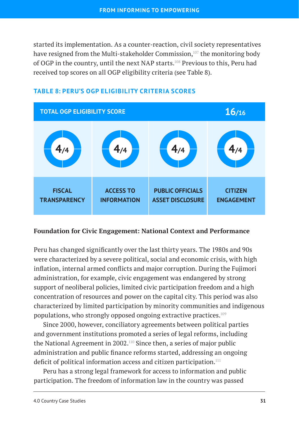started its implementation. As a counter-reaction, civil society representatives have resigned from the Multi-stakeholder Commission,<sup>107</sup> the monitoring body of OGP in the country, until the next NAP starts.108 Previous to this, Peru had received top scores on all OGP eligibility criteria (see Table 8).



# **TABLE 8: PERU'S OGP ELIGIBILITY CRITERIA SCORES**

#### **Foundation for Civic Engagement: National Context and Performance**

Peru has changed significantly over the last thirty years. The 1980s and 90s were characterized by a severe political, social and economic crisis, with high inflation, internal armed conflicts and major corruption. During the Fujimori administration, for example, civic engagement was endangered by strong support of neoliberal policies, limited civic participation freedom and a high concentration of resources and power on the capital city. This period was also characterized by limited participation by minority communities and indigenous populations, who strongly opposed ongoing extractive practices.109

Since 2000, however, conciliatory agreements between political parties and government institutions promoted a series of legal reforms, including the National Agreement in 2002.110 Since then, a series of major public administration and public finance reforms started, addressing an ongoing deficit of political information access and citizen participation.<sup>111</sup>

Peru has a strong legal framework for access to information and public participation. The freedom of information law in the country was passed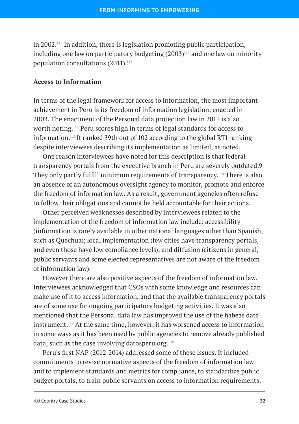in 2002.<sup>112</sup> In addition, there is legislation promoting public participation, including one law on participatory budgeting  $(2003)^{113}$  and one law on minority population consultations  $(2011).$ <sup>114</sup>

#### **Access to Information**

In terms of the legal framework for access to information, the most important achievement in Peru is its freedom of information legislation, enacted in 2002. The enactment of the Personal data protection law in 2013 is also worth noting.115 Peru scores high in terms of legal standards for access to information.116 It ranked 39th out of 102 according to the global RTI ranking despite interviewees describing its implementation as limited, as noted.

One reason interviewees have noted for this description is that federal transparency portals from the executive branch in Peru are severely outdated.9 They only partly fulfill minimum requirements of transparency.118 There is also an absence of an autonomous oversight agency to monitor, promote and enforce the freedom of information law. As a result, government agencies often refuse to follow their obligations and cannot be held accountable for their actions.

Other perceived weaknesses described by interviewees related to the implementation of the freedom of information law include: accessibility (information is rarely available in other national languages other than Spanish, such as Quechua); local implementation (few cities have transparency portals, and even those have low compliance levels); and diffusion (citizens in general, public servants and some elected representatives are not aware of the freedom of information law).

However there are also positive aspects of the freedom of information law. Interviewees acknowledged that CSOs with some knowledge and resources can make use of it to access information, and that the available transparency portals are of some use for ongoing participatory budgeting activities. It was also mentioned that the Personal data law has improved the use of the habeas data instrument.119 At the same time, however, it has worsened access to information in some ways as it has been used by public agencies to remove already published data, such as the case involving datosperu.org. $120$ 

Peru's first NAP (2012-2014) addressed some of these issues. It included commitments to revise normative aspects of the freedom of information law and to implement standards and metrics for compliance, to standardize public budget portals, to train public servants on access to information requirements,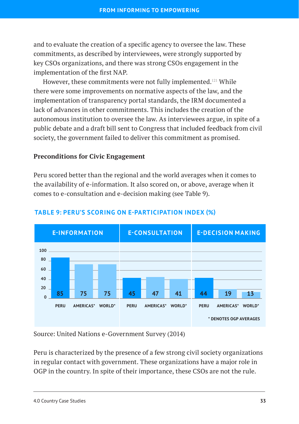and to evaluate the creation of a specific agency to oversee the law. These commitments, as described by interviewees, were strongly supported by key CSOs organizations, and there was strong CSOs engagement in the implementation of the first NAP.

However, these commitments were not fully implemented.<sup>121</sup> While there were some improvements on normative aspects of the law, and the implementation of transparency portal standards, the IRM documented a lack of advances in other commitments. This includes the creation of the autonomous institution to oversee the law. As interviewees argue, in spite of a public debate and a draft bill sent to Congress that included feedback from civil society, the government failed to deliver this commitment as promised.

#### **Preconditions for Civic Engagement**

Peru scored better than the regional and the world averages when it comes to the availability of e-information. It also scored on, or above, average when it comes to e-consultation and e-decision making (see Table 9).



#### **TABLE 9: PERU'S SCORING ON E-PARTICIPATION INDEX (%)**

Source: United Nations e-Government Survey (2014)

Peru is characterized by the presence of a few strong civil society organizations in regular contact with government. These organizations have a major role in OGP in the country. In spite of their importance, these CSOs are not the rule.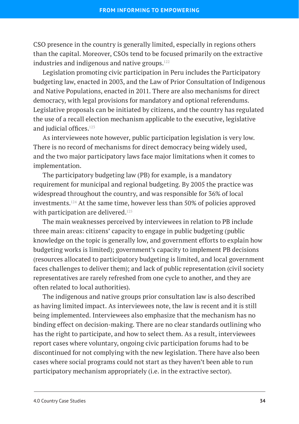CSO presence in the country is generally limited, especially in regions others than the capital. Moreover, CSOs tend to be focused primarily on the extractive industries and indigenous and native groups. $122$ 

Legislation promoting civic participation in Peru includes the Participatory budgeting law, enacted in 2003, and the Law of Prior Consultation of Indigenous and Native Populations, enacted in 2011. There are also mechanisms for direct democracy, with legal provisions for mandatory and optional referendums. Legislative proposals can be initiated by citizens, and the country has regulated the use of a recall election mechanism applicable to the executive, legislative and judicial offices. $123$ 

As interviewees note however, public participation legislation is very low. There is no record of mechanisms for direct democracy being widely used, and the two major participatory laws face major limitations when it comes to implementation.

The participatory budgeting law (PB) for example, is a mandatory requirement for municipal and regional budgeting. By 2005 the practice was widespread throughout the country, and was responsible for 36% of local investments.124 At the same time, however less than 50% of policies approved with participation are delivered.<sup>125</sup>

The main weaknesses perceived by interviewees in relation to PB include three main areas: citizens' capacity to engage in public budgeting (public knowledge on the topic is generally low, and government efforts to explain how budgeting works is limited); government's capacity to implement PB decisions (resources allocated to participatory budgeting is limited, and local government faces challenges to deliver them); and lack of public representation (civil society representatives are rarely refreshed from one cycle to another, and they are often related to local authorities).

The indigenous and native groups prior consultation law is also described as having limited impact. As interviewees note, the law is recent and it is still being implemented. Interviewees also emphasize that the mechanism has no binding effect on decision-making. There are no clear standards outlining who has the right to participate, and how to select them. As a result, interviewees report cases where voluntary, ongoing civic participation forums had to be discontinued for not complying with the new legislation. There have also been cases where social programs could not start as they haven't been able to run participatory mechanism appropriately (i.e. in the extractive sector).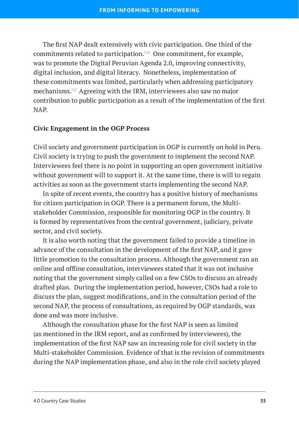The first NAP dealt extensively with civic participation. One third of the commitments related to participation.126 One commitment, for example, was to promote the Digital Peruvian Agenda 2.0, improving connectivity, digital inclusion, and digital literacy. Nonetheless, implementation of these commitments was limited, particularly when addressing participatory mechanisms.127 Agreeing with the IRM, interviewees also saw no major contribution to public participation as a result of the implementation of the first NAP.

#### **Civic Engagement in the OGP Process**

Civil society and government participation in OGP is currently on hold in Peru. Civil society is trying to push the government to implement the second NAP. Interviewees feel there is no point in supporting an open government initiative without government will to support it. At the same time, there is will to regain activities as soon as the government starts implementing the second NAP.

In spite of recent events, the country has a positive history of mechanisms for citizen participation in OGP. There is a permanent forum, the Multistakeholder Commission, responsible for monitoring OGP in the country. It is formed by representatives from the central government, judiciary, private sector, and civil society.

It is also worth noting that the government failed to provide a timeline in advance of the consultation in the development of the first NAP, and it gave little promotion to the consultation process. Although the government ran an online and offline consultation, interviewees stated that it was not inclusive noting that the government simply called on a few CSOs to discuss an already drafted plan. During the implementation period, however, CSOs had a role to discuss the plan, suggest modifications, and in the consultation period of the second NAP, the process of consultations, as required by OGP standards, was done and was more inclusive.

Although the consultation phase for the first NAP is seen as limited (as mentioned in the IRM report, and as confirmed by interviewees), the implementation of the first NAP saw an increasing role for civil society in the Multi-stakeholder Commission. Evidence of that is the revision of commitments during the NAP implementation phase, and also in the role civil society played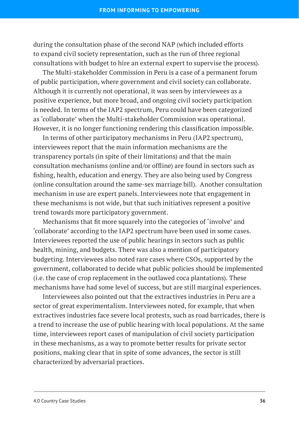during the consultation phase of the second NAP (which included efforts to expand civil society representation, such as the run of three regional consultations with budget to hire an external expert to supervise the process).

The Multi-stakeholder Commission in Peru is a case of a permanent forum of public participation, where government and civil society can collaborate. Although it is currently not operational, it was seen by interviewees as a positive experience, but more broad, and ongoing civil society participation is needed. In terms of the IAP2 spectrum, Peru could have been categorized as 'collaborate' when the Multi-stakeholder Commission was operational. However, it is no longer functioning rendering this classification impossible.

In terms of other participatory mechanisms in Peru (IAP2 spectrum), interviewees report that the main information mechanisms are the transparency portals (in spite of their limitations) and that the main consultation mechanisms (online and/or offline) are found in sectors such as fishing, health, education and energy. They are also being used by Congress (online consultation around the same-sex marriage bill). Another consultation mechanism in use are expert panels. Interviewees note that engagement in these mechanisms is not wide, but that such initiatives represent a positive trend towards more participatory government.

Mechanisms that fit more squarely into the categories of 'involve' and 'collaborate' according to the IAP2 spectrum have been used in some cases. Interviewees reported the use of public hearings in sectors such as public health, mining, and budgets. There was also a mention of participatory budgeting. Interviewees also noted rare cases where CSOs, supported by the government, collaborated to decide what public policies should be implemented (i.e. the case of crop replacement in the outlawed coca plantations). These mechanisms have had some level of success, but are still marginal experiences.

Interviewees also pointed out that the extractives industries in Peru are a sector of great experimentalism. Interviewees noted, for example, that when extractives industries face severe local protests, such as road barricades, there is a trend to increase the use of public hearing with local populations. At the same time, interviewees report cases of manipulation of civil society participation in these mechanisms, as a way to promote better results for private sector positions, making clear that in spite of some advances, the sector is still characterized by adversarial practices.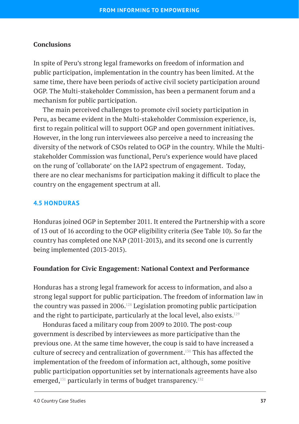## **Conclusions**

In spite of Peru's strong legal frameworks on freedom of information and public participation, implementation in the country has been limited. At the same time, there have been periods of active civil society participation around OGP. The Multi-stakeholder Commission, has been a permanent forum and a mechanism for public participation.

The main perceived challenges to promote civil society participation in Peru, as became evident in the Multi-stakeholder Commission experience, is, first to regain political will to support OGP and open government initiatives. However, in the long run interviewees also perceive a need to increasing the diversity of the network of CSOs related to OGP in the country. While the Multistakeholder Commission was functional, Peru's experience would have placed on the rung of 'collaborate' on the IAP2 spectrum of engagement. Today, there are no clear mechanisms for participation making it difficult to place the country on the engagement spectrum at all.

## **4.5 HONDURAS**

Honduras joined OGP in September 2011. It entered the Partnership with a score of 13 out of 16 according to the OGP eligibility criteria (See Table 10). So far the country has completed one NAP (2011-2013), and its second one is currently being implemented (2013-2015).

#### **Foundation for Civic Engagement: National Context and Performance**

Honduras has a strong legal framework for access to information, and also a strong legal support for public participation. The freedom of information law in the country was passed in 2006.128 Legislation promoting public participation and the right to participate, particularly at the local level, also exists.<sup>129</sup>

Honduras faced a military coup from 2009 to 2010. The post-coup government is described by interviewees as more participative than the previous one. At the same time however, the coup is said to have increased a culture of secrecy and centralization of government.130 This has affected the implementation of the freedom of information act, although, some positive public participation opportunities set by internationals agreements have also emerged, $131$  particularly in terms of budget transparency. $132$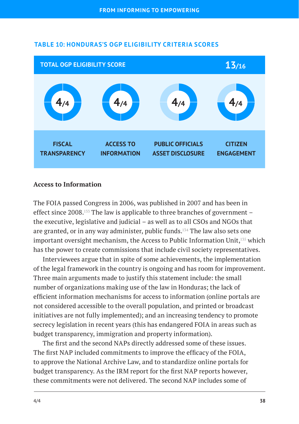

## **TABLE 10: HONDURAS'S OGP ELIGIBILITY CRITERIA SCORES**

#### **Access to Information**

The FOIA passed Congress in 2006, was published in 2007 and has been in effect since 2008.133 The law is applicable to three branches of government – the executive, legislative and judicial – as well as to all CSOs and NGOs that are granted, or in any way administer, public funds.134 The law also sets one important oversight mechanism, the Access to Public Information Unit,135 which has the power to create commissions that include civil society representatives.

Interviewees argue that in spite of some achievements, the implementation of the legal framework in the country is ongoing and has room for improvement. Three main arguments made to justify this statement include: the small number of organizations making use of the law in Honduras; the lack of efficient information mechanisms for access to information (online portals are not considered accessible to the overall population, and printed or broadcast initiatives are not fully implemented); and an increasing tendency to promote secrecy legislation in recent years (this has endangered FOIA in areas such as budget transparency, immigration and property information).

The first and the second NAPs directly addressed some of these issues. The first NAP included commitments to improve the efficacy of the FOIA, to approve the National Archive Law, and to standardize online portals for budget transparency. As the IRM report for the first NAP reports however, these commitments were not delivered. The second NAP includes some of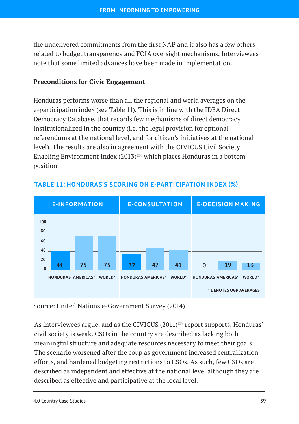the undelivered commitments from the first NAP and it also has a few others related to budget transparency and FOIA oversight mechanisms. Interviewees note that some limited advances have been made in implementation.

## **Preconditions for Civic Engagement**

Honduras performs worse than all the regional and world averages on the e-participation index (see Table 11). This is in line with the IDEA Direct Democracy Database, that records few mechanisms of direct democracy institutionalized in the country (i.e. the legal provision for optional referendums at the national level, and for citizen's initiatives at the national level). The results are also in agreement with the CIVICUS Civil Society Enabling Environment Index  $(2013)^{136}$  which places Honduras in a bottom position.



## **TABLE 11: HONDURAS'S SCORING ON E-PARTICIPATION INDEX (%)**

Source: United Nations e-Government Survey (2014)

As interviewees argue, and as the CIVICUS  $(2011)^{137}$  report supports, Honduras' civil society is weak. CSOs in the country are described as lacking both meaningful structure and adequate resources necessary to meet their goals. The scenario worsened after the coup as government increased centralization efforts, and hardened budgeting restrictions to CSOs. As such, few CSOs are described as independent and effective at the national level although they are described as effective and participative at the local level.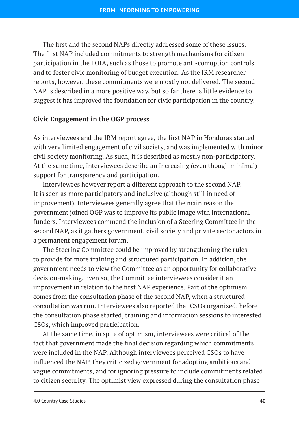The first and the second NAPs directly addressed some of these issues. The first NAP included commitments to strength mechanisms for citizen participation in the FOIA, such as those to promote anti-corruption controls and to foster civic monitoring of budget execution. As the IRM researcher reports, however, these commitments were mostly not delivered. The second NAP is described in a more positive way, but so far there is little evidence to suggest it has improved the foundation for civic participation in the country.

#### **Civic Engagement in the OGP process**

As interviewees and the IRM report agree, the first NAP in Honduras started with very limited engagement of civil society, and was implemented with minor civil society monitoring. As such, it is described as mostly non-participatory. At the same time, interviewees describe an increasing (even though minimal) support for transparency and participation.

Interviewees however report a different approach to the second NAP. It is seen as more participatory and inclusive (although still in need of improvement). Interviewees generally agree that the main reason the government joined OGP was to improve its public image with international funders. Interviewees commend the inclusion of a Steering Committee in the second NAP, as it gathers government, civil society and private sector actors in a permanent engagement forum.

The Steering Committee could be improved by strengthening the rules to provide for more training and structured participation. In addition, the government needs to view the Committee as an opportunity for collaborative decision-making. Even so, the Committee interviewees consider it an improvement in relation to the first NAP experience. Part of the optimism comes from the consultation phase of the second NAP, when a structured consultation was run. Interviewees also reported that CSOs organized, before the consultation phase started, training and information sessions to interested CSOs, which improved participation.

At the same time, in spite of optimism, interviewees were critical of the fact that government made the final decision regarding which commitments were included in the NAP. Although interviewees perceived CSOs to have influenced the NAP, they criticized government for adopting ambitious and vague commitments, and for ignoring pressure to include commitments related to citizen security. The optimist view expressed during the consultation phase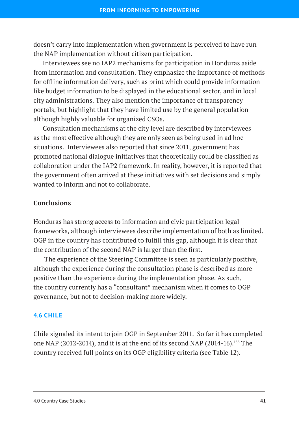doesn't carry into implementation when government is perceived to have run the NAP implementation without citizen participation.

Interviewees see no IAP2 mechanisms for participation in Honduras aside from information and consultation. They emphasize the importance of methods for offline information delivery, such as print which could provide information like budget information to be displayed in the educational sector, and in local city administrations. They also mention the importance of transparency portals, but highlight that they have limited use by the general population although highly valuable for organized CSOs.

Consultation mechanisms at the city level are described by interviewees as the most effective although they are only seen as being used in ad hoc situations. Interviewees also reported that since 2011, government has promoted national dialogue initiatives that theoretically could be classified as collaboration under the IAP2 framework. In reality, however, it is reported that the government often arrived at these initiatives with set decisions and simply wanted to inform and not to collaborate.

## **Conclusions**

Honduras has strong access to information and civic participation legal frameworks, although interviewees describe implementation of both as limited. OGP in the country has contributed to fulfill this gap, although it is clear that the contribution of the second NAP is larger than the first.

 The experience of the Steering Committee is seen as particularly positive, although the experience during the consultation phase is described as more positive than the experience during the implementation phase. As such, the country currently has a "consultant" mechanism when it comes to OGP governance, but not to decision-making more widely.

## **4.6 CHILE**

Chile signaled its intent to join OGP in September 2011. So far it has completed one NAP (2012-2014), and it is at the end of its second NAP (2014-16).<sup>138</sup> The country received full points on its OGP eligibility criteria (see Table 12).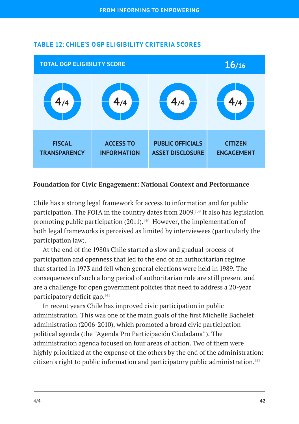

## **TABLE 12: CHILE'S OGP ELIGIBILITY CRITERIA SCORES**

#### **Foundation for Civic Engagement: National Context and Performance**

Chile has a strong legal framework for access to information and for public participation. The FOIA in the country dates from 2009.139 It also has legislation promoting public participation  $(2011).<sup>140</sup>$  However, the implementation of both legal frameworks is perceived as limited by interviewees (particularly the participation law).

At the end of the 1980s Chile started a slow and gradual process of participation and openness that led to the end of an authoritarian regime that started in 1973 and fell when general elections were held in 1989. The consequences of such a long period of authoritarian rule are still present and are a challenge for open government policies that need to address a 20-year participatory deficit gap.<sup>141</sup>

In recent years Chile has improved civic participation in public administration. This was one of the main goals of the first Michelle Bachelet administration (2006-2010), which promoted a broad civic participation political agenda (the "Agenda Pro Participación Ciudadana"). The administration agenda focused on four areas of action. Two of them were highly prioritized at the expense of the others by the end of the administration: citizen's right to public information and participatory public administration.<sup>142</sup>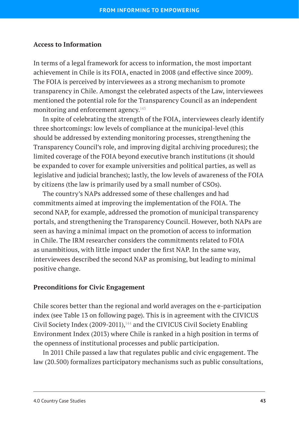#### **Access to Information**

In terms of a legal framework for access to information, the most important achievement in Chile is its FOIA, enacted in 2008 (and effective since 2009). The FOIA is perceived by interviewees as a strong mechanism to promote transparency in Chile. Amongst the celebrated aspects of the Law, interviewees mentioned the potential role for the Transparency Council as an independent monitoring and enforcement agency.<sup>143</sup>

In spite of celebrating the strength of the FOIA, interviewees clearly identify three shortcomings: low levels of compliance at the municipal-level (this should be addressed by extending monitoring processes, strengthening the Transparency Council's role, and improving digital archiving procedures); the limited coverage of the FOIA beyond executive branch institutions (it should be expanded to cover for example universities and political parties, as well as legislative and judicial branches); lastly, the low levels of awareness of the FOIA by citizens (the law is primarily used by a small number of CSOs).

The country's NAPs addressed some of these challenges and had commitments aimed at improving the implementation of the FOIA. The second NAP, for example, addressed the promotion of municipal transparency portals, and strengthening the Transparency Council. However, both NAPs are seen as having a minimal impact on the promotion of access to information in Chile. The IRM researcher considers the commitments related to FOIA as unambitious, with little impact under the first NAP. In the same way, interviewees described the second NAP as promising, but leading to minimal positive change.

#### **Preconditions for Civic Engagement**

Chile scores better than the regional and world averages on the e-participation index (see Table 13 on following page). This is in agreement with the CIVICUS Civil Society Index (2009-2011),<sup>144</sup> and the CIVICUS Civil Society Enabling Environment Index (2013) where Chile is ranked in a high position in terms of the openness of institutional processes and public participation.

In 2011 Chile passed a law that regulates public and civic engagement. The law (20.500) formalizes participatory mechanisms such as public consultations,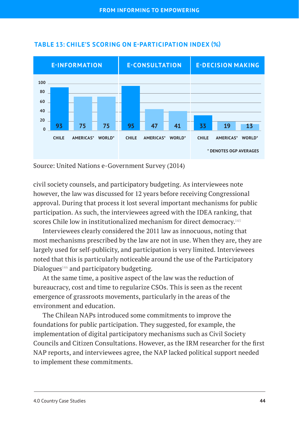

## **TABLE 13: CHILE'S SCORING ON E-PARTICIPATION INDEX (%)**

Source: United Nations e-Government Survey (2014)

civil society counsels, and participatory budgeting. As interviewees note however, the law was discussed for 12 years before receiving Congressional approval. During that process it lost several important mechanisms for public participation. As such, the interviewees agreed with the IDEA ranking, that scores Chile low in institutionalized mechanism for direct democracy.<sup>145</sup>

Interviewees clearly considered the 2011 law as innocuous, noting that most mechanisms prescribed by the law are not in use. When they are, they are largely used for self-publicity, and participation is very limited. Interviewees noted that this is particularly noticeable around the use of the Participatory Dialogues $146$  and participatory budgeting.

At the same time, a positive aspect of the law was the reduction of bureaucracy, cost and time to regularize CSOs. This is seen as the recent emergence of grassroots movements, particularly in the areas of the environment and education.

The Chilean NAPs introduced some commitments to improve the foundations for public participation. They suggested, for example, the implementation of digital participatory mechanisms such as Civil Society Councils and Citizen Consultations. However, as the IRM researcher for the first NAP reports, and interviewees agree, the NAP lacked political support needed to implement these commitments.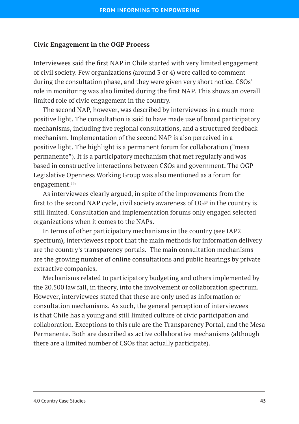#### **Civic Engagement in the OGP Process**

Interviewees said the first NAP in Chile started with very limited engagement of civil society. Few organizations (around 3 or 4) were called to comment during the consultation phase, and they were given very short notice. CSOs' role in monitoring was also limited during the first NAP. This shows an overall limited role of civic engagement in the country.

The second NAP, however, was described by interviewees in a much more positive light. The consultation is said to have made use of broad participatory mechanisms, including five regional consultations, and a structured feedback mechanism. Implementation of the second NAP is also perceived in a positive light. The highlight is a permanent forum for collaboration ("mesa permanente"). It is a participatory mechanism that met regularly and was based in constructive interactions between CSOs and government. The OGP Legislative Openness Working Group was also mentioned as a forum for engagement.<sup>147</sup>

As interviewees clearly argued, in spite of the improvements from the first to the second NAP cycle, civil society awareness of OGP in the country is still limited. Consultation and implementation forums only engaged selected organizations when it comes to the NAPs.

In terms of other participatory mechanisms in the country (see IAP2 spectrum), interviewees report that the main methods for information delivery are the country's transparency portals. The main consultation mechanisms are the growing number of online consultations and public hearings by private extractive companies.

Mechanisms related to participatory budgeting and others implemented by the 20.500 law fall, in theory, into the involvement or collaboration spectrum. However, interviewees stated that these are only used as information or consultation mechanisms. As such, the general perception of interviewees is that Chile has a young and still limited culture of civic participation and collaboration. Exceptions to this rule are the Transparency Portal, and the Mesa Permanente. Both are described as active collaborative mechanisms (although there are a limited number of CSOs that actually participate).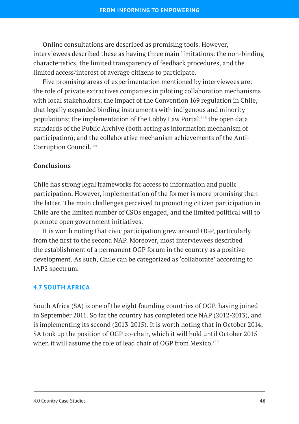Online consultations are described as promising tools. However, interviewees described these as having three main limitations: the non-binding characteristics, the limited transparency of feedback procedures, and the limited access/interest of average citizens to participate.

Five promising areas of experimentation mentioned by interviewees are: the role of private extractives companies in piloting collaboration mechanisms with local stakeholders; the impact of the Convention 169 regulation in Chile, that legally expanded binding instruments with indigenous and minority populations; the implementation of the Lobby Law Portal,148 the open data standards of the Public Archive (both acting as information mechanism of participation); and the collaborative mechanism achievements of the Anti-Corruption Council.149

#### **Conclusions**

Chile has strong legal frameworks for access to information and public participation. However, implementation of the former is more promising than the latter. The main challenges perceived to promoting citizen participation in Chile are the limited number of CSOs engaged, and the limited political will to promote open government initiatives.

It is worth noting that civic participation grew around OGP, particularly from the first to the second NAP. Moreover, most interviewees described the establishment of a permanent OGP forum in the country as a positive development. As such, Chile can be categorized as 'collaborate' according to IAP2 spectrum.

#### **4.7 SOUTH AFRICA**

South Africa (SA) is one of the eight founding countries of OGP, having joined in September 2011. So far the country has completed one NAP (2012-2013), and is implementing its second (2013-2015). It is worth noting that in October 2014, SA took up the position of OGP co-chair, which it will hold until October 2015 when it will assume the role of lead chair of OGP from Mexico.<sup>150</sup>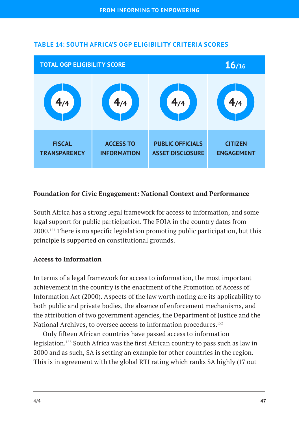

## **TABLE 14: SOUTH AFRICA'S OGP ELIGIBILITY CRITERIA SCORES**

## **Foundation for Civic Engagement: National Context and Performance**

South Africa has a strong legal framework for access to information, and some legal support for public participation. The FOIA in the country dates from 2000.151 There is no specific legislation promoting public participation, but this principle is supported on constitutional grounds.

## **Access to Information**

In terms of a legal framework for access to information, the most important achievement in the country is the enactment of the Promotion of Access of Information Act (2000). Aspects of the law worth noting are its applicability to both public and private bodies, the absence of enforcement mechanisms, and the attribution of two government agencies, the Department of Justice and the National Archives, to oversee access to information procedures.<sup>152</sup>

Only fifteen African countries have passed access to information legislation.153 South Africa was the first African country to pass such as law in 2000 and as such, SA is setting an example for other countries in the region. This is in agreement with the global RTI rating which ranks SA highly (17 out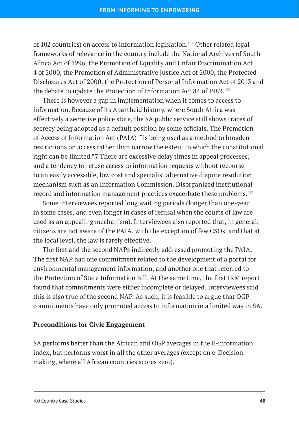of 102 countries) on access to information legislation.154 Other related legal frameworks of relevance in the country include the National Archives of South Africa Act of 1996, the Promotion of Equality and Unfair Discrimination Act 4 of 2000, the Promotion of Administrative Justice Act of 2000, the Protected Disclosures Act of 2000, the Protection of Personal Information Act of 2013 and the debate to update the Protection of Information Act 84 of 1982.<sup>155</sup>

There is however a gap in implementation when it comes to access to information. Because of its Apartheid history, where South Africa was effectively a secretive police state, the SA public service still shows traces of secrecy being adopted as a default position by some officials. The Promotion of Access of Information Act (PAIA) "is being used as a method to broaden restrictions on access rather than narrow the extent to which the constitutional right can be limited."7 There are excessive delay times in appeal processes, and a tendency to refuse access to information requests without recourse to an easily accessible, low cost and specialist alternative dispute resolution mechanism such as an Information Commission. Disorganized institutional record and information management practices exacerbate these problems.157

Some interviewees reported long waiting periods (longer than one-year in some cases, and even longer in cases of refusal when the courts of law are used as an appealing mechanism). Interviewees also reported that, in general, citizens are not aware of the PAIA, with the exception of few CSOs, and that at the local level, the law is rarely effective.

The first and the second NAPs indirectly addressed promoting the PAIA. The first NAP had one commitment related to the development of a portal for environmental management information, and another one that referred to the Protection of State Information Bill. At the same time, the first IRM report found that commitments were either incomplete or delayed. Interviewees said this is also true of the second NAP. As such, it is feasible to argue that OGP commitments have only promoted access to information in a limited way in SA.

#### **Preconditions for Civic Engagement**

SA performs better than the African and OGP averages in the E-information index, but performs worst in all the other averages (except on e-Decision making, where all African countries scores zero).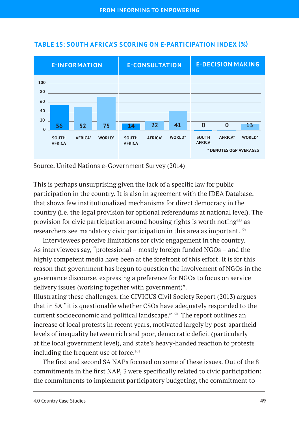

### **TABLE 15: SOUTH AFRICA'S SCORING ON E-PARTICIPATION INDEX (%)**

Source: United Nations e-Government Survey (2014)

This is perhaps unsurprising given the lack of a specific law for public participation in the country. It is also in agreement with the IDEA Database, that shows few institutionalized mechanisms for direct democracy in the country (i.e. the legal provision for optional referendums at national level). The provision for civic participation around housing rights is worth noting158 as researchers see mandatory civic participation in this area as important.<sup>159</sup>

Interviewees perceive limitations for civic engagement in the country. As interviewees say, "professional – mostly foreign funded NGOs – and the highly competent media have been at the forefront of this effort. It is for this reason that government has begun to question the involvement of NGOs in the governance discourse, expressing a preference for NGOs to focus on service delivery issues (working together with government)".

Illustrating these challenges, the CIVICUS Civil Society Report (2013) argues that in SA "it is questionable whether CSOs have adequately responded to the current socioeconomic and political landscape."160 The report outlines an increase of local protests in recent years, motivated largely by post-apartheid levels of inequality between rich and poor, democratic deficit (particularly at the local government level), and state's heavy-handed reaction to protests including the frequent use of force.<sup>161</sup>

The first and second SA NAPs focused on some of these issues. Out of the 8 commitments in the first NAP, 3 were specifically related to civic participation: the commitments to implement participatory budgeting, the commitment to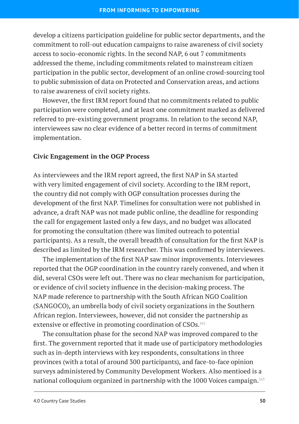develop a citizens participation guideline for public sector departments, and the commitment to roll-out education campaigns to raise awareness of civil society access to socio-economic rights. In the second NAP, 6 out 7 commitments addressed the theme, including commitments related to mainstream citizen participation in the public sector, development of an online crowd-sourcing tool to public submission of data on Protected and Conservation areas, and actions to raise awareness of civil society rights.

However, the first IRM report found that no commitments related to public participation were completed, and at least one commitment marked as delivered referred to pre-existing government programs. In relation to the second NAP, interviewees saw no clear evidence of a better record in terms of commitment implementation.

## **Civic Engagement in the OGP Process**

As interviewees and the IRM report agreed, the first NAP in SA started with very limited engagement of civil society. According to the IRM report, the country did not comply with OGP consultation processes during the development of the first NAP. Timelines for consultation were not published in advance, a draft NAP was not made public online, the deadline for responding the call for engagement lasted only a few days, and no budget was allocated for promoting the consultation (there was limited outreach to potential participants). As a result, the overall breadth of consultation for the first NAP is described as limited by the IRM researcher. This was confirmed by interviewees.

The implementation of the first NAP saw minor improvements. Interviewees reported that the OGP coordination in the country rarely convened, and when it did, several CSOs were left out. There was no clear mechanism for participation, or evidence of civil society influence in the decision-making process. The NAP made reference to partnership with the South African NGO Coalition (SANGOCO), an umbrella body of civil society organizations in the Southern African region. Interviewees, however, did not consider the partnership as extensive or effective in promoting coordination of CSOs.<sup>162</sup>

The consultation phase for the second NAP was improved compared to the first. The government reported that it made use of participatory methodologies such as in-depth interviews with key respondents, consultations in three provinces (with a total of around 300 participants), and face-to-face opinion surveys administered by Community Development Workers. Also mentioed is a national colloquium organized in partnership with the 1000 Voices campaign.163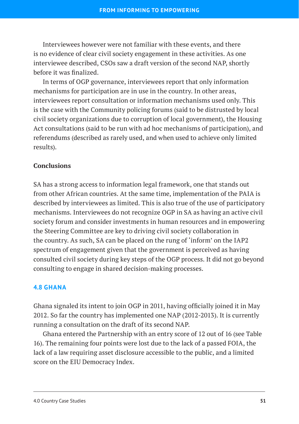Interviewees however were not familiar with these events, and there is no evidence of clear civil society engagement in these activities. As one interviewee described, CSOs saw a draft version of the second NAP, shortly before it was finalized.

In terms of OGP governance, interviewees report that only information mechanisms for participation are in use in the country. In other areas, interviewees report consultation or information mechanisms used only. This is the case with the Community policing forums (said to be distrusted by local civil society organizations due to corruption of local government), the Housing Act consultations (said to be run with ad hoc mechanisms of participation), and referendums (described as rarely used, and when used to achieve only limited results).

#### **Conclusions**

SA has a strong access to information legal framework, one that stands out from other African countries. At the same time, implementation of the PAIA is described by interviewees as limited. This is also true of the use of participatory mechanisms. Interviewees do not recognize OGP in SA as having an active civil society forum and consider investments in human resources and in empowering the Steering Committee are key to driving civil society collaboration in the country. As such, SA can be placed on the rung of 'inform' on the IAP2 spectrum of engagement given that the government is perceived as having consulted civil society during key steps of the OGP process. It did not go beyond consulting to engage in shared decision-making processes.

#### **4.8 GHANA**

Ghana signaled its intent to join OGP in 2011, having officially joined it in May 2012. So far the country has implemented one NAP (2012-2013). It is currently running a consultation on the draft of its second NAP.

Ghana entered the Partnership with an entry score of 12 out of 16 (see Table 16). The remaining four points were lost due to the lack of a passed FOIA, the lack of a law requiring asset disclosure accessible to the public, and a limited score on the EIU Democracy Index.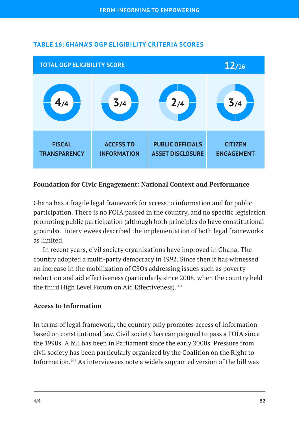

## **TABLE 16: GHANA'S OGP ELIGIBILITY CRITERIA SCORES**

## **Foundation for Civic Engagement: National Context and Performance**

Ghana has a fragile legal framework for access to information and for public participation. There is no FOIA passed in the country, and no specific legislation promoting public participation (although both principles do have constitutional grounds). Interviewees described the implementation of both legal frameworks as limited.

In recent years, civil society organizations have improved in Ghana. The country adopted a multi-party democracy in 1992. Since then it has witnessed an increase in the mobilization of CSOs addressing issues such as poverty reduction and aid effectiveness (particularly since 2008, when the country held the third High Level Forum on Aid Effectiveness).<sup>164</sup>

#### **Access to Information**

In terms of legal framework, the country only promotes access of information based on constitutional law. Civil society has campaigned to pass a FOIA since the 1990s. A bill has been in Parliament since the early 2000s. Pressure from civil society has been particularly organized by the Coalition on the Right to Information.165 As interviewees note a widely supported version of the bill was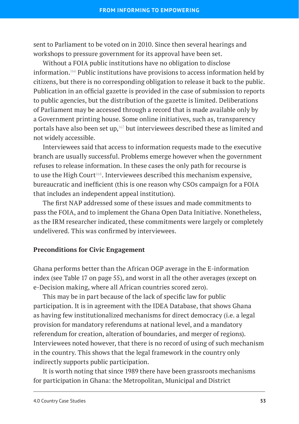sent to Parliament to be voted on in 2010. Since then several hearings and workshops to pressure government for its approval have been set.

Without a FOIA public institutions have no obligation to disclose information.166 Public institutions have provisions to access information held by citizens, but there is no corresponding obligation to release it back to the public. Publication in an official gazette is provided in the case of submission to reports to public agencies, but the distribution of the gazette is limited. Deliberations of Parliament may be accessed through a record that is made available only by a Government printing house. Some online initiatives, such as, transparency portals have also been set up,167 but interviewees described these as limited and not widely accessible.

Interviewees said that access to information requests made to the executive branch are usually successful. Problems emerge however when the government refuses to release information. In these cases the only path for recourse is to use the High Court<sup>168</sup>. Interviewees described this mechanism expensive, bureaucratic and inefficient (this is one reason why CSOs campaign for a FOIA that includes an independent appeal institution).

The first NAP addressed some of these issues and made commitments to pass the FOIA, and to implement the Ghana Open Data Initiative. Nonetheless, as the IRM researcher indicated, these commitments were largely or completely undelivered. This was confirmed by interviewees.

#### **Preconditions for Civic Engagement**

Ghana performs better than the African OGP average in the E-information index (see Table 17 on page 55), and worst in all the other averages (except on e-Decision making, where all African countries scored zero).

This may be in part because of the lack of specific law for public participation. It is in agreement with the IDEA Database, that shows Ghana as having few institutionalized mechanisms for direct democracy (i.e. a legal provision for mandatory referendums at national level, and a mandatory referendum for creation, alteration of boundaries, and merger of regions). Interviewees noted however, that there is no record of using of such mechanism in the country. This shows that the legal framework in the country only indirectly supports public participation.

It is worth noting that since 1989 there have been grassroots mechanisms for participation in Ghana: the Metropolitan, Municipal and District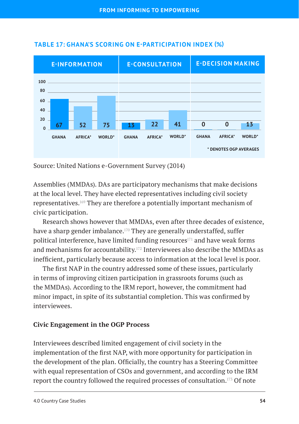

## **TABLE 17: GHANA'S SCORING ON E-PARTICIPATION INDEX (%)**

Source: United Nations e-Government Survey (2014)

Assemblies (MMDAs). DAs are participatory mechanisms that make decisions at the local level. They have elected representatives including civil society representatives.169 They are therefore a potentially important mechanism of civic participation.

Research shows however that MMDAs, even after three decades of existence, have a sharp gender imbalance.<sup>170</sup> They are generally understaffed, suffer political interference, have limited funding resources $171$  and have weak forms and mechanisms for accountability.172 Interviewees also describe the MMDAs as inefficient, particularly because access to information at the local level is poor.

The first NAP in the country addressed some of these issues, particularly in terms of improving citizen participation in grassroots forums (such as the MMDAs). According to the IRM report, however, the commitment had minor impact, in spite of its substantial completion. This was confirmed by interviewees.

## **Civic Engagement in the OGP Process**

Interviewees described limited engagement of civil society in the implementation of the first NAP, with more opportunity for participation in the development of the plan. Officially, the country has a Steering Committee with equal representation of CSOs and government, and according to the IRM report the country followed the required processes of consultation.173 Of note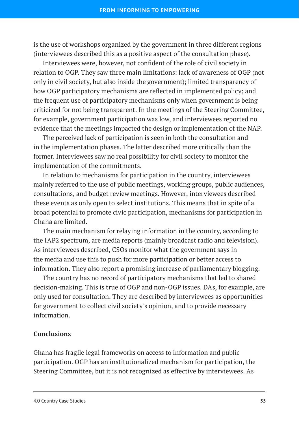is the use of workshops organized by the government in three different regions (interviewees described this as a positive aspect of the consultation phase).

Interviewees were, however, not confident of the role of civil society in relation to OGP. They saw three main limitations: lack of awareness of OGP (not only in civil society, but also inside the government); limited transparency of how OGP participatory mechanisms are reflected in implemented policy; and the frequent use of participatory mechanisms only when government is being criticized for not being transparent. In the meetings of the Steering Committee, for example, government participation was low, and interviewees reported no evidence that the meetings impacted the design or implementation of the NAP.

The perceived lack of participation is seen in both the consultation and in the implementation phases. The latter described more critically than the former. Interviewees saw no real possibility for civil society to monitor the implementation of the commitments.

In relation to mechanisms for participation in the country, interviewees mainly referred to the use of public meetings, working groups, public audiences, consultations, and budget review meetings. However, interviewees described these events as only open to select institutions. This means that in spite of a broad potential to promote civic participation, mechanisms for participation in Ghana are limited.

The main mechanism for relaying information in the country, according to the IAP2 spectrum, are media reports (mainly broadcast radio and television). As interviewees described, CSOs monitor what the government says in the media and use this to push for more participation or better access to information. They also report a promising increase of parliamentary blogging.

The country has no record of participatory mechanisms that led to shared decision-making. This is true of OGP and non-OGP issues. DAs, for example, are only used for consultation. They are described by interviewees as opportunities for government to collect civil society's opinion, and to provide necessary information.

## **Conclusions**

Ghana has fragile legal frameworks on access to information and public participation. OGP has an institutionalized mechanism for participation, the Steering Committee, but it is not recognized as effective by interviewees. As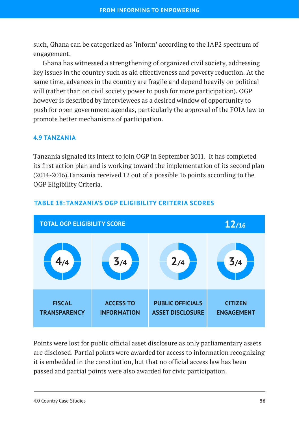such, Ghana can be categorized as 'inform' according to the IAP2 spectrum of engagement.

Ghana has witnessed a strengthening of organized civil society, addressing key issues in the country such as aid effectiveness and poverty reduction. At the same time, advances in the country are fragile and depend heavily on political will (rather than on civil society power to push for more participation). OGP however is described by interviewees as a desired window of opportunity to push for open government agendas, particularly the approval of the FOIA law to promote better mechanisms of participation.

## **4.9 TANZANIA**

Tanzania signaled its intent to join OGP in September 2011. It has completed its first action plan and is working toward the implementation of its second plan (2014-2016).Tanzania received 12 out of a possible 16 points according to the OGP Eligibility Criteria.



## **TABLE 18: TANZANIA'S OGP ELIGIBILITY CRITERIA SCORES**

Points were lost for public official asset disclosure as only parliamentary assets are disclosed. Partial points were awarded for access to information recognizing it is embedded in the constitution, but that no official access law has been passed and partial points were also awarded for civic participation.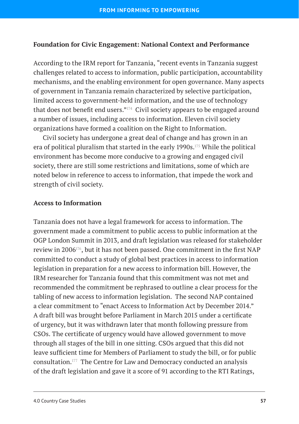## **Foundation for Civic Engagement: National Context and Performance**

According to the IRM report for Tanzania, "recent events in Tanzania suggest challenges related to access to information, public participation, accountability mechanisms, and the enabling environment for open governance. Many aspects of government in Tanzania remain characterized by selective participation, limited access to government-held information, and the use of technology that does not benefit end users."<sup>174</sup> Civil society appears to be engaged around a number of issues, including access to information. Eleven civil society organizations have formed a coalition on the Right to Information.

Civil society has undergone a great deal of change and has grown in an era of political pluralism that started in the early 1990s.<sup>175</sup> While the political environment has become more conducive to a growing and engaged civil society, there are still some restrictions and limitations, some of which are noted below in reference to access to information, that impede the work and strength of civil society.

#### **Access to Information**

Tanzania does not have a legal framework for access to information. The government made a commitment to public access to public information at the OGP London Summit in 2013, and draft legislation was released for stakeholder review in 2006176, but it has not been passed. One commitment in the first NAP committed to conduct a study of global best practices in access to information legislation in preparation for a new access to information bill. However, the IRM researcher for Tanzania found that this commitment was not met and recommended the commitment be rephrased to outline a clear process for the tabling of new access to information legislation. The second NAP contained a clear commitment to "enact Access to Information Act by December 2014." A draft bill was brought before Parliament in March 2015 under a certificate of urgency, but it was withdrawn later that month following pressure from CSOs. The certificate of urgency would have allowed government to move through all stages of the bill in one sitting. CSOs argued that this did not leave sufficient time for Members of Parliament to study the bill, or for public consultation.177 The Centre for Law and Democracy conducted an analysis of the draft legislation and gave it a score of 91 according to the RTI Ratings,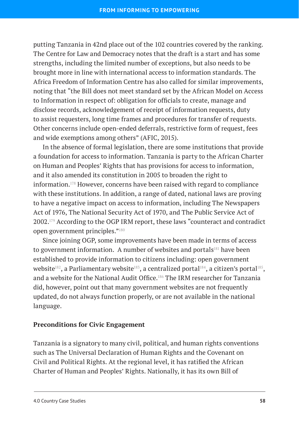putting Tanzania in 42nd place out of the 102 countries covered by the ranking. The Centre for Law and Democracy notes that the draft is a start and has some strengths, including the limited number of exceptions, but also needs to be brought more in line with international access to information standards. The Africa Freedom of Information Centre has also called for similar improvements, noting that "the Bill does not meet standard set by the African Model on Access to Information in respect of: obligation for officials to create, manage and disclose records, acknowledgement of receipt of information requests, duty to assist requesters, long time frames and procedures for transfer of requests. Other concerns include open-ended deferrals, restrictive form of request, fees and wide exemptions among others" (AFIC, 2015).

In the absence of formal legislation, there are some institutions that provide a foundation for access to information. Tanzania is party to the African Charter on Human and Peoples' Rights that has provisions for access to information, and it also amended its constitution in 2005 to broaden the right to information.178 However, concerns have been raised with regard to compliance with these institutions. In addition, a range of dated, national laws are proving to have a negative impact on access to information, including The Newspapers Act of 1976, The National Security Act of 1970, and The Public Service Act of 2002.179 According to the OGP IRM report, these laws "counteract and contradict open government principles."180

Since joining OGP, some improvements have been made in terms of access to government information. A number of websites and portals<sup>181</sup> have been established to provide information to citizens including: open government website<sup>182</sup>, a Parliamentary website<sup>183</sup>, a centralized portal<sup>184</sup>, a citizen's portal<sup>185</sup>, and a website for the National Audit Office.<sup>186</sup> The IRM researcher for Tanzania did, however, point out that many government websites are not frequently updated, do not always function properly, or are not available in the national language.

## **Preconditions for Civic Engagement**

Tanzania is a signatory to many civil, political, and human rights conventions such as The Universal Declaration of Human Rights and the Covenant on Civil and Political Rights. At the regional level, it has ratified the African Charter of Human and Peoples' Rights. Nationally, it has its own Bill of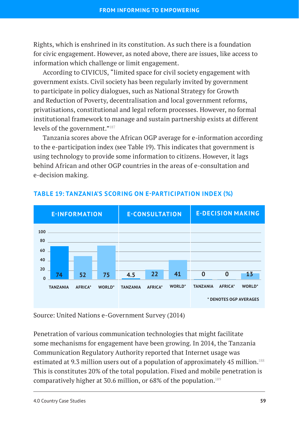Rights, which is enshrined in its constitution. As such there is a foundation for civic engagement. However, as noted above, there are issues, like access to information which challenge or limit engagement.

According to CIVICUS, "limited space for civil society engagement with government exists. Civil society has been regularly invited by government to participate in policy dialogues, such as National Strategy for Growth and Reduction of Poverty, decentralisation and local government reforms, privatisations, constitutional and legal reform processes. However, no formal institutional framework to manage and sustain partnership exists at different levels of the government."<sup>187</sup>

Tanzania scores above the African OGP average for e-information according to the e-participation index (see Table 19). This indicates that government is using technology to provide some information to citizens. However, it lags behind African and other OGP countries in the areas of e-consultation and e-decision making.



## **TABLE 19: TANZANIA'S SCORING ON E-PARTICIPATION INDEX (%)**

Source: United Nations e-Government Survey (2014)

Penetration of various communication technologies that might facilitate some mechanisms for engagement have been growing. In 2014, the Tanzania Communication Regulatory Authority reported that Internet usage was estimated at 9.3 million users out of a population of approximately 45 million.<sup>188</sup> This is constitutes 20% of the total population. Fixed and mobile penetration is comparatively higher at 30.6 million, or 68% of the population.189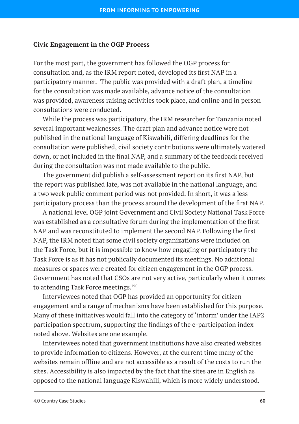#### **Civic Engagement in the OGP Process**

For the most part, the government has followed the OGP process for consultation and, as the IRM report noted, developed its first NAP in a participatory manner. The public was provided with a draft plan, a timeline for the consultation was made available, advance notice of the consultation was provided, awareness raising activities took place, and online and in person consultations were conducted.

While the process was participatory, the IRM researcher for Tanzania noted several important weaknesses. The draft plan and advance notice were not published in the national language of Kiswahili, differing deadlines for the consultation were published, civil society contributions were ultimately watered down, or not included in the final NAP, and a summary of the feedback received during the consultation was not made available to the public.

The government did publish a self-assessment report on its first NAP, but the report was published late, was not available in the national language, and a two week public comment period was not provided. In short, it was a less participatory process than the process around the development of the first NAP.

A national level OGP joint Government and Civil Society National Task Force was established as a consultative forum during the implementation of the first NAP and was reconstituted to implement the second NAP. Following the first NAP, the IRM noted that some civil society organizations were included on the Task Force, but it is impossible to know how engaging or participatory the Task Force is as it has not publically documented its meetings. No additional measures or spaces were created for citizen engagement in the OGP process. Government has noted that CSOs are not very active, particularly when it comes to attending Task Force meetings.<sup>190</sup>

Interviewees noted that OGP has provided an opportunity for citizen engagement and a range of mechanisms have been established for this purpose. Many of these initiatives would fall into the category of 'inform' under the IAP2 participation spectrum, supporting the findings of the e-participation index noted above. Websites are one example.

Interviewees noted that government institutions have also created websites to provide information to citizens. However, at the current time many of the websites remain offline and are not accessible as a result of the costs to run the sites. Accessibility is also impacted by the fact that the sites are in English as opposed to the national language Kiswahili, which is more widely understood.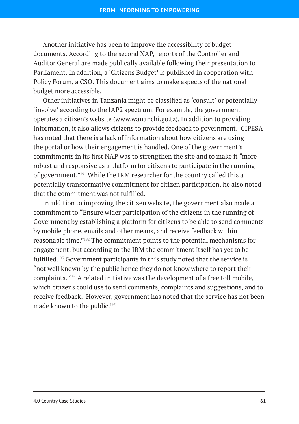Another initiative has been to improve the accessibility of budget documents. According to the second NAP, reports of the Controller and Auditor General are made publically available following their presentation to Parliament. In addition, a 'Citizens Budget' is published in cooperation with Policy Forum, a CSO. This document aims to make aspects of the national budget more accessible.

Other initiatives in Tanzania might be classified as 'consult' or potentially 'involve' according to the IAP2 spectrum. For example, the government operates a citizen's website ([www.wananchi.go.tz](http://www.wananchi.go.tz)). In addition to providing information, it also allows citizens to provide feedback to government. CIPESA has noted that there is a lack of information about how citizens are using the portal or how their engagement is handled. One of the government's commitments in its first NAP was to strengthen the site and to make it "more robust and responsive as a platform for citizens to participate in the running of government."191 While the IRM researcher for the country called this a potentially transformative commitment for citizen participation, he also noted that the commitment was not fulfilled.

In addition to improving the citizen website, the government also made a commitment to "Ensure wider participation of the citizens in the running of Government by establishing a platform for citizens to be able to send comments by mobile phone, emails and other means, and receive feedback within reasonable time."192 The commitment points to the potential mechanisms for engagement, but according to the IRM the commitment itself has yet to be fulfilled.193 Government participants in this study noted that the service is "not well known by the public hence they do not know where to report their complaints."194 A related initiative was the development of a free toll mobile, which citizens could use to send comments, complaints and suggestions, and to receive feedback. However, government has noted that the service has not been made known to the public.<sup>195</sup>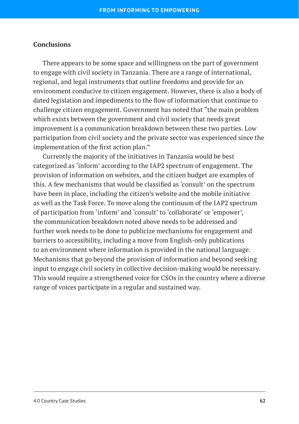#### **Conclusions**

There appears to be some space and willingness on the part of government to engage with civil society in Tanzania. There are a range of international, regional, and legal instruments that outline freedoms and provide for an environment conducive to citizen engagement. However, there is also a body of dated legislation and impediments to the flow of information that continue to challenge citizen engagement. Government has noted that "the main problem which exists between the government and civil society that needs great improvement is a communication breakdown between these two parties. Low participation from civil society and the private sector was experienced since the implementation of the first action plan."

Currently the majority of the initiatives in Tanzania would be best categorized as 'inform' according to the IAP2 spectrum of engagement. The provision of information on websites, and the citizen budget are examples of this. A few mechanisms that would be classified as 'consult' on the spectrum have been in place, including the citizen's website and the mobile initiative as well as the Task Force. To move along the continuum of the IAP2 spectrum of participation from 'inform' and 'consult' to 'collaborate' or 'empower', the communication breakdown noted above needs to be addressed and further work needs to be done to publicize mechanisms for engagement and barriers to accessibility, including a move from English-only publications to an environment where information is provided in the national language. Mechanisms that go beyond the provision of information and beyond seeking input to engage civil society in collective decision-making would be necessary. This would require a strengthened voice for CSOs in the country where a diverse range of voices participate in a regular and sustained way.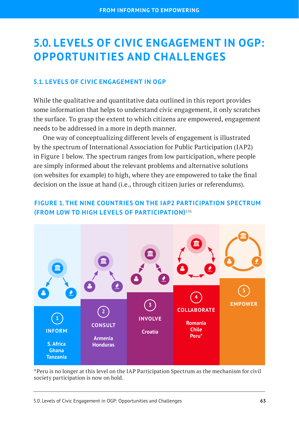# **5.0. LEVELS OF CIVIC ENGAGEMENT IN OGP: OPPORTUNITIES AND CHALLENGES**

## **5.1. LEVELS OF CIVIC ENGAGEMENT IN OGP**

While the qualitative and quantitative data outlined in this report provides some information that helps to understand civic engagement, it only scratches the surface. To grasp the extent to which citizens are empowered, engagement needs to be addressed in a more in depth manner.

One way of conceptualizing different levels of engagement is illustrated by the spectrum of International Association for Public Participation (IAP2) in Figure 1 below. The spectrum ranges from low participation, where people are simply informed about the relevant problems and alternative solutions (on websites for example) to high, where they are empowered to take the final decision on the issue at hand (i.e., through citizen juries or referendums).

## **FIGURE 1. THE NINE COUNTRIES ON THE IAP2 PARTICIPATION SPECTRUM (FROM LOW TO HIGH LEVELS OF PARTICIPATION)196**



\*Peru is no longer at this level on the IAP Participation Spectrum as the mechanism for civil society participation is now on hold.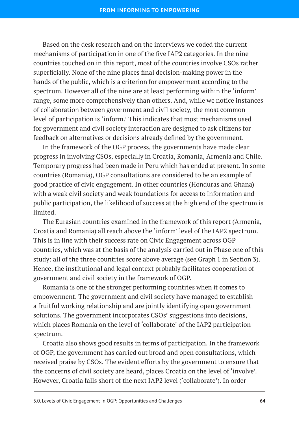Based on the desk research and on the interviews we coded the current mechanisms of participation in one of the five IAP2 categories. In the nine countries touched on in this report, most of the countries involve CSOs rather superficially. None of the nine places final decision-making power in the hands of the public, which is a criterion for empowerment according to the spectrum. However all of the nine are at least performing within the 'inform' range, some more comprehensively than others. And, while we notice instances of collaboration between government and civil society, the most common level of participation is 'inform.' This indicates that most mechanisms used for government and civil society interaction are designed to ask citizens for feedback on alternatives or decisions already defined by the government.

In the framework of the OGP process, the governments have made clear progress in involving CSOs, especially in Croatia, Romania, Armenia and Chile. Temporary progress had been made in Peru which has ended at present. In some countries (Romania), OGP consultations are considered to be an example of good practice of civic engagement. In other countries (Honduras and Ghana) with a weak civil society and weak foundations for access to information and public participation, the likelihood of success at the high end of the spectrum is limited.

The Eurasian countries examined in the framework of this report (Armenia, Croatia and Romania) all reach above the 'inform' level of the IAP2 spectrum. This is in line with their success rate on Civic Engagement across OGP countries, which was at the basis of the analysis carried out in Phase one of this study: all of the three countries score above average (see Graph 1 in Section 3). Hence, the institutional and legal context probably facilitates cooperation of government and civil society in the framework of OGP.

Romania is one of the stronger performing countries when it comes to empowerment. The government and civil society have managed to establish a fruitful working relationship and are jointly identifying open government solutions. The government incorporates CSOs' suggestions into decisions, which places Romania on the level of 'collaborate' of the IAP2 participation spectrum.

Croatia also shows good results in terms of participation. In the framework of OGP, the government has carried out broad and open consultations, which received praise by CSOs. The evident efforts by the government to ensure that the concerns of civil society are heard, places Croatia on the level of 'involve'. However, Croatia falls short of the next IAP2 level ('collaborate'). In order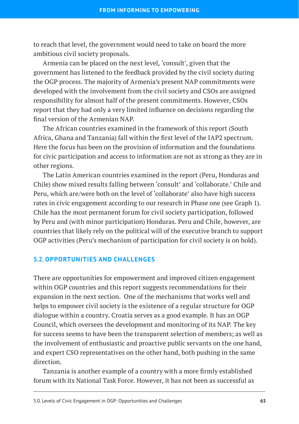to reach that level, the government would need to take on board the more ambitious civil society proposals.

Armenia can be placed on the next level, 'consult', given that the government has listened to the feedback provided by the civil society during the OGP process. The majority of Armenia's present NAP commitments were developed with the involvement from the civil society and CSOs are assigned responsibility for almost half of the present commitments. However, CSOs report that they had only a very limited influence on decisions regarding the final version of the Armenian NAP.

The African countries examined in the framework of this report (South Africa, Ghana and Tanzania) fall within the first level of the IAP2 spectrum. Here the focus has been on the provision of information and the foundations for civic participation and access to information are not as strong as they are in other regions.

The Latin American countries examined in the report (Peru, Honduras and Chile) show mixed results falling between 'consult' and 'collaborate.' Chile and Peru, which are/were both on the level of 'collaborate' also have high success rates in civic engagement according to our research in Phase one (see Graph 1). Chile has the most permanent forum for civil society participation, followed by Peru and (with minor participation) Honduras. Peru and Chile, however, are countries that likely rely on the political will of the executive branch to support OGP activities (Peru's mechanism of participation for civil society is on hold).

## **5.2. OPPORTUNITIES AND CHALLENGES**

There are opportunities for empowerment and improved citizen engagement within OGP countries and this report suggests recommendations for their expansion in the next section. One of the mechanisms that works well and helps to empower civil society is the existence of a regular structure for OGP dialogue within a country. Croatia serves as a good example. It has an OGP Council, which oversees the development and monitoring of its NAP. The key for success seems to have been the transparent selection of members; as well as the involvement of enthusiastic and proactive public servants on the one hand, and expert CSO representatives on the other hand, both pushing in the same direction.

Tanzania is another example of a country with a more firmly established forum with its National Task Force. However, it has not been as successful as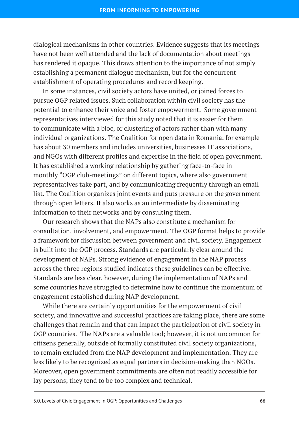dialogical mechanisms in other countries. Evidence suggests that its meetings have not been well attended and the lack of documentation about meetings has rendered it opaque. This draws attention to the importance of not simply establishing a permanent dialogue mechanism, but for the concurrent establishment of operating procedures and record keeping.

In some instances, civil society actors have united, or joined forces to pursue OGP related issues. Such collaboration within civil society has the potential to enhance their voice and foster empowerment. Some government representatives interviewed for this study noted that it is easier for them to communicate with a bloc, or clustering of actors rather than with many individual organizations. The Coalition for open data in Romania, for example has about 30 members and includes universities, businesses IT associations, and NGOs with different profiles and expertise in the field of open government. It has established a working relationship by gathering face-to-face in monthly "OGP club-meetings" on different topics, where also government representatives take part, and by communicating frequently through an email list. The Coalition organizes joint events and puts pressure on the government through open letters. It also works as an intermediate by disseminating information to their networks and by consulting them.

Our research shows that the NAPs also constitute a mechanism for consultation, involvement, and empowerment. The OGP format helps to provide a framework for discussion between government and civil society. Engagement is built into the OGP process. Standards are particularly clear around the development of NAPs. Strong evidence of engagement in the NAP process across the three regions studied indicates these guidelines can be effective. Standards are less clear, however, during the implementation of NAPs and some countries have struggled to determine how to continue the momentum of engagement established during NAP development.

While there are certainly opportunities for the empowerment of civil society, and innovative and successful practices are taking place, there are some challenges that remain and that can impact the participation of civil society in OGP countries. The NAPs are a valuable tool; however, it is not uncommon for citizens generally, outside of formally constituted civil society organizations, to remain excluded from the NAP development and implementation. They are less likely to be recognized as equal partners in decision-making than NGOs. Moreover, open government commitments are often not readily accessible for lay persons; they tend to be too complex and technical.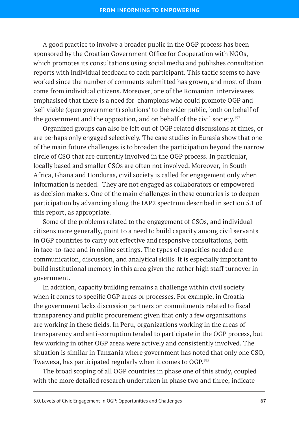A good practice to involve a broader public in the OGP process has been sponsored by the Croatian Government Office for Cooperation with NGOs, which promotes its consultations using social media and publishes consultation reports with individual feedback to each participant. This tactic seems to have worked since the number of comments submitted has grown, and most of them come from individual citizens. Moreover, one of the Romanian interviewees emphasised that there is a need for champions who could promote OGP and 'sell viable (open government) solutions' to the wider public, both on behalf of the government and the opposition, and on behalf of the civil society.<sup>197</sup>

Organized groups can also be left out of OGP related discussions at times, or are perhaps only engaged selectively. The case studies in Eurasia show that one of the main future challenges is to broaden the participation beyond the narrow circle of CSO that are currently involved in the OGP process. In particular, locally based and smaller CSOs are often not involved. Moreover, in South Africa, Ghana and Honduras, civil society is called for engagement only when information is needed. They are not engaged as collaborators or empowered as decision makers. One of the main challenges in these countries is to deepen participation by advancing along the IAP2 spectrum described in section 5.1 of this report, as appropriate.

Some of the problems related to the engagement of CSOs, and individual citizens more generally, point to a need to build capacity among civil servants in OGP countries to carry out effective and responsive consultations, both in face-to-face and in online settings. The types of capacities needed are communication, discussion, and analytical skills. It is especially important to build institutional memory in this area given the rather high staff turnover in government.

In addition, capacity building remains a challenge within civil society when it comes to specific OGP areas or processes. For example, in Croatia the government lacks discussion partners on commitments related to fiscal transparency and public procurement given that only a few organizations are working in these fields. In Peru, organizations working in the areas of transparency and anti-corruption tended to participate in the OGP process, but few working in other OGP areas were actively and consistently involved. The situation is similar in Tanzania where government has noted that only one CSO, Twaweza, has participated regularly when it comes to OGP.198

The broad scoping of all OGP countries in phase one of this study, coupled with the more detailed research undertaken in phase two and three, indicate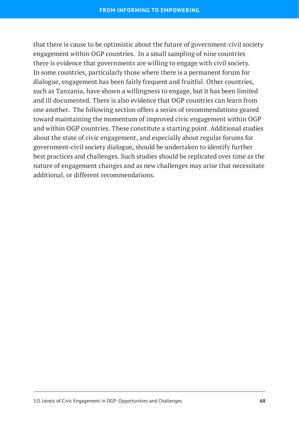that there is cause to be optimistic about the future of government-civil society engagement within OGP countries. In a small sampling of nine countries there is evidence that governments are willing to engage with civil society. In some countries, particularly those where there is a permanent forum for dialogue, engagement has been fairly frequent and fruitful. Other countries, such as Tanzania, have shown a willingness to engage, but it has been limited and ill documented. There is also evidence that OGP countries can learn from one another. The following section offers a series of recommendations geared toward maintaining the momentum of improved civic engagement within OGP and within OGP countries. These constitute a starting point. Additional studies about the state of civic engagement, and especially about regular forums for government-civil society dialogue, should be undertaken to identify further best practices and challenges. Such studies should be replicated over time as the nature of engagement changes and as new challenges may arise that necessitate additional, or different recommendations.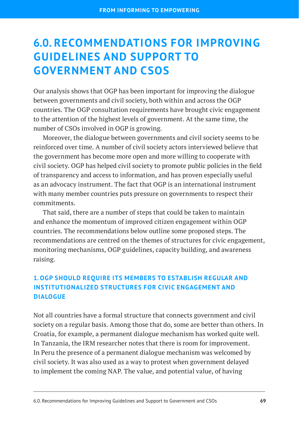# **6.0. RECOMMENDATIONS FOR IMPROVING GUIDELINES AND SUPPORT TO GOVERNMENT AND CSOS**

Our analysis shows that OGP has been important for improving the dialogue between governments and civil society, both within and across the OGP countries. The OGP consultation requirements have brought civic engagement to the attention of the highest levels of government. At the same time, the number of CSOs involved in OGP is growing.

Moreover, the dialogue between governments and civil society seems to be reinforced over time. A number of civil society actors interviewed believe that the government has become more open and more willing to cooperate with civil society. OGP has helped civil society to promote public policies in the field of transparency and access to information, and has proven especially useful as an advocacy instrument. The fact that OGP is an international instrument with many member countries puts pressure on governments to respect their commitments.

That said, there are a number of steps that could be taken to maintain and enhance the momentum of improved citizen engagement within OGP countries. The recommendations below outline some proposed steps. The recommendations are centred on the themes of structures for civic engagement, monitoring mechanisms, OGP guidelines, capacity building, and awareness raising.

## **1. OGP SHOULD REQUIRE ITS MEMBERS TO ESTABLISH REGULAR AND INSTITUTIONALIZED STRUCTURES FOR CIVIC ENGAGEMENT AND DIALOGUE**

Not all countries have a formal structure that connects government and civil society on a regular basis. Among those that do, some are better than others. In Croatia, for example, a permanent dialogue mechanism has worked quite well. In Tanzania, the IRM researcher notes that there is room for improvement. In Peru the presence of a permanent dialogue mechanism was welcomed by civil society. It was also used as a way to protest when government delayed to implement the coming NAP. The value, and potential value, of having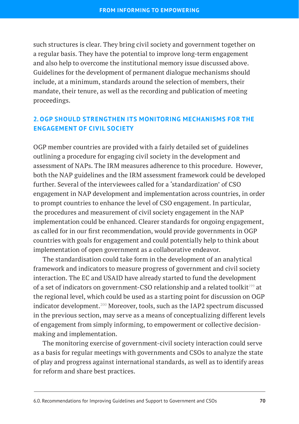such structures is clear. They bring civil society and government together on a regular basis. They have the potential to improve long-term engagement and also help to overcome the institutional memory issue discussed above. Guidelines for the development of permanent dialogue mechanisms should include, at a minimum, standards around the selection of members, their mandate, their tenure, as well as the recording and publication of meeting proceedings.

### **2. OGP SHOULD STRENGTHEN ITS MONITORING MECHANISMS FOR THE ENGAGEMENT OF CIVIL SOCIETY**

OGP member countries are provided with a fairly detailed set of guidelines outlining a procedure for engaging civil society in the development and assessment of NAPs. The IRM measures adherence to this procedure. However, both the NAP guidelines and the IRM assessment framework could be developed further. Several of the interviewees called for a 'standardization' of CSO engagement in NAP development and implementation across countries, in order to prompt countries to enhance the level of CSO engagement. In particular, the procedures and measurement of civil society engagement in the NAP implementation could be enhanced. Clearer standards for ongoing engagement, as called for in our first recommendation, would provide governments in OGP countries with goals for engagement and could potentially help to think about implementation of open government as a collaborative endeavor.

The standardisation could take form in the development of an analytical framework and indicators to measure progress of government and civil society interaction. The EC and USAID have already started to fund the development of a set of indicators on government-CSO relationship and a related toolkit<sup>199</sup> at the regional level, which could be used as a starting point for discussion on OGP indicator development.<sup>200</sup> Moreover, tools, such as the IAP2 spectrum discussed in the previous section, may serve as a means of conceptualizing different levels of engagement from simply informing, to empowerment or collective decisionmaking and implementation.

The monitoring exercise of government-civil society interaction could serve as a basis for regular meetings with governments and CSOs to analyze the state of play and progress against international standards, as well as to identify areas for reform and share best practices.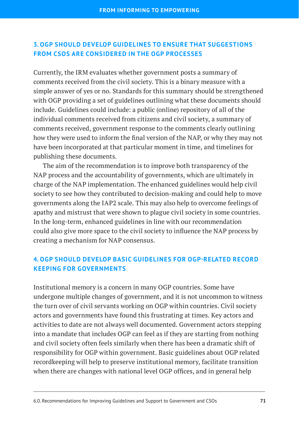### **3. OGP SHOULD DEVELOP GUIDELINES TO ENSURE THAT SUGGESTIONS FROM CSOS ARE CONSIDERED IN THE OGP PROCESSES**

Currently, the IRM evaluates whether government posts a summary of comments received from the civil society. This is a binary measure with a simple answer of yes or no. Standards for this summary should be strengthened with OGP providing a set of guidelines outlining what these documents should include. Guidelines could include: a public (online) repository of all of the individual comments received from citizens and civil society, a summary of comments received, government response to the comments clearly outlining how they were used to inform the final version of the NAP, or why they may not have been incorporated at that particular moment in time, and timelines for publishing these documents.

The aim of the recommendation is to improve both transparency of the NAP process and the accountability of governments, which are ultimately in charge of the NAP implementation. The enhanced guidelines would help civil society to see how they contributed to decision-making and could help to move governments along the IAP2 scale. This may also help to overcome feelings of apathy and mistrust that were shown to plague civil society in some countries. In the long-term, enhanced guidelines in line with our recommendation could also give more space to the civil society to influence the NAP process by creating a mechanism for NAP consensus.

### **4. OGP SHOULD DEVELOP BASIC GUIDELINES FOR OGP-RELATED RECORD KEEPING FOR GOVERNMENTS**

Institutional memory is a concern in many OGP countries. Some have undergone multiple changes of government, and it is not uncommon to witness the turn over of civil servants working on OGP within countries. Civil society actors and governments have found this frustrating at times. Key actors and activities to date are not always well documented. Government actors stepping into a mandate that includes OGP can feel as if they are starting from nothing and civil society often feels similarly when there has been a dramatic shift of responsibility for OGP within government. Basic guidelines about OGP related recordkeeping will help to preserve institutional memory, facilitate transition when there are changes with national level OGP offices, and in general help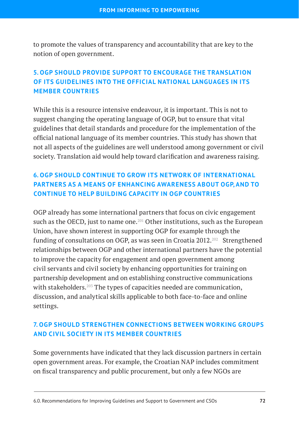to promote the values of transparency and accountability that are key to the notion of open government.

### **5. OGP SHOULD PROVIDE SUPPORT TO ENCOURAGE THE TRANSLATION OF ITS GUIDELINES INTO THE OFFICIAL NATIONAL LANGUAGES IN ITS MEMBER COUNTRIES**

While this is a resource intensive endeavour, it is important. This is not to suggest changing the operating language of OGP, but to ensure that vital guidelines that detail standards and procedure for the implementation of the official national language of its member countries. This study has shown that not all aspects of the guidelines are well understood among government or civil society. Translation aid would help toward clarification and awareness raising.

### **6. OGP SHOULD CONTINUE TO GROW ITS NETWORK OF INTERNATIONAL PARTNERS AS A MEANS OF ENHANCING AWARENESS ABOUT OGP, AND TO CONTINUE TO HELP BUILDING CAPACITY IN OGP COUNTRIES**

OGP already has some international partners that focus on civic engagement such as the OECD, just to name one.<sup>201</sup> Other institutions, such as the European Union, have shown interest in supporting OGP for example through the funding of consultations on OGP, as was seen in Croatia  $2012.^{202}$  Strengthened relationships between OGP and other international partners have the potential to improve the capacity for engagement and open government among civil servants and civil society by enhancing opportunities for training on partnership development and on establishing constructive communications with stakeholders.<sup>203</sup> The types of capacities needed are communication, discussion, and analytical skills applicable to both face-to-face and online settings.

### **7. OGP SHOULD STRENGTHEN CONNECTIONS BETWEEN WORKING GROUPS AND CIVIL SOCIETY IN ITS MEMBER COUNTRIES**

Some governments have indicated that they lack discussion partners in certain open government areas. For example, the Croatian NAP includes commitment on fiscal transparency and public procurement, but only a few NGOs are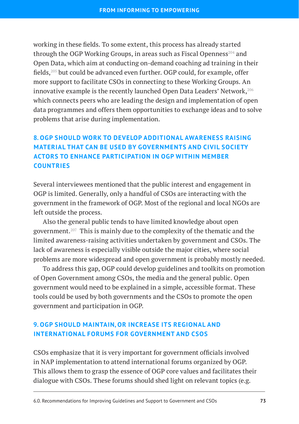working in these fields. To some extent, this process has already started through the OGP Working Groups, in areas such as Fiscal Openness<sup>204</sup> and Open Data, which aim at conducting on-demand coaching ad training in their fields,205 but could be advanced even further. OGP could, for example, offer more support to facilitate CSOs in connecting to these Working Groups. An innovative example is the recently launched Open Data Leaders' Network,<sup>206</sup> which connects peers who are leading the design and implementation of open data programmes and offers them opportunities to exchange ideas and to solve problems that arise during implementation.

### **8. OGP SHOULD WORK TO DEVELOP ADDITIONAL AWARENESS RAISING MATERIAL THAT CAN BE USED BY GOVERNMENTS AND CIVIL SOCIETY ACTORS TO ENHANCE PARTICIPATION IN OGP WITHIN MEMBER COUNTRIES**

Several interviewees mentioned that the public interest and engagement in OGP is limited. Generally, only a handful of CSOs are interacting with the government in the framework of OGP. Most of the regional and local NGOs are left outside the process.

Also the general public tends to have limited knowledge about open government.<sup>207</sup> This is mainly due to the complexity of the thematic and the limited awareness-raising activities undertaken by government and CSOs. The lack of awareness is especially visible outside the major cities, where social problems are more widespread and open government is probably mostly needed.

To address this gap, OGP could develop guidelines and toolkits on promotion of Open Government among CSOs, the media and the general public. Open government would need to be explained in a simple, accessible format. These tools could be used by both governments and the CSOs to promote the open government and participation in OGP.

### **9. OGP SHOULD MAINTAIN, OR INCREASE ITS REGIONAL AND INTERNATIONAL FORUMS FOR GOVERNMENT AND CSOS**

CSOs emphasize that it is very important for government officials involved in NAP implementation to attend international forums organized by OGP. This allows them to grasp the essence of OGP core values and facilitates their dialogue with CSOs. These forums should shed light on relevant topics (e.g.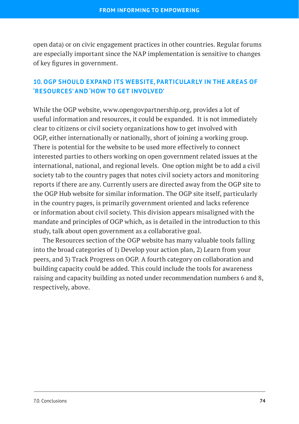open data) or on civic engagement practices in other countries. Regular forums are especially important since the NAP implementation is sensitive to changes of key figures in government.

### **10. OGP SHOULD EXPAND ITS WEBSITE, PARTICULARLY IN THE AREAS OF 'RESOURCES' AND 'HOW TO GET INVOLVED'**

While the OGP website, www.opengovpartnership.org, provides a lot of useful information and resources, it could be expanded. It is not immediately clear to citizens or civil society organizations how to get involved with OGP, either internationally or nationally, short of joining a working group. There is potential for the website to be used more effectively to connect interested parties to others working on open government related issues at the international, national, and regional levels. One option might be to add a civil society tab to the country pages that notes civil society actors and monitoring reports if there are any. Currently users are directed away from the OGP site to the OGP Hub website for similar information. The OGP site itself, particularly in the country pages, is primarily government oriented and lacks reference or information about civil society. This division appears misaligned with the mandate and principles of OGP which, as is detailed in the introduction to this study, talk about open government as a collaborative goal.

The Resources section of the OGP website has many valuable tools falling into the broad categories of 1) Develop your action plan, 2) Learn from your peers, and 3) Track Progress on OGP. A fourth category on collaboration and building capacity could be added. This could include the tools for awareness raising and capacity building as noted under recommendation numbers 6 and 8, respectively, above.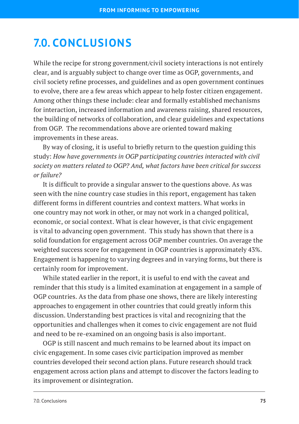### **7.0. CONCLUSIONS**

While the recipe for strong government/civil society interactions is not entirely clear, and is arguably subject to change over time as OGP, governments, and civil society refine processes, and guidelines and as open government continues to evolve, there are a few areas which appear to help foster citizen engagement. Among other things these include: clear and formally established mechanisms for interaction, increased information and awareness raising, shared resources, the building of networks of collaboration, and clear guidelines and expectations from OGP. The recommendations above are oriented toward making improvements in these areas.

By way of closing, it is useful to briefly return to the question guiding this study: *How have governments in OGP participating countries interacted with civil society on matters related to OGP? And, what factors have been critical for success or failure?*

It is difficult to provide a singular answer to the questions above. As was seen with the nine country case studies in this report, engagement has taken different forms in different countries and context matters. What works in one country may not work in other, or may not work in a changed political, economic, or social context. What is clear however, is that civic engagement is vital to advancing open government. This study has shown that there is a solid foundation for engagement across OGP member countries. On average the weighted success score for engagement in OGP countries is approximately 43%. Engagement is happening to varying degrees and in varying forms, but there is certainly room for improvement.

While stated earlier in the report, it is useful to end with the caveat and reminder that this study is a limited examination at engagement in a sample of OGP countries. As the data from phase one shows, there are likely interesting approaches to engagement in other countries that could greatly inform this discussion. Understanding best practices is vital and recognizing that the opportunities and challenges when it comes to civic engagement are not fluid and need to be re-examined on an ongoing basis is also important.

OGP is still nascent and much remains to be learned about its impact on civic engagement. In some cases civic participation improved as member countries developed their second action plans. Future research should track engagement across action plans and attempt to discover the factors leading to its improvement or disintegration.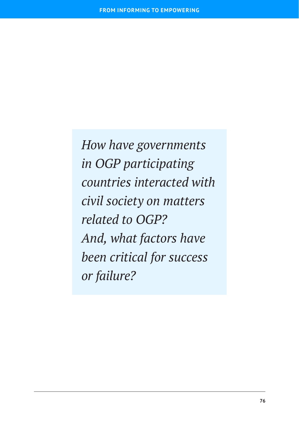*How have governments in OGP participating countries interacted with civil society on matters related to OGP? And, what factors have been critical for success or failure?*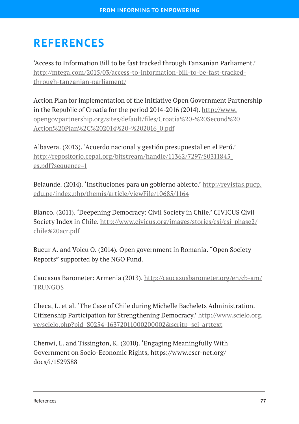# **REFERENCES**

'Access to Information Bill to be fast tracked through Tanzanian Parliament.' [http://mtega.com/2015/03/access-to-information-bill-to-be-fast-tracked](http://mtega.com/2015/03/access-to-information-bill-to-be-fast-tracked-through-tanzanian-parliament/)[through-tanzanian-parliament/](http://mtega.com/2015/03/access-to-information-bill-to-be-fast-tracked-through-tanzanian-parliament/)

Action Plan for implementation of the initiative Open Government Partnership in the Republic of Croatia for the period 2014-2016 (2014). [http://www.](http://www.opengovpartnership.org/sites/default/files/Croatia%20-%20Second%20Action%20Plan%2C%202014%20-%202016_0.pdf) [opengovpartnership.org/sites/default/files/Croatia%20-%20Second%20](http://www.opengovpartnership.org/sites/default/files/Croatia%20-%20Second%20Action%20Plan%2C%202014%20-%202016_0.pdf) [Action%20Plan%2C%202014%20-%202016\\_0.pdf](http://www.opengovpartnership.org/sites/default/files/Croatia%20-%20Second%20Action%20Plan%2C%202014%20-%202016_0.pdf)

Albavera. (2013). 'Acuerdo nacional y gestión presupuestal en el Perú.' [http://repositorio.cepal.org/bitstream/handle/11362/7297/S0311845\\_](http://repositorio.cepal.org/bitstream/handle/11362/7297/S0311845_es.pdf?sequence=1) [es.pdf?sequence=1](http://repositorio.cepal.org/bitstream/handle/11362/7297/S0311845_es.pdf?sequence=1)

Belaunde. (2014). 'Instituciones para un gobierno abierto.' [http://revistas.pucp.](http://revistas.pucp.edu.pe/index.php/themis/article/viewFile/10685/1164) [edu.pe/index.php/themis/article/viewFile/10685/1164](http://revistas.pucp.edu.pe/index.php/themis/article/viewFile/10685/1164)

Blanco. (2011). 'Deepening Democracy: Civil Society in Chile.' CIVICUS Civil Society Index in Chile. [http://www.civicus.org/images/stories/csi/csi\\_phase2/](http://www.civicus.org/images/stories/csi/csi_phase2/chile%20acr.pdf) [chile%20acr.pdf](http://www.civicus.org/images/stories/csi/csi_phase2/chile%20acr.pdf)

Bucur A. and Voicu O. (2014). Open government in Romania. "Open Society Reports" supported by the NGO Fund.

Caucasus Barometer: Armenia (2013). [http://caucasusbarometer.org/en/cb-am/](http://caucasusbarometer.org/en/cb-am/TRUNGOS) **[TRUNGOS](http://caucasusbarometer.org/en/cb-am/TRUNGOS)** 

Checa, L. et al. 'The Case of Chile during Michelle Bachelets Administration. Citizenship Participation for Strengthening Democracy.' [http://www.scielo.org.](http://www.scielo.org.ve/scielo.php?pid=S0254-16372011000200002&scritp=sci_arttext) [ve/scielo.php?pid=S0254-16372011000200002&scritp=sci\\_arttext](http://www.scielo.org.ve/scielo.php?pid=S0254-16372011000200002&scritp=sci_arttext)

Chenwi, L. and Tissington, K. (2010). 'Engaging Meaningfully With Government on Socio-Economic Rights, [https://www.escr-net.org/](https://www.escr-net.org/docs/i/1529388) [docs/i/1529388](https://www.escr-net.org/docs/i/1529388)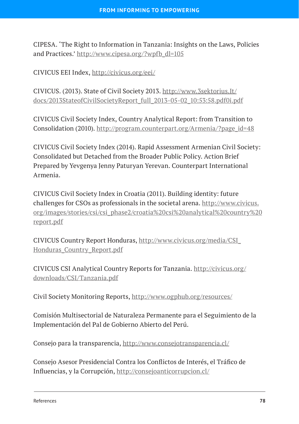CIPESA. 'The Right to Information in Tanzania: Insights on the Laws, Policies and Practices.' [http://www.cipesa.org/?wpfb\\_dl=105](http://www.cipesa.org/?wpfb_dl=105)

CIVICUS EEI Index, <http://civicus.org/eei/>

CIVICUS. (2013). State of Civil Society 2013. [http://www.3sektorius.It/](http://www.3sektorius.It/docs/2013StateofCivilSocietyReport_full_2013-05-02_10:53:58.pdf0i.pdf) [docs/2013StateofCivilSocietyReport\\_full\\_2013-05-02\\_10:53:58.pdf0i.pdf](http://www.3sektorius.It/docs/2013StateofCivilSocietyReport_full_2013-05-02_10:53:58.pdf0i.pdf)

CIVICUS Civil Society Index, Country Analytical Report: from Transition to Consolidation (2010). [http://program.counterpart.org/Armenia/?page\\_id=48](http://program.counterpart.org/Armenia/?page_id=48)

CIVICUS Civil Society Index (2014). Rapid Assessment Armenian Civil Society: Consolidated but Detached from the Broader Public Policy. Action Brief Prepared by Yevgenya Jenny Paturyan Yerevan. Counterpart International Armenia.

CIVICUS Civil Society Index in Croatia (2011). Building identity: future challenges for CSOs as professionals in the societal arena. [http://www.civicus.](http://www.civicus.org/images/stories/csi/csi_phase2/croatia%20csi%20analytical%20country%20report.pdf) [org/images/stories/csi/csi\\_phase2/croatia%20csi%20analytical%20country%20](http://www.civicus.org/images/stories/csi/csi_phase2/croatia%20csi%20analytical%20country%20report.pdf) [report.pdf](http://www.civicus.org/images/stories/csi/csi_phase2/croatia%20csi%20analytical%20country%20report.pdf)

CIVICUS Country Report Honduras, [http://www.civicus.org/media/CSI\\_](http://www.civicus.org/media/CSI_Honduras_Country_Report.pdf) [Honduras\\_Country\\_Report.pdf](http://www.civicus.org/media/CSI_Honduras_Country_Report.pdf)

CIVICUS CSI Analytical Country Reports for Tanzania. [http://civicus.org/](http://civicus.org/downloads/CSI/Tanzania.pdf) [downloads/CSI/Tanzania.pdf](http://civicus.org/downloads/CSI/Tanzania.pdf)

Civil Society Monitoring Reports,<http://www.ogphub.org/resources/>

Comisión Multisectorial de Naturaleza Permanente para el Seguimiento de la Implementación del Pal de Gobierno Abierto del Perú.

Consejo para la transparencia,<http://www.consejotransparencia.cl/>

Consejo Asesor Presidencial Contra los Conflictos de Interés, el Tráfico de Influencias, y la Corrupción, <http://consejoanticorrupcion.cl/>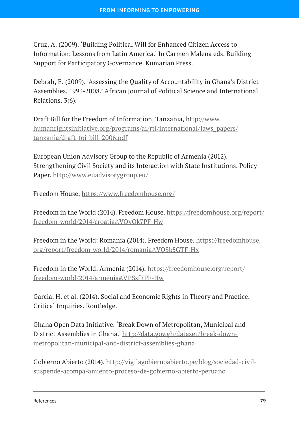Cruz, A. (2009). 'Building Political Will for Enhanced Citizen Access to Information: Lessons from Latin America.' In Carmen Malena eds. Building Support for Participatory Governance. Kumarian Press.

Debrah, E. (2009). 'Assessing the Quality of Accountability in Ghana's District Assemblies, 1993-2008.' African Journal of Political Science and International Relations. 3(6).

Draft Bill for the Freedom of Information, Tanzania, [http://www.](http://www.humanrightsinitiative.org/programs/ai/rti/international/laws_papers/tanzania/draft_foi_bill_2006.pdf) [humanrightsinitiative.org/programs/ai/rti/international/laws\\_papers/](http://www.humanrightsinitiative.org/programs/ai/rti/international/laws_papers/tanzania/draft_foi_bill_2006.pdf) [tanzania/draft\\_foi\\_bill\\_2006.pdf](http://www.humanrightsinitiative.org/programs/ai/rti/international/laws_papers/tanzania/draft_foi_bill_2006.pdf)

European Union Advisory Group to the Republic of Armenia (2012). Strengthening Civil Society and its Interaction with State Institutions. Policy Paper.<http://www.euadvisorygroup.eu/>

Freedom House, <https://www.freedomhouse.org/>

Freedom in the World (2014). Freedom House. [https://freedomhouse.org/report/](https://freedomhouse.org/report/freedom-world/2014/croatia#.VOyOk7PF-Hw) [freedom-world/2014/croatia#.VOyOk7PF-Hw](https://freedomhouse.org/report/freedom-world/2014/croatia#.VOyOk7PF-Hw)

Freedom in the World: Romania (2014). Freedom House. [https://freedomhouse.](https://freedomhouse.org/report/freedom-world/2014/romania#.VQSb5GTF-Hx) [org/report/freedom-world/2014/romania#.VQSb5GTF-Hx](https://freedomhouse.org/report/freedom-world/2014/romania#.VQSb5GTF-Hx)

Freedom in the World: Armenia (2014). [https://freedomhouse.org/report/](https://freedomhouse.org/report/freedom-world/2014/armenia#.VPSsf7PF-Hw) [freedom-world/2014/armenia#.VPSsf7PF-Hw](https://freedomhouse.org/report/freedom-world/2014/armenia#.VPSsf7PF-Hw)

Garcia, H. et al. (2014). Social and Economic Rights in Theory and Practice: Critical Inquiries. Routledge.

Ghana Open Data Initiative. 'Break Down of Metropolitan, Municipal and District Assemblies in Ghana.' [http://data.gov.gh/dataset/break-down](http://data.gov.gh/dataset/break-down-metropolitan-municipal-and-district-assemblies-ghana)[metropolitan-municipal-and-district-assemblies-ghana](http://data.gov.gh/dataset/break-down-metropolitan-municipal-and-district-assemblies-ghana)

Gobierno Abierto (2014). [http://vigilagobiernoabierto.pe/blog/sociedad-civil](http://vigilagobiernoabierto.pe/blog/sociedad-civil-suspende-acompa-amiento-proceso-de-gobierno-abierto-peruano)[suspende-acompa-amiento-proceso-de-gobierno-abierto-peruano](http://vigilagobiernoabierto.pe/blog/sociedad-civil-suspende-acompa-amiento-proceso-de-gobierno-abierto-peruano)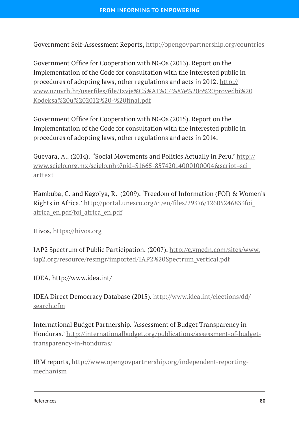Government Self-Assessment Reports,<http://opengovpartnership.org/countries>

Government Office for Cooperation with NGOs (2013). Report on the Implementation of the Code for consultation with the interested public in procedures of adopting laws, other regulations and acts in 2012. [http://](http://www.uzuvrh.hr/userfiles/file/Izvje%C5%A1%C4%87e%20o%20provedbi%20Kodeksa%20u%202012%20-%20final.pdf) [www.uzuvrh.hr/userfiles/file/Izvje%C5%A1%C4%87e%20o%20provedbi%20](http://www.uzuvrh.hr/userfiles/file/Izvje%C5%A1%C4%87e%20o%20provedbi%20Kodeksa%20u%202012%20-%20final.pdf) [Kodeksa%20u%202012%20-%20final.pdf](http://www.uzuvrh.hr/userfiles/file/Izvje%C5%A1%C4%87e%20o%20provedbi%20Kodeksa%20u%202012%20-%20final.pdf)

Government Office for Cooperation with NGOs (2015). Report on the Implementation of the Code for consultation with the interested public in procedures of adopting laws, other regulations and acts in 2014.

Guevara, A.. (2014). 'Social Movements and Politics Actually in Peru.' [http://](http://www.scielo.org.mx/scielo.php?pid=S1665-85742014000100004&script=sci_arttext) [www.scielo.org.mx/scielo.php?pid=S1665-85742014000100004&script=sci\\_](http://www.scielo.org.mx/scielo.php?pid=S1665-85742014000100004&script=sci_arttext) [arttext](http://www.scielo.org.mx/scielo.php?pid=S1665-85742014000100004&script=sci_arttext)

Hambuba, C. and Kagoiya, R. (2009). 'Freedom of Information (FOI) & Women's Rights in Africa.' [http://portal.unesco.org/ci/en/files/29376/12605246833foi\\_](http://portal.unesco.org/ci/en/files/29376/12605246833foi_africa_en.pdf/foi_africa_en.pdf) [africa\\_en.pdf/foi\\_africa\\_en.pdf](http://portal.unesco.org/ci/en/files/29376/12605246833foi_africa_en.pdf/foi_africa_en.pdf)

Hivos, <https://hivos.org>

IAP2 Spectrum of Public Participation. (2007). [http://c.ymcdn.com/sites/www.](http://c.ymcdn.com/sites/www.iap2.org/resource/resmgr/imported/IAP2%20Spectrum_vertical.pdf) [iap2.org/resource/resmgr/imported/IAP2%20Spectrum\\_vertical.pdf](http://c.ymcdn.com/sites/www.iap2.org/resource/resmgr/imported/IAP2%20Spectrum_vertical.pdf)

IDEA, http://www.idea.int/

IDEA Direct Democracy Database (2015). [http://www.idea.int/elections/dd/](http://www.idea.int/elections/dd/search.cfm) [search.cfm](http://www.idea.int/elections/dd/search.cfm)

International Budget Partnership. 'Assessment of Budget Transparency in Honduras.' [http://internationalbudget.org/publications/assessment-of-budget](http://internationalbudget.org/publications/assessment-of-budget-transparency-in-honduras/)[transparency-in-honduras/](http://internationalbudget.org/publications/assessment-of-budget-transparency-in-honduras/)

IRM reports, [http://www.opengovpartnership.org/independent-reporting](http://www.opengovpartnership.org/independent-reporting-mechanism)[mechanism](http://www.opengovpartnership.org/independent-reporting-mechanism)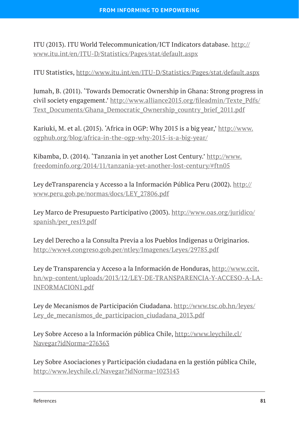ITU (2013). ITU World Telecommunication/ICT Indicators database. [http://](http://www.itu.int/en/ITU-D/Statistics/Pages/stat/default.aspx) [www.itu.int/en/ITU-D/Statistics/Pages/stat/default.aspx](http://www.itu.int/en/ITU-D/Statistics/Pages/stat/default.aspx)

ITU Statistics,<http://www.itu.int/en/ITU-D/Statistics/Pages/stat/default.aspx>

Jumah, B. (2011). 'Towards Democratic Ownership in Ghana: Strong progress in civil society engagement.' [http://www.alliance2015.org/fileadmin/Texte\\_Pdfs/](http://www.alliance2015.org/fileadmin/Texte_Pdfs/Text_Documents/Ghana_Democratic_Ownership_country_brief_2011.pdf) [Text\\_Documents/Ghana\\_Democratic\\_Ownership\\_country\\_brief\\_2011.pdf](http://www.alliance2015.org/fileadmin/Texte_Pdfs/Text_Documents/Ghana_Democratic_Ownership_country_brief_2011.pdf)

Kariuki, M. et al. (2015). 'Africa in OGP: Why 2015 is a big year,' [http://www.](http://www.ogphub.org/blog/africa-in-the-ogp-why-2015-is-a-big-year/) [ogphub.org/blog/africa-in-the-ogp-why-2015-is-a-big-year/](http://www.ogphub.org/blog/africa-in-the-ogp-why-2015-is-a-big-year/)

Kibamba, D. (2014). 'Tanzania in yet another Lost Century.' [http://www.](http://www.freedominfo.org/2014/11/tanzania-yet-another-lost-century/#ftn05) [freedominfo.org/2014/11/tanzania-yet-another-lost-century/#ftn05](http://www.freedominfo.org/2014/11/tanzania-yet-another-lost-century/#ftn05)

Ley deTransparencia y Accesso a la Información Pública Peru (2002). [http://](http://www.peru.gob.pe/normas/docs/LEY_27806.pdf) [www.peru.gob.pe/normas/docs/LEY\\_27806.pdf](http://www.peru.gob.pe/normas/docs/LEY_27806.pdf)

Ley Marco de Presupuesto Participativo (2003). [http://www.oas.org/juridico/](http://www.oas.org/juridico/spanish/per_res19.pdf) [spanish/per\\_res19.pdf](http://www.oas.org/juridico/spanish/per_res19.pdf)

Ley del Derecho a la Consulta Previa a los Pueblos Indigenas u Originarios. <http://www4.congreso.gob.per/ntley/Imagenes/Leyes/29785.pdf>

Ley de Transparencia y Acceso a la Información de Honduras, [http://www.ccit.](http://www.ccit.hn/wp-content/uploads/2013/12/LEY-DE-TRANSPARENCIA-Y-ACCESO-A-LA-INFORMACION1.pdf) [hn/wp-content/uploads/2013/12/LEY-DE-TRANSPARENCIA-Y-ACCESO-A-LA-](http://www.ccit.hn/wp-content/uploads/2013/12/LEY-DE-TRANSPARENCIA-Y-ACCESO-A-LA-INFORMACION1.pdf)[INFORMACION1.pdf](http://www.ccit.hn/wp-content/uploads/2013/12/LEY-DE-TRANSPARENCIA-Y-ACCESO-A-LA-INFORMACION1.pdf)

Ley de Mecanismos de Participación Ciudadana. [http://www.tsc.ob.hn/leyes/](http://www.tsc.ob.hn/leyes/Ley_de_mecanismos_de_participacion_ciudadana_2013.pdf) Ley de mecanismos de participacion ciudadana 2013.pdf

Ley Sobre Acceso a la Información pública Chile, [http://www.leychile.cl/](http://www.leychile.cl/Navegar?idNorma=276363) [Navegar?idNorma=276363](http://www.leychile.cl/Navegar?idNorma=276363)

Ley Sobre Asociaciones y Participación ciudadana en la gestión pública Chile, <http://www.leychile.cl/Navegar?idNorma=1023143>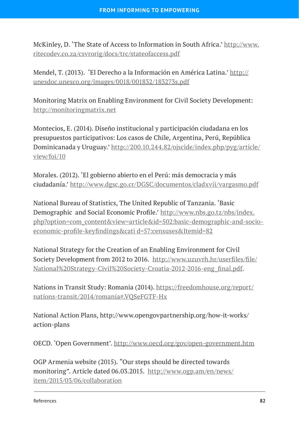McKinley, D. 'The State of Access to Information in South Africa.' [http://www.](http://www.ritecodev.co.za/csvrorig/docs/trc/stateofaccess.pdf) [ritecodev.co.za/csvrorig/docs/trc/stateofaccess.pdf](http://www.ritecodev.co.za/csvrorig/docs/trc/stateofaccess.pdf)

Mendel, T. (2013). 'El Derecho a la Información en América Latina.' [http://](http://unesdoc.unesco.org/images/0018/001832/183273s.pdf) [unesdoc.unesco.org/images/0018/001832/183273s.pdf](http://unesdoc.unesco.org/images/0018/001832/183273s.pdf)

Monitoring Matrix on Enabling Environment for Civil Society Development: <http://monitoringmatrix.net>

Montecios, E. (2014). Diseño institucional y participación ciudadana en los presupuestos participativos: Los casos de Chile, Argentina, Perú, República Dominicanada y Uruguay.' [http://200.10.244.82/ojscide/index.php/pyg/article/](http://200.10.244.82/ojscide/index.php/pyg/article/view/foi/10) [view/foi/10](http://200.10.244.82/ojscide/index.php/pyg/article/view/foi/10)

Morales. (2012). 'El gobierno abierto en el Perú: más democracia y más ciudadanía.' <http://www.dgsc.go.cr/DGSC/documentos/cladxvii/vargasmo.pdf>

National Bureau of Statistics, The United Republic of Tanzania. 'Basic Demographic and Social Economic Profile.' [http://www.nbs.go.tz/nbs/index.](http://www.nbs.go.tz/nbs/index.php?option=com_content&view=article&id=502:basic-demographic-and-socio-economic-profile-keyfindings&cati d=57:censuses&Itemid=82) [php?option=com\\_content&view=article&id=502:basic-demographic-and-socio](http://www.nbs.go.tz/nbs/index.php?option=com_content&view=article&id=502:basic-demographic-and-socio-economic-profile-keyfindings&cati d=57:censuses&Itemid=82)[economic-profile-keyfindings&cati d=57:censuses&Itemid=82](http://www.nbs.go.tz/nbs/index.php?option=com_content&view=article&id=502:basic-demographic-and-socio-economic-profile-keyfindings&cati d=57:censuses&Itemid=82)

National Strategy for the Creation of an Enabling Environment for Civil Society Development from 2012 to 2016. [http://www.uzuvrh.hr/userfiles/file/](http://www.uzuvrh.hr/userfiles/file/National%20Strategy-Civil%20Society-Croatia-2012-2016-eng_final.pdf) [National%20Strategy-Civil%20Society-Croatia-2012-2016-eng\\_final.pdf](http://www.uzuvrh.hr/userfiles/file/National%20Strategy-Civil%20Society-Croatia-2012-2016-eng_final.pdf).

Nations in Transit Study: Romania (2014). [https://freedomhouse.org/report/](https://freedomhouse.org/report/nations-transit/2014/romania#.VQSeFGTF-Hx) [nations-transit/2014/romania#.VQSeFGTF-Hx](https://freedomhouse.org/report/nations-transit/2014/romania#.VQSeFGTF-Hx)

National Action Plans, http://www.opengovpartnership.org/how-it-works/ action-plans

OECD. 'Open Government'. <http://www.oecd.org/gov/open-government.htm>

OGP Armenia website (2015). "Our steps should be directed towards monitoring". Article dated 06.03.2015. [http://www.ogp.am/en/news/](http://www.ogp.am/en/news/item/2015/03/06/collaboration) [item/2015/03/06/collaboration](http://www.ogp.am/en/news/item/2015/03/06/collaboration)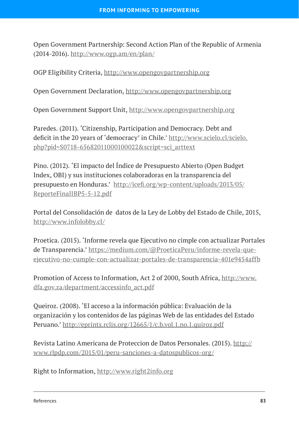Open Government Partnership: Second Action Plan of the Republic of Armenia (2014-2016). [http://www.ogp.am/en/plan/](http://www.ogp.am/en/plan)

OGP Eligibility Criteria, <http://www.opengovpartnership.org>

Open Government Declaration, <http://www.opengovpartnership.org>

Open Government Support Unit,<http://www.opengovpartnership.org>

Paredes. (2011). 'Citizenship, Participation and Democracy. Debt and deficit in the 20 years of 'democracy' in Chile.' [http://www.scielo.cl/scielo.](http://www.scielo.cl/scielo.php?pid=S0718-65682011000100022&script=sci_arttext) [php?pid=S0718-65682011000100022&script=sci\\_arttext](http://www.scielo.cl/scielo.php?pid=S0718-65682011000100022&script=sci_arttext)

Pino. (2012). 'El impacto del Índice de Presupuesto Abierto (Open Budget Index, OBI) y sus instituciones colaboradoras en la transparencia del presupuesto en Honduras.' [http://icefi.org/wp-content/uploads/2013/05/](http://icefi.org/wp-content/uploads/2013/05/ReporteFinalIBP5-5-12.pdf) [ReporteFinalIBP5-5-12.pdf](http://icefi.org/wp-content/uploads/2013/05/ReporteFinalIBP5-5-12.pdf)

Portal del Consolidación de datos de la Ley de Lobby del Estado de Chile, 2015, <http://www.infolobby.cl/>

Proetica. (2015). 'Informe revela que Ejecutivo no cimple con actualizar Portales de Transparencia.' [https://medium.com/@ProeticaPeru/informe-revela-que](mailto:https://medium.com/@ProeticaPeru/informe-revela-que-ejecutivo-no-cumple-con-actualizar-portales-de-transparencia-401e9454affb)[ejecutivo-no-cumple-con-actualizar-portales-de-transparencia-401e9454affb](mailto:https://medium.com/@ProeticaPeru/informe-revela-que-ejecutivo-no-cumple-con-actualizar-portales-de-transparencia-401e9454affb)

Promotion of Access to Information, Act 2 of 2000, South Africa, [http://www.](http://www.dfa.gov.za/department/accessinfo_act.pdf) [dfa.gov.za/department/accessinfo\\_act.pdf](http://www.dfa.gov.za/department/accessinfo_act.pdf)

Queiroz. (2008). 'El acceso a la información pública: Evaluación de la organización y los contenidos de las páginas Web de las entidades del Estado Peruano.' <http://eprints.rclis.org/12665/1/c.b.vol.1.no.1.quiroz.pdf>

Revista Latino Americana de Proteccion de Datos Personales. (2015). [http://](http://www.rlpdp.com/2015/01/peru-sanciones-a-datospublicos-org/) [www.rlpdp.com/2015/01/peru-sanciones-a-datospublicos-org/](http://www.rlpdp.com/2015/01/peru-sanciones-a-datospublicos-org/)

Right to Information,<http://www.right2info.org>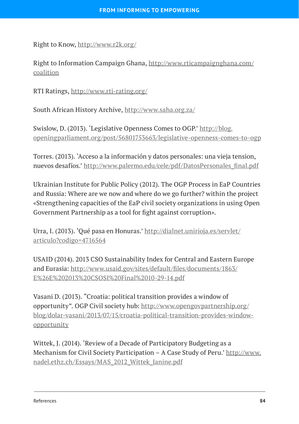Right to Know,<http://www.r2k.org/>

Right to Information Campaign Ghana, [http://www.rticampaignghana.com/](http://www.rticampaignghana.com/coalition) [coalition](http://www.rticampaignghana.com/coalition)

RTI Ratings, <http://www.rti-rating.org/>

South African History Archive, <http://www.saha.org.za/>

Swislow, D. (2013). 'Legislative Openness Comes to OGP.' [http://blog.](http://blog.openingparliament.org/post/56801753663/legislative-openness-comes-to-ogp) [openingparliament.org/post/56801753663/legislative-openness-comes-to-ogp](http://blog.openingparliament.org/post/56801753663/legislative-openness-comes-to-ogp)

Torres. (2013). 'Acceso a la información y datos personales: una vieja tension, nuevos desafíos.' [http://www.palermo.edu/cele/pdf/DatosPersonales\\_final.pdf](http://www.palermo.edu/cele/pdf/DatosPersonales_final.pdf)

Ukrainian Institute for Public Policy (2012). The OGP Process in EaP Countries and Russia: Where are we now and where do we go further? within the project «Strengthening capacities of the EaP civil society organizations in using Open Government Partnership as a tool for fight against corruption».

Urra, I. (2013). 'Qué pasa en Honuras.' [http://dialnet.unirioja.es/servlet/](http://dialnet.unirioja.es/servlet/articulo?codigo=4716564) [articulo?codigo=4716564](http://dialnet.unirioja.es/servlet/articulo?codigo=4716564)

USAID (2014). 2013 CSO Sustainability Index for Central and Eastern Europe and Eurasia: [http://www.usaid.gov/sites/default/files/documents/1863/](http://www.usaid.gov/sites/default/files/documents/1863/E%26E%202013%20CSOSI%20Final%2010-29-14.pdf) [E%26E%202013%20CSOSI%20Final%2010-29-14.pdf](http://www.usaid.gov/sites/default/files/documents/1863/E%26E%202013%20CSOSI%20Final%2010-29-14.pdf)

Vasani D. (2013). "Croatia: political transition provides a window of opportunity". OGP Civil society hub: [http://www.opengovpartnership.org/](http://www.opengovpartnership.org/blog/dolar-vasani/2013/07/15/croatia-political-transition-provides-window-opportunity) [blog/dolar-vasani/2013/07/15/croatia-political-transition-provides-window](http://www.opengovpartnership.org/blog/dolar-vasani/2013/07/15/croatia-political-transition-provides-window-opportunity)[opportunity](http://www.opengovpartnership.org/blog/dolar-vasani/2013/07/15/croatia-political-transition-provides-window-opportunity)

Wittek, J. (2014). 'Review of a Decade of Participatory Budgeting as a Mechanism for Civil Society Participation – A Case Study of Peru.' [http://www.](http://www.nadel.ethz.ch/Essays/MAS_2012_Wittek_Janine.pdf) [nadel.ethz.ch/Essays/MAS\\_2012\\_Wittek\\_Janine.pdf](http://www.nadel.ethz.ch/Essays/MAS_2012_Wittek_Janine.pdf)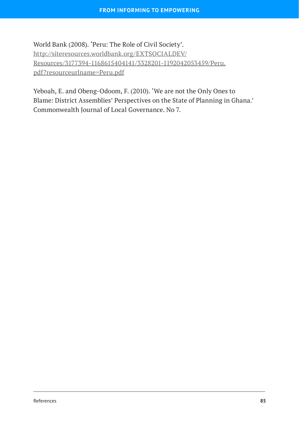World Bank (2008). 'Peru: The Role of Civil Society'. [http://siteresources.worldbank.org/EXTSOCIALDEV/](http://siteresources.worldbank.org/EXTSOCIALDEV/Resources/3177394-1168615404141/3328201-1192042053459/Peru.pdf?resourceurlname=Peru.pdf) [Resources/3177394-1168615404141/3328201-1192042053459/Peru.](http://siteresources.worldbank.org/EXTSOCIALDEV/Resources/3177394-1168615404141/3328201-1192042053459/Peru.pdf?resourceurlname=Peru.pdf) [pdf?resourceurlname=Peru.pdf](http://siteresources.worldbank.org/EXTSOCIALDEV/Resources/3177394-1168615404141/3328201-1192042053459/Peru.pdf?resourceurlname=Peru.pdf)

Yeboah, E. and Obeng-Odoom, F. (2010). 'We are not the Only Ones to Blame: District Assemblies' Perspectives on the State of Planning in Ghana.' Commonwealth Journal of Local Governance. No 7.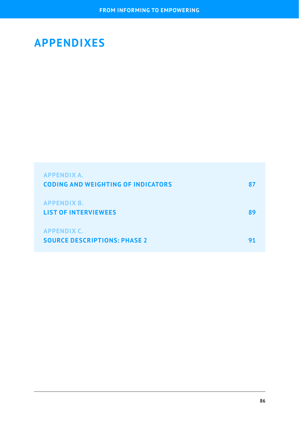## **APPENDIXES**

| <b>APPENDIX A.</b><br><b>CODING AND WEIGHTING OF INDICATORS</b> |    |
|-----------------------------------------------------------------|----|
| <b>APPENDIX B.</b><br><b>LIST OF INTERVIEWEES</b>               | RЧ |
| <b>APPENDIX C.</b><br><b>SOURCE DESCRIPTIONS: PHASE 2</b>       |    |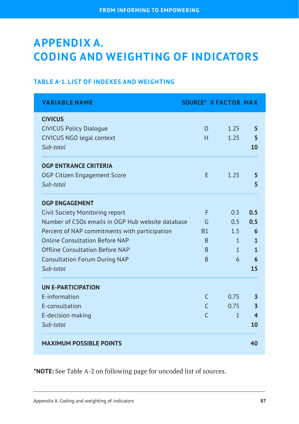# <span id="page-89-0"></span>**APPENDIX A. CODING AND WEIGHTING OF INDICATORS**

#### **TABLE A-1. LIST OF INDEXES AND WEIGHTING**

| <b>VARIABLE NAME</b>                                                                              | <b>SOURCE* X FACTOR MAX</b> |              |                         |
|---------------------------------------------------------------------------------------------------|-----------------------------|--------------|-------------------------|
| <b>CIVICUS</b><br><b>CIVICUS Policy Dialogue</b><br><b>CIVICUS NGO legal context</b><br>Sub-total | D<br>H                      | 1.25<br>1.25 | 5<br>5<br>10            |
| <b>OGP ENTRANCE CRITERIA</b><br>OGP Citizen Engagement Score<br>Sub-total                         | F                           | 1.25         | 5<br>5                  |
| <b>OGP ENGAGEMENT</b>                                                                             |                             |              |                         |
| Civil Society Monitoring report                                                                   | F                           | 0.5          | 0.5                     |
| Number of CSOs emails in OGP Hub website database                                                 | G                           | 0.5          | 0.5                     |
| Percent of NAP commitments with participation                                                     | <b>B1</b>                   | 1.5          | 6                       |
| Online Consultation Before NAP                                                                    | B                           | $\mathbf{1}$ | 1                       |
| Offline Consultation Before NAP                                                                   | <sub>R</sub>                | $\mathbf{1}$ | $\mathbf{1}$            |
| <b>Consultation Forum During NAP</b>                                                              | B                           | 6            | 6                       |
| Sub-total                                                                                         |                             |              | 15                      |
| <b>UN E-PARTICIPATION</b>                                                                         |                             |              |                         |
| E-information                                                                                     | $\subset$                   | 0.75         | 3                       |
| E-consultation                                                                                    | $\mathcal{C}$               | 0.75         | $\overline{3}$          |
| E-decision making                                                                                 | $\Gamma$                    | $\mathbf{1}$ | $\overline{\mathbf{4}}$ |
| Sub-total                                                                                         |                             |              | 10                      |
| <b>MAXIMUM POSSIBLE POINTS</b>                                                                    |                             |              | 40                      |

**\*NOTE:** See Table A-2 on following page for uncoded list of sources.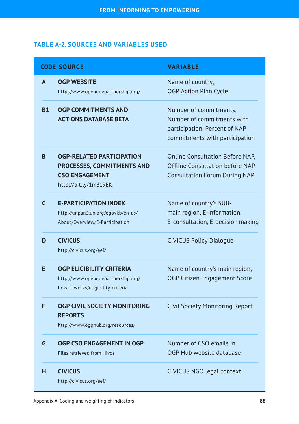#### **TABLE A-2. SOURCES AND VARIABLES USED**

|              | <b>CODE SOURCE</b>                                                                                                      | <b><i>VARIABLE</i></b>                                                                                                  |
|--------------|-------------------------------------------------------------------------------------------------------------------------|-------------------------------------------------------------------------------------------------------------------------|
| A            | <b>OGP WEBSITE</b><br>http://www.opengovpartnership.org/                                                                | Name of country,<br><b>OGP Action Plan Cycle</b>                                                                        |
| <b>B1</b>    | <b>OGP COMMITMENTS AND</b><br><b>ACTIONS DATABASE BETA</b>                                                              | Number of commitments,<br>Number of commitments with<br>participation, Percent of NAP<br>commitments with participation |
| <sub>B</sub> | <b>OGP-RELATED PARTICIPATION</b><br><b>PROCESSES, COMMITMENTS AND</b><br><b>CSO ENGAGEMENT</b><br>http://bit.ly/1m319EK | <b>Online Consultation Before NAP,</b><br>Offline Consultation before NAP,<br><b>Consultation Forum During NAP</b>      |
| C            | <b>E-PARTICIPATION INDEX</b><br>http://unpan3.un.org/egovkb/en-us/<br>About/Overview/E-Participation                    | Name of country's SUB-<br>main region, E-information,<br>E-consultation, E-decision making                              |
| D            | <b>CIVICUS</b><br>http://civicus.org/eei/                                                                               | <b>CIVICUS Policy Dialogue</b>                                                                                          |
| Е            | <b>OGP ELIGIBILITY CRITERIA</b><br>http://www.opengovpartnership.org/<br>how-it-works/eligibility-criteria              | Name of country's main region,<br>OGP Citizen Engagement Score                                                          |
| F            | OGP CIVIL SOCIETY MONITORING<br><b>REPORTS</b><br>http://www.ogphub.org/resources/                                      | <b>Civil Society Monitoring Report</b>                                                                                  |
| G            | OGP CSO ENGAGEMENT IN OGP<br>Files retrieved from Hivos                                                                 | Number of CSO emails in<br>OGP Hub website database                                                                     |
| н            | <b>CIVICUS</b><br>http://civicus.org/eei/                                                                               | CIVICUS NGO legal context                                                                                               |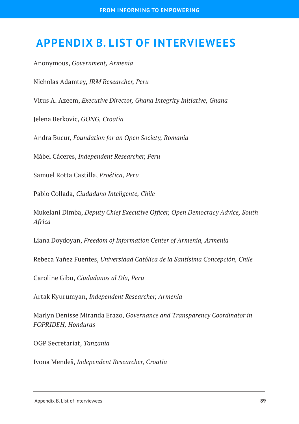### <span id="page-91-0"></span> **APPENDIX B. LIST OF INTERVIEWEES**

Anonymous, *Government, Armenia*

Nicholas Adamtey, *IRM Researcher, Peru*

Vitus A. Azeem, *Executive Director, Ghana Integrity Initiative, Ghana*

Jelena Berkovic, *GONG, Croatia*

Andra Bucur, *Foundation for an Open Society, Romania*

Mábel Cáceres, *Independent Researcher, Peru*

Samuel Rotta Castilla, *Proética, Peru*

Pablo Collada, *Ciudadano Inteligente, Chile*

Mukelani Dimba, *Deputy Chief Executive Officer, Open Democracy Advice, South Africa*

Liana Doydoyan, *Freedom of Information Center of Armenia, Armenia*

Rebeca Yañez Fuentes, *Universidad Católica de la Santísima Concepción, Chile*

Caroline Gibu, *Ciudadanos al Día, Peru*

Artak Kyurumyan, *Independent Researcher, Armenia*

Marlyn Denisse Miranda Erazo, *Governance and Transparency Coordinator in FOPRIDEH, Honduras*

OGP Secretariat, *Tanzania*

Ivona Mendeš, *Independent Researcher, Croatia*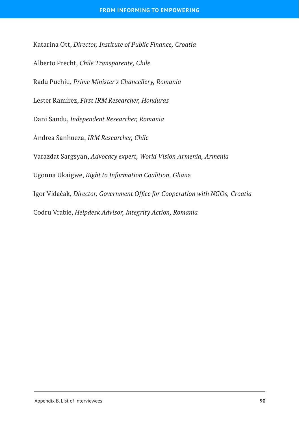Katarina Ott, *Director, Institute of Public Finance, Croatia* Alberto Precht, *Chile Transparente, Chile* Radu Puchiu, *Prime Minister's Chancellery, Romania* Lester Ramírez, *First IRM Researcher, Honduras* Dani Sandu, *Independent Researcher, Romania* Andrea Sanhueza, *IRM Researcher, Chile* Varazdat Sargsyan, *Advocacy expert, World Vision Armenia, Armenia* Ugonna Ukaigwe, *Right to Information Coalition, Ghan*a Igor Vidačak, *Director, Government Office for Cooperation with NGOs, Croatia* Codru Vrabie, *Helpdesk Advisor, Integrity Action, Romania*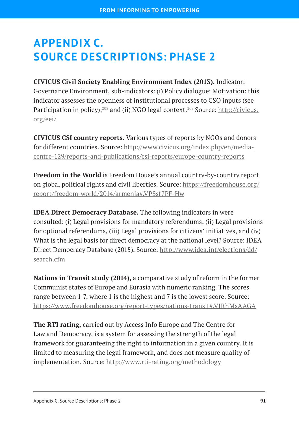# <span id="page-93-0"></span>**APPENDIX C. SOURCE DESCRIPTIONS: PHASE 2**

**CIVICUS Civil Society Enabling Environment Index (2013).** Indicator: Governance Environment, sub-indicators: (i) Policy dialogue: Motivation: this indicator assesses the openness of institutional processes to CSO inputs (see Participation in policy);<sup>208</sup> and (ii) NGO legal context.<sup>209</sup> Source: [http://civicus.](http://civicus.org/eei/) [org/eei/](http://civicus.org/eei/)

**CIVICUS CSI country reports.** Various types of reports by NGOs and donors for different countries. Source: [http://www.civicus.org/index.php/en/media](http://www.civicus.org/index.php/en/media-centre-129/reports-and-publications/csi-reports/europe-country-reports)[centre-129/reports-and-publications/csi-reports/europe-country-reports](http://www.civicus.org/index.php/en/media-centre-129/reports-and-publications/csi-reports/europe-country-reports)

**Freedom in the World** is Freedom House's annual country-by-country report on global political rights and civil liberties. Source: [https://freedomhouse.org/](https://freedomhouse.org/report/freedom-world/2014/armenia#.VPSsf7PF-Hw) [report/freedom-world/2014/armenia#.VPSsf7PF-Hw](https://freedomhouse.org/report/freedom-world/2014/armenia#.VPSsf7PF-Hw)

**IDEA Direct Democracy Database.** The following indicators in were consulted: (i) Legal provisions for mandatory referendums; (ii) Legal provisions for optional referendums, (iii) Legal provisions for citizens' initiatives, and (iv) What is the legal basis for direct democracy at the national level? Source: IDEA Direct Democracy Database (2015). Source: [http://www.idea.int/elections/dd/](http://www.idea.int/elections/dd/search.cfm) [search.cfm](http://www.idea.int/elections/dd/search.cfm)

**Nations in Transit study (2014),** a comparative study of reform in the former Communist states of Europe and Eurasia with numeric ranking. The scores range between 1-7, where 1 is the highest and 7 is the lowest score. Source: <https://www.freedomhouse.org/report-types/nations-transit#.VJRhMsAAGA>

**The RTI rating,** carried out by Access Info Europe and The Centre for Law and Democracy, is a system for assessing the strength of the legal framework for guaranteeing the right to information in a given country. It is limited to measuring the legal framework, and does not measure quality of implementation. Source:<http://www.rti-rating.org/methodology>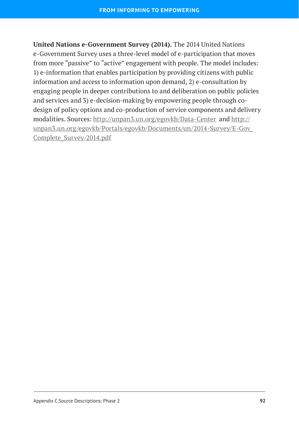**United Nations e-Government Survey (2014).** The 2014 United Nations e-Government Survey uses a three-level model of e-participation that moves from more "passive" to "active" engagement with people. The model includes: 1) e-information that enables participation by providing citizens with public information and access to information upon demand, 2) e-consultation by engaging people in deeper contributions to and deliberation on public policies and services and 3) e-decision-making by empowering people through codesign of policy options and co-production of service components and delivery modalities. Sources: <http://unpan3.un.org/egovkb/Data-Center> and [http://](http://unpan3.un.org/egovkb/Portals/egovkb/Documents/un/2014-Survey/E-Gov_Complete_Survey-2014.pdf) [unpan3.un.org/egovkb/Portals/egovkb/Documents/un/2014-Survey/E-Gov\\_](http://unpan3.un.org/egovkb/Portals/egovkb/Documents/un/2014-Survey/E-Gov_Complete_Survey-2014.pdf) [Complete\\_Survey-2014.pdf](http://unpan3.un.org/egovkb/Portals/egovkb/Documents/un/2014-Survey/E-Gov_Complete_Survey-2014.pdf)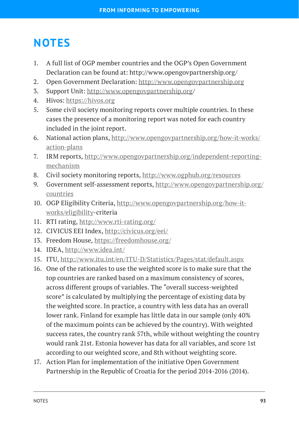## **NOTES**

- 1. A full list of OGP member countries and the OGP's Open Government Declaration can be found at: http://www.opengovpartnership.org/
- 2. Open Government Declaration: <http://www.opengovpartnership.org>
- 3. Support Unit: [http://www.opengovpartnership.org/](http://www.opengovpartnership.org)
- 4. Hivos: <https://hivos.org>
- 5. Some civil society monitoring reports cover multiple countries. In these cases the presence of a monitoring report was noted for each country included in the joint report.
- 6. National action plans, [http://www.opengovpartnership.org/how-it-works/](http://www.opengovpartnership.org/how-it-works/action-plans) [action-plans](http://www.opengovpartnership.org/how-it-works/action-plans)
- 7. IRM reports, [http://www.opengovpartnership.org/independent-reporting](http://www.opengovpartnership.org/independent-reporting-mechanism)[mechanism](http://www.opengovpartnership.org/independent-reporting-mechanism)
- 8. Civil society monitoring reports, <http://www.ogphub.org/resources>
- 9. Government self-assessment reports, [http://www.opengovpartnership.org/](http://www.opengovpartnership.org/countries) [countries](http://www.opengovpartnership.org/countries)
- 10. OGP Eligibility Criteria, [http://www.opengovpartnership.org/how-it](http://www.opengovpartnership.org/how-it-works/eligibility)[works/eligibility](http://www.opengovpartnership.org/how-it-works/eligibility)-criteria
- 11. RTI rating,<http://www.rti-rating.org/>
- 12. CIVICUS EEI Index, <http://civicus.org/eei/>
- 13. Freedom House, <https://freedomhouse.org/>
- 14. IDEA, <http://www.idea.int/>
- 15. ITU,<http://www.itu.int/en/ITU-D/Statistics/Pages/stat/default.aspx>
- 16. One of the rationales to use the weighted score is to make sure that the top countries are ranked based on a maximum consistency of scores, across different groups of variables. The "overall success-weighted score" is calculated by multiplying the percentage of existing data by the weighted score. In practice, a country with less data has an overall lower rank. Finland for example has little data in our sample (only 40% of the maximum points can be achieved by the country). With weighted success rates, the country rank 57th, while without weighting the country would rank 21st. Estonia however has data for all variables, and score 1st according to our weighted score, and 8th without weighting score.
- 17. Action Plan for implementation of the initiative Open Government Partnership in the Republic of Croatia for the period 2014-2016 (2014).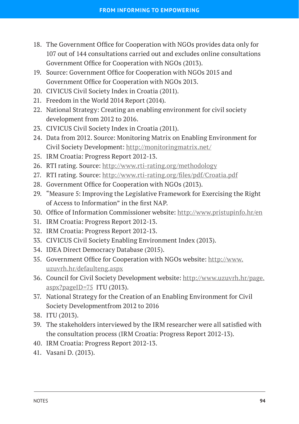- 18. The Government Office for Cooperation with NGOs provides data only for 107 out of 144 consultations carried out and excludes online consultations Government Office for Cooperation with NGOs (2013).
- 19. Source: Government Office for Cooperation with NGOs 2015 and Government Office for Cooperation with NGOs 2013.
- 20. CIVICUS Civil Society Index in Croatia (2011).
- 21. Freedom in the World 2014 Report (2014).
- 22. National Strategy: Creating an enabling environment for civil society development from 2012 to 2016.
- 23. CIVICUS Civil Society Index in Croatia (2011).
- 24. Data from 2012. Source: Monitoring Matrix on Enabling Environment for Civil Society Development:<http://monitoringmatrix.net/>
- 25. IRM Croatia: Progress Report 2012-13.
- 26. RTI rating. Source: <http://www.rti-rating.org/methodology>
- 27. RTI rating. Source: <http://www.rti-rating.org/files/pdf/Croatia.pdf>
- 28. Government Office for Cooperation with NGOs (2013).
- 29. "Measure 5: Improving the Legislative Framework for Exercising the Right of Access to Information" in the first NAP.
- 30. Office of Information Commissioner website: <http://www.pristupinfo.hr/en>
- 31. IRM Croatia: Progress Report 2012-13.
- 32. IRM Croatia: Progress Report 2012-13.
- 33. CIVICUS Civil Society Enabling Environment Index (2013).
- 34. IDEA Direct Democracy Database (2015).
- 35. Government Office for Cooperation with NGOs website: [http://www.](http://www.uzuvrh.hr/defaulteng.aspx) [uzuvrh.hr/defaulteng.aspx](http://www.uzuvrh.hr/defaulteng.aspx)
- 36. Council for Civil Society Development website: [http://www.uzuvrh.hr/page.](http://www.uzuvrh.hr/page.aspx?pageID=75) [aspx?pageID=75](http://www.uzuvrh.hr/page.aspx?pageID=75) ITU (2013).
- 37. National Strategy for the Creation of an Enabling Environment for Civil Society Developmentfrom 2012 to 2016
- 38. ITU (2013).
- 39. The stakeholders interviewed by the IRM researcher were all satisfied with the consultation process (IRM Croatia: Progress Report 2012-13).
- 40. IRM Croatia: Progress Report 2012-13.
- 41. Vasani D. (2013).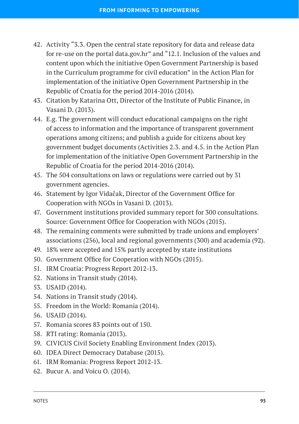- 42. Activity "3.3. Open the central state repository for data and release data for re-use on the portal data.gov.hr" and "12.1. Inclusion of the values and content upon which the initiative Open Government Partnership is based in the Curriculum programme for civil education" in the Action Plan for implementation of the initiative Open Government Partnership in the Republic of Croatia for the period 2014-2016 (2014).
- 43. Citation by Katarina Ott, Director of the Institute of Public Finance, in Vasani D. (2013).
- 44. E.g. The government will conduct educational campaigns on the right of access to information and the importance of transparent government operations among citizens; and publish a guide for citizens about key government budget documents (Activities 2.3. and 4.5. in the Action Plan for implementation of the initiative Open Government Partnership in the Republic of Croatia for the period 2014-2016 (2014).
- 45. The 504 consultations on laws or regulations were carried out by 31 government agencies.
- 46. Statement by Igor Vidačak, Director of the Government Office for Cooperation with NGOs in Vasani D. (2013).
- 47. Government institutions provided summary report for 300 consultations. Source: Government Office for Cooperation with NGOs (2015).
- 48. The remaining comments were submitted by trade unions and employers' associations (256), local and regional governments (300) and academia (92).
- 49. 18% were accepted and 15% partly accepted by state institutions
- 50. Government Office for Cooperation with NGOs (2015).
- 51. IRM Croatia: Progress Report 2012-13.
- 52. Nations in Transit study (2014).
- 53. USAID (2014).
- 54. Nations in Transit study (2014).
- 55. Freedom in the World: Romania (2014).
- 56. USAID (2014).
- 57. Romania scores 83 points out of 150.
- 58. RTI rating: Romania (2013).
- 59. CIVICUS Civil Society Enabling Environment Index (2013).
- 60. IDEA Direct Democracy Database (2015).
- 61. IRM Romania: Progress Report 2012-13.
- 62. Bucur A. and Voicu O. (2014).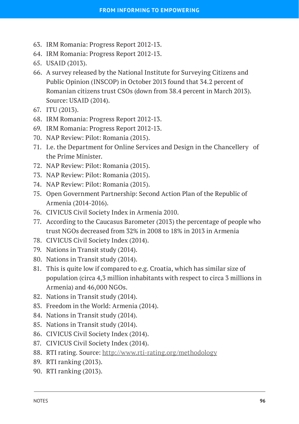- 63. IRM Romania: Progress Report 2012-13.
- 64. IRM Romania: Progress Report 2012-13.
- 65. USAID (2013).
- 66. A survey released by the National Institute for Surveying Citizens and Public Opinion (INSCOP) in October 2013 found that 34.2 percent of Romanian citizens trust CSOs (down from 38.4 percent in March 2013). Source: USAID (2014).
- 67. ITU (2013).
- 68. IRM Romania: Progress Report 2012-13.
- 69. IRM Romania: Progress Report 2012-13.
- 70. NAP Review: Pilot: Romania (2015).
- 71. I.e. the Department for Online Services and Design in the Chancellery of the Prime Minister.
- 72. NAP Review: Pilot: Romania (2015).
- 73. NAP Review: Pilot: Romania (2015).
- 74. NAP Review: Pilot: Romania (2015).
- 75. Open Government Partnership: Second Action Plan of the Republic of Armenia (2014-2016).
- 76. CIVICUS Civil Society Index in Armenia 2010.
- 77. According to the Caucasus Barometer (2013) the percentage of people who trust NGOs decreased from 32% in 2008 to 18% in 2013 in Armenia
- 78. CIVICUS Civil Society Index (2014).
- 79. Nations in Transit study (2014).
- 80. Nations in Transit study (2014).
- 81. This is quite low if compared to e.g. Croatia, which has similar size of population (circa 4,3 million inhabitants with respect to circa 3 millions in Armenia) and 46,000 NGOs.
- 82. Nations in Transit study (2014).
- 83. Freedom in the World: Armenia (2014).
- 84. Nations in Transit study (2014).
- 85. Nations in Transit study (2014).
- 86. CIVICUS Civil Society Index (2014).
- 87. CIVICUS Civil Society Index (2014).
- 88. RTI rating. Source: <http://www.rti-rating.org/methodology>
- 89. RTI ranking (2013).
- 90. RTI ranking (2013).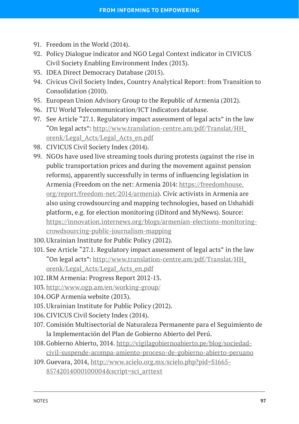- 91. Freedom in the World (2014).
- 92. Policy Dialogue indicator and NGO Legal Context indicator in CIVICUS Civil Society Enabling Environment Index (2013).
- 93. IDEA Direct Democracy Database (2015).
- 94. Civicus Civil Society Index, Country Analytical Report: from Transition to Consolidation (2010).
- 95. European Union Advisory Group to the Republic of Armenia (2012).
- 96. ITU World Telecommunication/ICT Indicators database.
- 97. See Article "27.1. Regulatory impact assessment of legal acts" in the law "On legal acts": [http://www.translation-centre.am/pdf/Translat/HH\\_](http://www.translation-centre.am/pdf/Translat/HH_orenk/Legal_Acts/Legal_Acts_en.pdf) [orenk/Legal\\_Acts/Legal\\_Acts\\_en.pdf](http://www.translation-centre.am/pdf/Translat/HH_orenk/Legal_Acts/Legal_Acts_en.pdf)
- 98. CIVICUS Civil Society Index (2014).
- 99. NGOs have used live streaming tools during protests (against the rise in public transportation prices and during the movement against pension reforms), apparently successfully in terms of influencing legislation in Armenia (Freedom on the net: Armenia 2014: [https://freedomhouse.](https://freedomhouse.org/report/freedom-net/2014/armenia) [org/report/freedom-net/2014/armenia](https://freedomhouse.org/report/freedom-net/2014/armenia)). Civic activists in Armenia are also using crowdsourcing and mapping technologies, based on Ushahidi platform, e.g. for election monitoring (iDitord and MyNews). Source: [https://innovation.internews.org/blogs/armenian-elections-monitoring](https://innovation.internews.org/blogs/armenian-elections-monitoring-crowdsourcing-public-journalism-mapping)[crowdsourcing-public-journalism-mapping](https://innovation.internews.org/blogs/armenian-elections-monitoring-crowdsourcing-public-journalism-mapping)
- 100.Ukrainian Institute for Public Policy (2012).
- 101. See Article "27.1. Regulatory impact assessment of legal acts" in the law "On legal acts": [http://www.translation-centre.am/pdf/Translat/HH\\_](http://www.translation-centre.am/pdf/Translat/HH_orenk/Legal_Acts/Legal_Acts_en.pdf) [orenk/Legal\\_Acts/Legal\\_Acts\\_en.pdf](http://www.translation-centre.am/pdf/Translat/HH_orenk/Legal_Acts/Legal_Acts_en.pdf)
- 102.IRM Armenia: Progress Report 2012-13.
- 103.<http://www.ogp.am/en/working-group/>
- 104.OGP Armenia website (2013).
- 105.Ukrainian Institute for Public Policy (2012).
- 106.CIVICUS Civil Society Index (2014).
- 107. Comisión Multisectorial de Naturaleza Permanente para el Seguimiento de la Implementación del Plan de Gobierno Abierto del Perú.
- 108.Gobierno Abierto, 2014. [http://vigilagobiernoabierto.pe/blog/sociedad](http://vigilagobiernoabierto.pe/blog/sociedad-civil-suspende-acompa-amiento-proceso-de-gobierno-abierto-peruano)[civil-suspende-acompa-amiento-proceso-de-gobierno-abierto-peruano](http://vigilagobiernoabierto.pe/blog/sociedad-civil-suspende-acompa-amiento-proceso-de-gobierno-abierto-peruano)
- 109.Guevara, 2014, [http://www.scielo.org.mx/scielo.php?pid=S1665-](http://www.scielo.org.mx/scielo.php?pid=S1665-85742014000100004&script=sci_arttext) [85742014000100004&script=sci\\_arttext](http://www.scielo.org.mx/scielo.php?pid=S1665-85742014000100004&script=sci_arttext)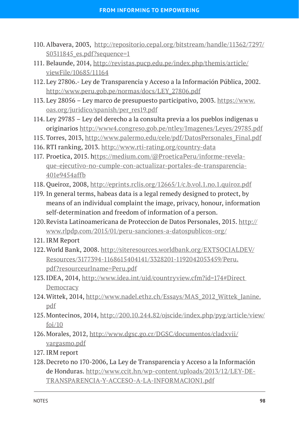- 110. Albavera, 2003, [http://repositorio.cepal.org/bitstream/handle/11362/7297/](http://repositorio.cepal.org/bitstream/handle/11362/7297/S0311845_es.pdf?sequence=1) [S0311845\\_es.pdf?sequence=1](http://repositorio.cepal.org/bitstream/handle/11362/7297/S0311845_es.pdf?sequence=1)
- 111. Belaunde, 2014, [http://revistas.pucp.edu.pe/index.php/themis/article/](http://revistas.pucp.edu.pe/index.php/themis/article/viewFile/10685/11164) [viewFile/10685/11164](http://revistas.pucp.edu.pe/index.php/themis/article/viewFile/10685/11164)
- 112. Ley 27806.- Ley de Transparencia y Acceso a la Información Pública, 2002. [http://www.peru.gob.pe/normas/docs/LEY\\_27806.pdf](http://www.peru.gob.pe/normas/docs/LEY_27806.pdf)
- 113. Ley 28056 Ley marco de presupuesto participativo, 2003. [https://www.](https://www.oas.org/juridico/spanish/per_res19.pdf) [oas.org/juridico/spanish/per\\_res19.pdf](https://www.oas.org/juridico/spanish/per_res19.pdf)
- 114. Ley 29785 Ley del derecho a la consulta previa a los pueblos indigenas u originarios <http://www4.congreso.gob.pe/ntley/Imagenes/Leyes/29785.pdf>
- 115. Torres, 2013, [http://www.palermo.edu/cele/pdf/DatosPersonales\\_Final.pdf](http://www.palermo.edu/cele/pdf/DatosPersonales_Final.pdf)
- 116. RTI ranking, 2013.<http://www.rti-rating.org/country-data>
- 117. Proetica, 2015. [https://medium.com/@ProeticaPeru/informe-revela](mailto:ttps://medium.com/@ProeticaPeru/informe-revela-que-ejecutivo-no-cumple-con-actualizar-portales-de-transparencia-401e9454affb)[que-ejecutivo-no-cumple-con-actualizar-portales-de-transparencia-](mailto:ttps://medium.com/@ProeticaPeru/informe-revela-que-ejecutivo-no-cumple-con-actualizar-portales-de-transparencia-401e9454affb)[401e9454affb](mailto:ttps://medium.com/@ProeticaPeru/informe-revela-que-ejecutivo-no-cumple-con-actualizar-portales-de-transparencia-401e9454affb)
- 118. Queiroz, 2008, <http://eprints.rclis.org/12665/1/c.b.vol.1.no.1.quiroz.pdf>
- 119. In general terms, habeas data is a legal remedy designed to protect, by means of an individual complaint the image, privacy, honour, information self-determination and freedom of information of a person.
- 120.Revista Latinoamericana de Proteccion de Datos Personales, 2015. [http://](http://www.rlpdp.com/2015/01/peru-sanciones-a-datospublicos-org/) [www.rlpdp.com/2015/01/peru-sanciones-a-datospublicos-org/](http://www.rlpdp.com/2015/01/peru-sanciones-a-datospublicos-org/)
- 121. IRM Report
- 122.World Bank, 2008. [http://siteresources.worldbank.org/EXTSOCIALDEV/](http://siteresources.worldbank.org/EXTSOCIALDEV/Resources/3177394-1168615404141/3328201-1192042053459/Peru.pdf?resourceurlname=Peru.pdf) [Resources/3177394-1168615404141/3328201-1192042053459/Peru.](http://siteresources.worldbank.org/EXTSOCIALDEV/Resources/3177394-1168615404141/3328201-1192042053459/Peru.pdf?resourceurlname=Peru.pdf) [pdf?resourceurlname=Peru.pdf](http://siteresources.worldbank.org/EXTSOCIALDEV/Resources/3177394-1168615404141/3328201-1192042053459/Peru.pdf?resourceurlname=Peru.pdf)
- 123.IDEA, 2014, [http://www.idea.int/uid/countryview.cfm?id=174#Direct](http://www.idea.int/uid/countryview.cfm?id=174#Direct Democracy)  [Democracy](http://www.idea.int/uid/countryview.cfm?id=174#Direct Democracy)
- 124.Wittek, 2014, [http://www.nadel.ethz.ch/Essays/MAS\\_2012\\_Wittek\\_Janine.](http://www.nadel.ethz.ch/Essays/MAS_2012_Wittek_Janine.pdf) [pdf](http://www.nadel.ethz.ch/Essays/MAS_2012_Wittek_Janine.pdf)
- 125.Montecinos, 2014, [http://200.10.244.82/ojscide/index.php/pyg/article/view/](http://200.10.244.82/ojscide/index.php/pyg/article/view/foi/10) [foi/10](http://200.10.244.82/ojscide/index.php/pyg/article/view/foi/10)
- 126.Morales, 2012, [http://www.dgsc.go.cr/DGSC/documentos/cladxvii/](http://www.dgsc.go.cr/DGSC/documentos/cladxvii/vargasmo.pdf) [vargasmo.pdf](http://www.dgsc.go.cr/DGSC/documentos/cladxvii/vargasmo.pdf)
- 127. IRM report
- 128.Decreto no 170-2006, La Ley de Transparencia y Acceso a la Información de Honduras. [http://www.ccit.hn/wp-content/uploads/2013/12/LEY-DE-](http://www.ccit.hn/wp-content/uploads/2013/12/LEY-DE-TRANSPARENCIA-Y-ACCESO-A-LA-INFORMACION1.pdf)[TRANSPARENCIA-Y-ACCESO-A-LA-INFORMACION1.pdf](http://www.ccit.hn/wp-content/uploads/2013/12/LEY-DE-TRANSPARENCIA-Y-ACCESO-A-LA-INFORMACION1.pdf)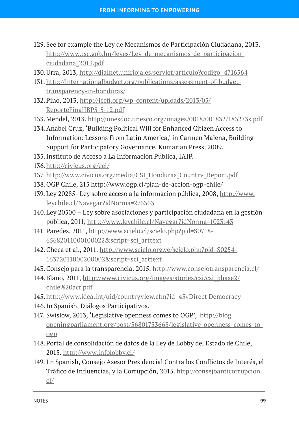- 129. See for example the Ley de Mecanismos de Participación Ciudadana, 2013. [http://www.tsc.gob.hn/leyes/Ley\\_de\\_mecanismos\\_de\\_participacion\\_](http://www.tsc.gob.hn/leyes/Ley_de_mecanismos_de_participacion_ciudadana_2013.pdf) [ciudadana\\_2013.pdf](http://www.tsc.gob.hn/leyes/Ley_de_mecanismos_de_participacion_ciudadana_2013.pdf)
- 130.Urra, 2013, <http://dialnet.unirioja.es/servlet/articulo?codigo=4716564>
- 131. [http://internationalbudget.org/publications/assessment-of-budget](http://internationalbudget.org/publications/assessment-of-budget-transparency-in-honduras/)[transparency-in-honduras/](http://internationalbudget.org/publications/assessment-of-budget-transparency-in-honduras/)
- 132.Pino, 2013, [http://icefi.org/wp-content/uploads/2013/05/](http://icefi.org/wp-content/uploads/2013/05/ReporteFinalIBP5-5-12.pdf) [ReporteFinalIBP5-5-12.pdf](http://icefi.org/wp-content/uploads/2013/05/ReporteFinalIBP5-5-12.pdf)
- 133.Mendel, 2013.<http://unesdoc.unesco.org/images/0018/001832/183273s.pdf>
- 134.Anabel Cruz, 'Building Political Will for Enhanced Citizen Access to Information: Lessons From Latin America,' in Carmen Malena, Building Support for Participatory Governance, Kumarian Press, 2009.
- 135.Instituto de Acceso a La Información Pública, IAIP.
- 136.<http://civicus.org/eei/>
- 137. [http://www.civicus.org/media/CSI\\_Honduras\\_Country\\_Report.pdf](http://www.civicus.org/media/CSI_Honduras_Country_Report.pdf)
- 138.OGP Chile, 215 http://www.ogp.cl/plan-de-accion-ogp-chile/
- 139. Ley 20285- Ley sobre acceso a la informacion pública, 2008, [http://www.](http://www.leychile.cl/Navegar?idNorma=276363) [leychile.cl/Navegar?idNorma=276363](http://www.leychile.cl/Navegar?idNorma=276363)
- 140.Ley 20500 Ley sobre asociaciones y participación ciudadana en la gestión pública, 2011, <http://www.leychile.cl/Navegar?idNorma=1023143>
- 141. Paredes, 2011, [http://www.scielo.cl/scielo.php?pid=S0718-](http://www.scielo.cl/scielo.php?pid=S0718-65682011000100022&script=sci_arttext) [65682011000100022&script=sci\\_arttext](http://www.scielo.cl/scielo.php?pid=S0718-65682011000100022&script=sci_arttext)
- 142.Checa et al., 2011. [http://www.scielo.org.ve/scielo.php?pid=S0254-](http://www.scielo.org.ve/scielo.php?pid=S0254-16372011000200002&script=sci_arttext) [16372011000200002&script=sci\\_arttext](http://www.scielo.org.ve/scielo.php?pid=S0254-16372011000200002&script=sci_arttext)
- 143.Consejo para la transparencia, 2015.<http://www.consejotransparencia.cl/>
- 144.Blano, 2011, [http://www.civicus.org/images/stories/csi/csi\\_phase2/](http://www.civicus.org/images/stories/csi/csi_phase2/chile%20acr.pdf) [chile%20acr.pdf](http://www.civicus.org/images/stories/csi/csi_phase2/chile%20acr.pdf)
- 145. <http://www.idea.int/uid/countryview.cfm?id=45#Direct Democracy>
- 146.In Spanish, Diálogos Participativos.
- 147. Swislow, 2013, 'Legislative openness comes to OGP', [http://blog.](http://blog.openingparliament.org/post/56801753663/legislative-openness-comes-to-ogp) [openingparliament.org/post/56801753663/legislative-openness-comes-to](http://blog.openingparliament.org/post/56801753663/legislative-openness-comes-to-ogp)[ogp](http://blog.openingparliament.org/post/56801753663/legislative-openness-comes-to-ogp)
- 148.Portal de consolidación de datos de la Ley de Lobby del Estado de Chile, 2015. <http://www.infolobby.cl/>
- 149. I n Spanish, Consejo Asesor Presidencial Contra los Conflictos de Interés, el Tráfico de Influencias, y la Corrupción, 2015. [http://consejoanticorrupcion.](http://consejoanticorrupcion.cl/) [cl/](http://consejoanticorrupcion.cl/)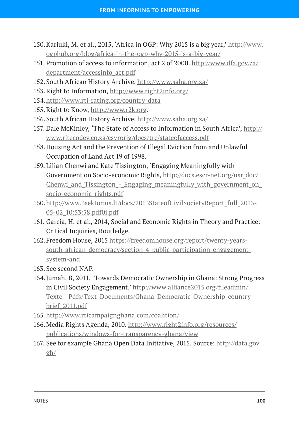- 150.Kariuki, M. et al., 2015, 'Africa in OGP: Why 2015 is a big year,' [http://www.](http://www.ogphub.org/blog/africa-in-the-ogp-why-2015-is-a-big-year/) [ogphub.org/blog/africa-in-the-ogp-why-2015-is-a-big-year/](http://www.ogphub.org/blog/africa-in-the-ogp-why-2015-is-a-big-year/)
- 151. Promotion of access to information, act 2 of 2000. [http://www.dfa.gov.za/](http://www.dfa.gov.za/department/accessinfo_act.pdf) [department/accessinfo\\_act.pdf](http://www.dfa.gov.za/department/accessinfo_act.pdf)
- 152.South African History Archive, <http://www.saha.org.za/>
- 153.Right to Information,<http://www.right2info.org/>
- 154.[http://www.rti-rating.org/country-](http://www.rti-rating.org/country-data)data
- 155.Right to Know, [http://www.r2k.org.](http://www.r2k.org)
- 156.South African History Archive, <http://www.saha.org.za/>
- 157. Dale McKinley, 'The State of Access to Information in South Africa', [http://](http://www.ritecodev.co.za/csvrorig/docs/trc/stateofaccess.pdf) [www.ritecodev.co.za/csvrorig/docs/trc/stateofaccess.pdf](http://www.ritecodev.co.za/csvrorig/docs/trc/stateofaccess.pdf)
- 158.Housing Act and the Prevention of Illegal Eviction from and Unlawful Occupation of Land Act 19 of 1998.
- 159. Lilian Chenwi and Kate Tissington, 'Engaging Meaningfully with Government on Socio-economic Rights, [http://docs.escr-net.org/usr\\_doc/](http://docs.escr-net.org/usr_doc/Chenwi_and_Tissington_-_Engaging_meaningfully_with_government_on_socio-economic_rights.pdf) Chenwi and Tissington - Engaging meaningfully with government on [socio-economic\\_rights.pdf](http://docs.escr-net.org/usr_doc/Chenwi_and_Tissington_-_Engaging_meaningfully_with_government_on_socio-economic_rights.pdf)
- 160.[http://www.3sektorius.lt/docs/2013StateofCivilSocietyReport\\_full\\_2013-](http://www.3sektorius.lt/docs/2013StateofCivilSocietyReport_full_2013-05-02_10:53:58.pdf0i.pdf) [05-02\\_10:53:58.pdf0i.pdf](http://www.3sektorius.lt/docs/2013StateofCivilSocietyReport_full_2013-05-02_10:53:58.pdf0i.pdf)
- 161. Garcia, H. et al., 2014, Social and Economic Rights in Theory and Practice: Critical Inquiries, Routledge.
- 162. Freedom House, 2015 [https://freedomhouse.org/report/twenty-years](https://freedomhouse.org/report/twenty-years-south-african-democracy/section-4-public-participation-engagement-system-and)[south-african-democracy/section-4-public-participation-engagement](https://freedomhouse.org/report/twenty-years-south-african-democracy/section-4-public-participation-engagement-system-and)[system-and](https://freedomhouse.org/report/twenty-years-south-african-democracy/section-4-public-participation-engagement-system-and)
- 163. See second NAP.
- 164.Jumah, B, 2011, 'Towards Democratic Ownership in Ghana: Strong Progress in Civil Society Engagement.' [http://www.alliance2015.org/fileadmin/](http://www.alliance2015.org/fileadmin/Texte__Pdfs/Text_Documents/Ghana_Democratic_Ownership_country_brief_2011.pdf) Texte\_Pdfs/Text\_Documents/Ghana\_Democratic\_Ownership\_country\_ [brief\\_2011.pdf](http://www.alliance2015.org/fileadmin/Texte__Pdfs/Text_Documents/Ghana_Democratic_Ownership_country_brief_2011.pdf)
- 165. <http://www.rticampaignghana.com/coalition/>
- 166.Media Rights Agenda, 2010. [http://www.right2info.org/resources/](http://www.right2info.org/resources/publications/windows-for-transparency-ghana/view) [publications/windows-for-transparency-ghana/view](http://www.right2info.org/resources/publications/windows-for-transparency-ghana/view)
- 167. See for example Ghana Open Data Initiative, 2015. Source: [http://data.gov.](http://data.gov.gh/) [gh/](http://data.gov.gh/)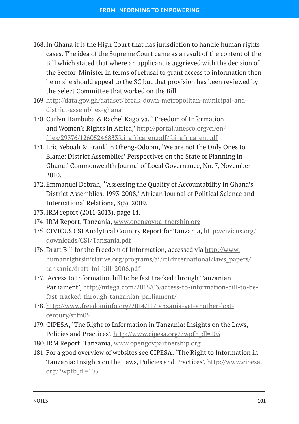- 168.In Ghana it is the High Court that has jurisdiction to handle human rights cases. The idea of the Supreme Court came as a result of the content of the Bill which stated that where an applicant is aggrieved with the decision of the Sector Minister in terms of refusal to grant access to information then he or she should appeal to the SC but that provision has been reviewed by the Select Committee that worked on the Bill.
- 169. [http://data.gov.gh/dataset/break-down-metropolitan-municipal-and](http://data.gov.gh/dataset/break-down-metropolitan-municipal-and-district-assemblies-ghana)[district-assemblies-ghana](http://data.gov.gh/dataset/break-down-metropolitan-municipal-and-district-assemblies-ghana)
- 170. Carlyn Hambuba & Rachel Kagoiya, ' Freedom of Information and Women's Rights in Africa,' [http://portal.unesco.org/ci/en/](http://portal.unesco.org/ci/en/files/29376/12605246833foi_africa_en.pdf/foi_africa_en.pdf) [files/29376/12605246833foi\\_africa\\_en.pdf/foi\\_africa\\_en.pdf](http://portal.unesco.org/ci/en/files/29376/12605246833foi_africa_en.pdf/foi_africa_en.pdf)
- 171. Eric Yeboah & Franklin Obeng-Odoom, 'We are not the Only Ones to Blame: District Assemblies' Perspectives on the State of Planning in Ghana,' Commonwealth Journal of Local Governance, No. 7, November 2010.
- 172. Emmanuel Debrah, ''Assessing the Quality of Accountability in Ghana's District Assemblies, 1993-2008,' African Journal of Political Science and International Relations, 3(6), 2009.
- 173.IRM report (2011-2013), page 14.
- 174. IRM Report, Tanzania, <www.opengovpartnership.org>
- 175. CIVICUS CSI Analytical Country Report for Tanzania, [http://civicus.org/](http://civicus.org/downloads/CSI/Tanzania.pdf) [downloads/CSI/Tanzania.pdf](http://civicus.org/downloads/CSI/Tanzania.pdf)
- 176. Draft Bill for the Freedom of Information, accessed via [http://www.](http://www.humanrightsinitiative.org/programs/ai/rti/international/laws_papers/tanzania/draft_foi_bill_2006.pdf) [humanrightsinitiative.org/programs/ai/rti/international/laws\\_papers/](http://www.humanrightsinitiative.org/programs/ai/rti/international/laws_papers/tanzania/draft_foi_bill_2006.pdf) [tanzania/draft\\_foi\\_bill\\_2006.pdf](http://www.humanrightsinitiative.org/programs/ai/rti/international/laws_papers/tanzania/draft_foi_bill_2006.pdf)
- 177. 'Access to Information bill to be fast tracked through Tanzanian Parliament', [http://mtega.com/2015/03/access-to-information-bill-to-be](http://mtega.com/2015/03/access-to-information-bill-to-be-fast-tracked-through-tanzanian-parliament/)[fast-tracked-through-tanzanian-parliament/](http://mtega.com/2015/03/access-to-information-bill-to-be-fast-tracked-through-tanzanian-parliament/)
- 178. [http://www.freedominfo.org/2014/11/tanzania-yet-another-lost](http://www.freedominfo.org/2014/11/tanzania-yet-another-lost-century/#ftn05)[century/#ftn05](http://www.freedominfo.org/2014/11/tanzania-yet-another-lost-century/#ftn05)
- 179. CIPESA, 'The Right to Information in Tanzania: Insights on the Laws, Policies and Practices', [http://www.cipesa.org/?wpfb\\_dl=105](http://www.cipesa.org/?wpfb_dl=105)
- 180.IRM Report: Tanzania,<www.opengovpartnership.org>
- 181. For a good overview of websites see CIPESA, 'The Right to Information in Tanzania: Insights on the Laws, Policies and Practices', [http://www.cipesa.](http://www.cipesa.org/?wpfb_dl=105) [org/?wpfb\\_dl=105](http://www.cipesa.org/?wpfb_dl=105)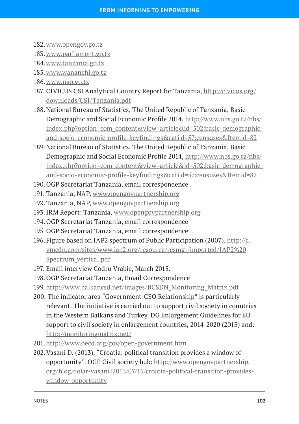- 182.<www.opengov.go.tz>
- 183.<www.parliament.go.tz>
- 184.<www.tanzania.go.tz>
- 185. [www.wananchi.go.tz](http://www.wananchi.go.tz)
- 186.<www.nao.go.tz>
- 187. CIVICUS CSI Analytical Country Report for Tanzania, [http://civicus.org/](http://civicus.org/downloads/CSI/Tanzania.pdf) [downloads/CSI/Tanzania.pdf](http://civicus.org/downloads/CSI/Tanzania.pdf)
- 188.National Bureau of Statistics, The United Republic of Tanzania, Basic Demographic and Social Economic Profile 2014, [http://www.nbs.go.tz/nbs/](http://www.nbs.go.tz/nbs/index.php?option=com_content&view=article&id=502:basic-demographic-and-socio-economic-profile-keyfindings&cati d=57:censuses&Itemid=82) [index.php?option=com\\_content&view=article&id=502:basic-demographic](http://www.nbs.go.tz/nbs/index.php?option=com_content&view=article&id=502:basic-demographic-and-socio-economic-profile-keyfindings&cati d=57:censuses&Itemid=82)[and-socio-economic-profile-keyfindings&cati d=57:censuses&Itemid=82](http://www.nbs.go.tz/nbs/index.php?option=com_content&view=article&id=502:basic-demographic-and-socio-economic-profile-keyfindings&cati d=57:censuses&Itemid=82)
- 189. National Bureau of Statistics, The United Republic of Tanzania, Basic Demographic and Social Economic Profile 2014, [http://www.nbs.go.tz/nbs/](http://www.nbs.go.tz/nbs/index.php?option=com_content&view=article&id=502:basic-demographic-and-socio-economic-profile-keyfindings&cati d=57:censuses&Itemid=82) [index.php?option=com\\_content&view=article&id=502:basic-demographic](http://www.nbs.go.tz/nbs/index.php?option=com_content&view=article&id=502:basic-demographic-and-socio-economic-profile-keyfindings&cati d=57:censuses&Itemid=82)[and-socio-economic-profile-keyfindings&cati d=57:censuses&Itemid=82](http://www.nbs.go.tz/nbs/index.php?option=com_content&view=article&id=502:basic-demographic-and-socio-economic-profile-keyfindings&cati d=57:censuses&Itemid=82)
- 190.OGP Secretariat Tanzania, email correspondence
- 191. Tanzania, NAP, <www.opengovpartnership.org>
- 192.Tanzania, NAP, <www.opengovpartnership.org>
- 193.IRM Report: Tanzania, <www.opengovpartnership.org>
- 194.OGP Secretariat Tanzania, email correspondence
- 195. OGP Secretariat Tanzania, email correspondence
- 196.Figure based on IAP2 spectrum of Public Participation (2007). [http://c.](http://c.ymcdn.com/sites/www.iap2.org/resource/resmgr/imported/IAP2%20Spectrum_vertical.pdf) [ymcdn.com/sites/www.iap2.org/resource/resmgr/imported/IAP2%20](http://c.ymcdn.com/sites/www.iap2.org/resource/resmgr/imported/IAP2%20Spectrum_vertical.pdf) [Spectrum\\_vertical.pdf](http://c.ymcdn.com/sites/www.iap2.org/resource/resmgr/imported/IAP2%20Spectrum_vertical.pdf)
- 197. Email interview Codru Vrabie, March 2015.
- 198.OGP Secretariat Tanzania, Email Correspondence
- 199. [http://www.balkancsd.net/images/BCSDN\\_Monitoring\\_Matrix.pdf](http://www.balkancsd.net/images/BCSDN_Monitoring_Matrix.pdf)
- 200. The indicator area "Government-CSO Relationship" is particularly relevant. The initiative is carried out to support civil society in countries in the Western Balkans and Turkey. DG Enlargement Guidelines for EU support to civil society in enlargement countries, 2014-2020 (2013) and: <http://monitoringmatrix.net/>
- 201. <http://www.oecd.org/gov/open-government.htm>
- 202.Vasani D. (2013). "Croatia: political transition provides a window of opportunity". OGP Civil society hub: [http://www.opengovpartnership.](http://www.opengovpartnership.org/blog/dolar-vasani/2013/07/15/croatia-political-transition-provides-window-opportunity) [org/blog/dolar-vasani/2013/07/15/croatia-political-transition-provides](http://www.opengovpartnership.org/blog/dolar-vasani/2013/07/15/croatia-political-transition-provides-window-opportunity)[window-opportunity](http://www.opengovpartnership.org/blog/dolar-vasani/2013/07/15/croatia-political-transition-provides-window-opportunity)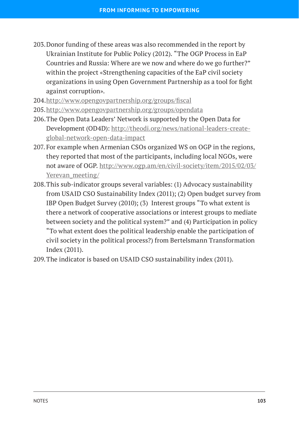- 203.Donor funding of these areas was also recommended in the report by Ukrainian Institute for Public Policy (2012). "The OGP Process in EaP Countries and Russia: Where are we now and where do we go further?" within the project «Strengthening capacities of the EaP civil society organizations in using Open Government Partnership as a tool for fight against corruption».
- 204.<http://www.opengovpartnership.org/groups/fiscal>
- 205.<http://www.opengovpartnership.org/groups/opendata>
- 206.The Open Data Leaders' Network is supported by the Open Data for Development (OD4D): [http://theodi.org/news/national-leaders-create](http://theodi.org/news/national-leaders-create-global-network-open-data-impact)[global-network-open-data-impact](http://theodi.org/news/national-leaders-create-global-network-open-data-impact)
- 207. For example when Armenian CSOs organized WS on OGP in the regions, they reported that most of the participants, including local NGOs, were not aware of OGP. [http://www.ogp.am/en/civil-society/item/2015/02/03/](http://www.ogp.am/en/civil-society/item/2015/02/03/Yerevan_meeting/) [Yerevan\\_meeting/](http://www.ogp.am/en/civil-society/item/2015/02/03/Yerevan_meeting/)
- 208.This sub-indicator groups several variables: (1) Advocacy sustainability from USAID CSO Sustainability Index (2011); (2) Open budget survey from IBP Open Budget Survey (2010); (3) Interest groups "To what extent is there a network of cooperative associations or interest groups to mediate between society and the political system?" and (4) Participation in policy "To what extent does the political leadership enable the participation of civil society in the political process?) from Bertelsmann Transformation Index (2011).
- 209.The indicator is based on USAID CSO sustainability index (2011).